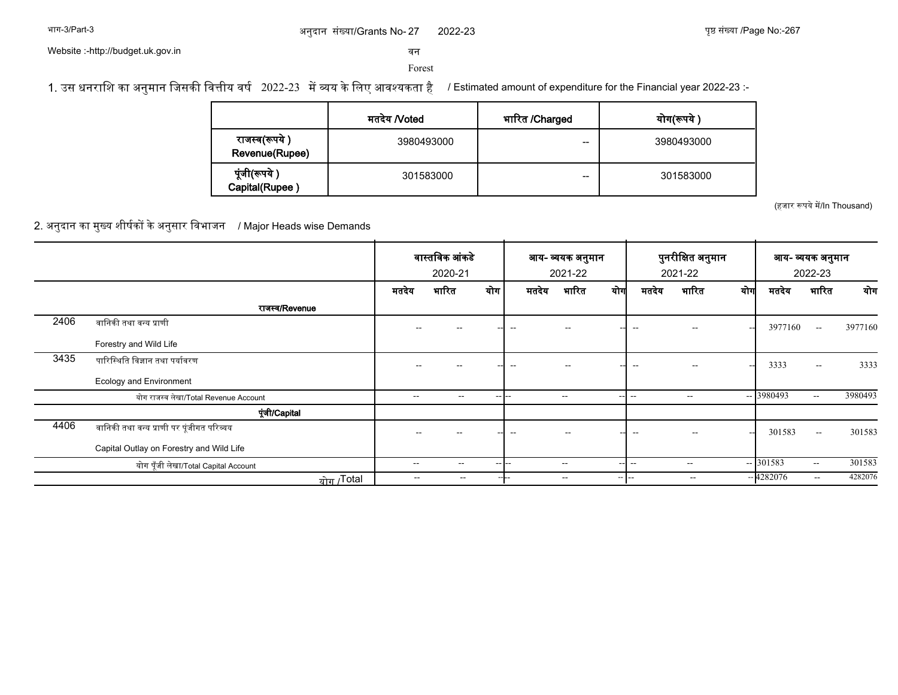### अनुदान संख्या/Grants No- 27 2022-23 पृष्ठ संख्या /Page No:-

2022-23 पुष्ठ संख्या /Page No:-267

Website :-http://budget.uk.gov.in

सन

Forest

1. उस धनराशि का अनुमान जिसकी वित्तीय वर्ष 2022-23 में व्यय के लिए आवश्यकता है / Estimated amount of expenditure for the Financial year 2022-23 :-

|                                  | मतदेय /Voted | भारित /Charged | योग(रूपये  |
|----------------------------------|--------------|----------------|------------|
| राजस्व(रूपये )<br>Revenue(Rupee) | 3980493000   | --             | 3980493000 |
| पूंजी(रूपये )<br>Capital(Rupee)  | 301583000    | --             | 301583000  |

(हजार रूपये में/In Thousand)

2. अनुदान का मुख्य शीर्षकों के अनुसार विभाजन / Major Heads wise Demands

|      |                                           |                          | वास्तविक आंकडे           |        | आय- व्ययक अनुमान |                          |                          |                          | पुनरीक्षित अनुमान        |          | आय- व्ययक अनुमान |                   |         |
|------|-------------------------------------------|--------------------------|--------------------------|--------|------------------|--------------------------|--------------------------|--------------------------|--------------------------|----------|------------------|-------------------|---------|
|      |                                           |                          | 2020-21                  |        |                  | 2021-22                  |                          |                          | 2021-22                  |          |                  | 2022-23           |         |
|      |                                           | मतदेय                    | भारित                    | योग    | मतदेय            | भारित                    | योग                      | मतदेय                    | भारित                    | योग      | मतदेय            | भारित             | योग     |
|      | राजस्व/Revenue                            |                          |                          |        |                  |                          |                          |                          |                          |          |                  |                   |         |
| 2406 | वानिकी तथा वन्य प्राणी                    |                          |                          |        |                  |                          |                          |                          |                          | <b>.</b> | 3977160          | $\sim$ $\sim$     | 3977160 |
|      | Forestry and Wild Life                    |                          |                          |        |                  |                          |                          |                          |                          |          |                  |                   |         |
| 3435 | पारिस्थिति विज्ञान तथा पर्यावरण           | --                       |                          |        | --               | $- -$                    |                          | $\sim$                   | $\sim$ $\sim$            | ---      | 3333             | $\sim$ $\sim$     | 3333    |
|      | Ecology and Environment                   |                          |                          |        |                  |                          |                          |                          |                          |          |                  |                   |         |
|      | योग राजस्व लेखा/Total Revenue Account     | $- -$                    | $\overline{\phantom{a}}$ | --     |                  | $\overline{\phantom{a}}$ | --                       | --                       | $\overline{\phantom{a}}$ |          | $- 3980493$      | $- -$             | 3980493 |
|      | पूंजी/Capital                             |                          |                          |        |                  |                          |                          |                          |                          |          |                  |                   |         |
| 4406 | वानिकी तथा वन्य प्राणी पर पूंजीगत परिव्यय | --                       |                          |        | $-$              | $\overline{\phantom{a}}$ |                          | $\overline{\phantom{a}}$ | $\sim$ $\sim$            | $\sim$   | 301583           | $\mathbf{u}$      | 301583  |
|      | Capital Outlay on Forestry and Wild Life  |                          |                          |        |                  |                          |                          |                          |                          |          |                  |                   |         |
|      | योग पूँजी लेखा/Total Capital Account      | $- -$                    | $\overline{\phantom{a}}$ | -- 1-- |                  | $\sim$ $\sim$            | <b>.</b>                 |                          | $- -$                    |          | $- 301583$       | $\qquad \qquad -$ | 301583  |
|      | <u>योग /</u> Total                        | $\overline{\phantom{m}}$ | $- -$                    |        | ----             | $\overline{\phantom{a}}$ | $\overline{\phantom{a}}$ | $\overline{\phantom{m}}$ | $\overline{\phantom{a}}$ |          | $-4282076$       | $- -$             | 4282076 |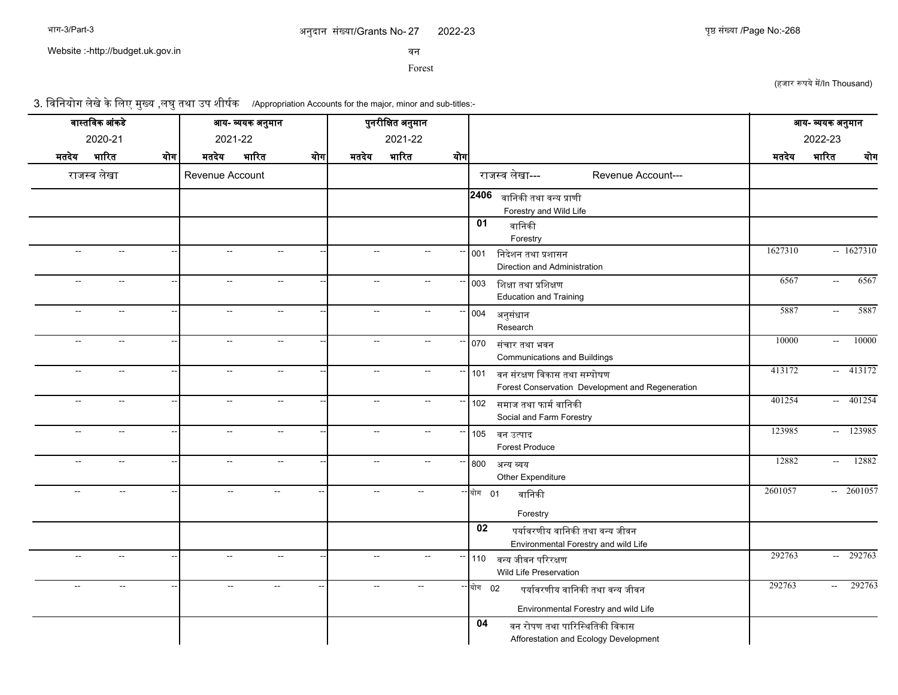Website :-http://budget.uk.gov.in

सन

Forest

(हजार रूपये में/In Thousand)

3. विनियोग लेखे के लिए मुख्य ,लघु तथा उप शीर्षक /Appropriation Accounts for the major, minor and sub-titles:-

|                          | वास्तविक आंकडे           |                          |                          | आय- व्ययक अनुमान         |     |                             | पुनरीक्षित अनुमान        |                          |                                                                                            |         | आय- व्ययक अनुमान                 |
|--------------------------|--------------------------|--------------------------|--------------------------|--------------------------|-----|-----------------------------|--------------------------|--------------------------|--------------------------------------------------------------------------------------------|---------|----------------------------------|
|                          | 2020-21                  |                          | 2021-22                  |                          |     |                             | 2021-22                  |                          |                                                                                            |         | 2022-23                          |
| मतदेय                    | भारित                    | योग                      | मतदेय                    | भारित                    | योग | मतदेय                       | भारित                    | योग                      |                                                                                            | मतदेय   | भारित<br>योग                     |
|                          | राजस्व लेखा              |                          | Revenue Account          |                          |     |                             |                          |                          | राजस्व लेखा---<br>Revenue Account---                                                       |         |                                  |
|                          |                          |                          |                          |                          |     |                             |                          |                          | 2406<br>वानिकी तथा वन्य प्राणी<br>Forestry and Wild Life                                   |         |                                  |
|                          |                          |                          |                          |                          |     |                             |                          |                          | 01<br>वानिकी<br>Forestry                                                                   |         |                                  |
| $\sim$                   | $\overline{\phantom{a}}$ | $\overline{\phantom{a}}$ | $\sim$                   | $\sim$                   |     | $\overline{\phantom{a}}$    | $\overline{\phantom{a}}$ | н,                       | 001<br>निदेशन तथा प्रशासन<br>Direction and Administration                                  | 1627310 | $-1627310$                       |
| $\overline{\phantom{a}}$ | $\overline{\phantom{a}}$ |                          | $\overline{\phantom{a}}$ | $\overline{\phantom{a}}$ |     | $\overline{\phantom{a}}$    | $\overline{a}$           |                          | शिक्षा तथा प्रशिक्षण<br>003<br><b>Education and Training</b>                               | 6567    | 6567<br>$\sim$                   |
| $\overline{\phantom{a}}$ | $\overline{\phantom{a}}$ |                          | $\overline{\phantom{a}}$ | $\rightarrow$            |     | $\overline{a}$              |                          |                          | 004<br>अनुसंधान<br>Research                                                                | 5887    | 5887<br>$\overline{\phantom{a}}$ |
| $\overline{\phantom{a}}$ | $\overline{\phantom{a}}$ |                          | $-$                      | $\sim$                   |     | $\overline{a}$              | Ξ.                       |                          | 070 संचार तथा भवन<br><b>Communications and Buildings</b>                                   | 10000   | 10000<br>$\sim$                  |
| $\rightarrow$            | $\sim$                   |                          | $\overline{a}$           | $\sim$                   |     | $\mathcal{L}_{\mathcal{A}}$ | $\sim$ $\sim$            |                          | 101 वन संरक्षण विकास तथा सम्पोषण<br>Forest Conservation Development and Regeneration       | 413172  | $-413172$                        |
| $\overline{\phantom{a}}$ | $\overline{a}$           |                          | $-$                      | $\sim$                   |     | $\overline{a}$              | $\overline{\phantom{a}}$ | $\overline{\phantom{a}}$ | 102 समाज तथा फार्म वानिकी<br>Social and Farm Forestry                                      | 401254  | $-401254$                        |
| $\overline{\phantom{a}}$ | $\mathbf{u}$             |                          | $\overline{\phantom{a}}$ | $\overline{\phantom{a}}$ |     | $\overline{\phantom{a}}$    | $\overline{\phantom{a}}$ |                          | 105 वन उत्पाद<br><b>Forest Produce</b>                                                     | 123985  | $- 123985$                       |
| $\overline{\phantom{a}}$ | $\overline{\phantom{a}}$ |                          | $\overline{a}$           | $\overline{\phantom{a}}$ |     | --                          | $\overline{\phantom{a}}$ |                          | 800 अन्य व्यय<br>Other Expenditure                                                         | 12882   | 12882<br>$\overline{a}$          |
| $\overline{a}$           | $\overline{\phantom{a}}$ |                          | $\overline{\phantom{a}}$ | $\overline{a}$           |     | $\overline{\phantom{a}}$    | $\overline{\phantom{a}}$ |                          | -- योग 01<br>वानिकी<br>Forestry                                                            | 2601057 | $-2601057$                       |
|                          |                          |                          |                          |                          |     |                             |                          |                          | 02<br>पर्यावरणीय वानिकी तथा वन्य जीवन<br>Environmental Forestry and wild Life              |         |                                  |
| $\overline{\phantom{a}}$ | $\overline{a}$           |                          | $\overline{a}$           | $\sim$                   |     | $\overline{\phantom{a}}$    | $\overline{\phantom{a}}$ | н,                       | 110 वन्य जीवन परिरक्षण<br>Wild Life Preservation                                           | 292763  | $-292763$                        |
| $\overline{a}$           | $\overline{\phantom{a}}$ |                          | $\overline{\phantom{a}}$ | $\overline{\phantom{a}}$ |     | $\overline{\phantom{a}}$    | $\sim$                   |                          | - योग 02<br>पर्यावरणीय वानिकी तथा वन्य जीवन<br>Environmental Forestry and wild Life        | 292763  | 292763<br>$\sim$                 |
|                          |                          |                          |                          |                          |     |                             |                          |                          | $\overline{04}$<br>वन रोपण तथा पारिस्थितिकी विकास<br>Afforestation and Ecology Development |         |                                  |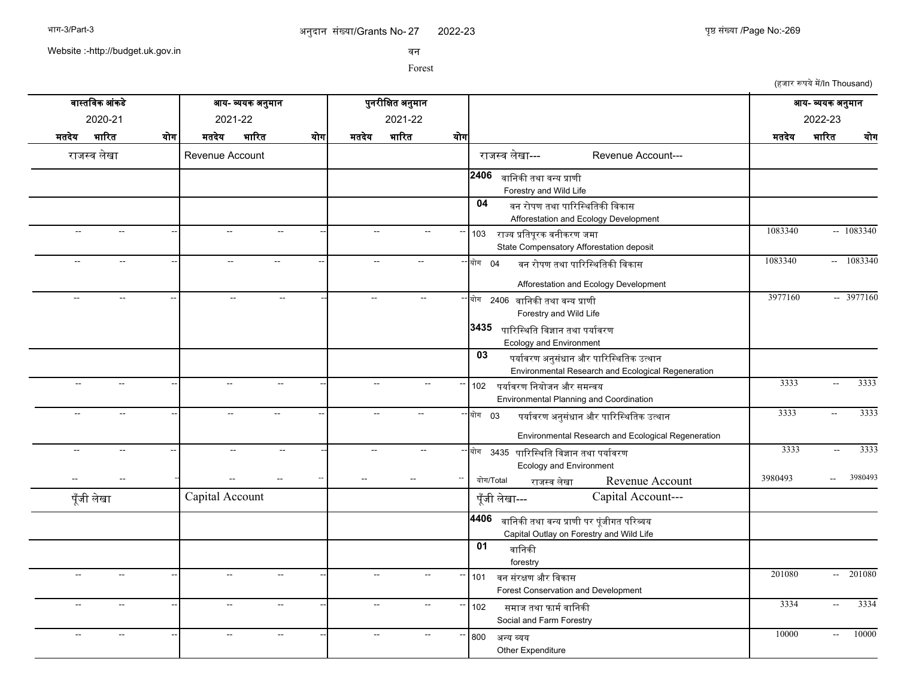2022-23 युष्ठ संख्या /Page No:-269

Website :-http://budget.uk.gov.in

सन

Forest

(हजार रूपये में/In Thousand)

| वास्तविक आंकडे                                       | आय- व्ययक अनुमान                                           | पुनरीक्षित अनुमान                                              |                                                                                                                                                | आय- व्ययक अनुमान                           |
|------------------------------------------------------|------------------------------------------------------------|----------------------------------------------------------------|------------------------------------------------------------------------------------------------------------------------------------------------|--------------------------------------------|
| 2020-21                                              | 2021-22                                                    | 2021-22                                                        |                                                                                                                                                | 2022-23                                    |
| भारित<br>मतदेय<br>योग                                | भारित<br>मतदेय<br>योग                                      | भारित<br>मतदेय<br>योग                                          |                                                                                                                                                | भारित<br>मतदेय                             |
| राजस्व लेखा                                          | Revenue Account                                            |                                                                | राजस्व लेखा---<br>Revenue Account---                                                                                                           | योग                                        |
|                                                      |                                                            |                                                                | 2406<br>वानिकी तथा वन्य प्राणी<br>Forestry and Wild Life                                                                                       |                                            |
|                                                      |                                                            |                                                                | 04<br>वन रोपण तथा पारिस्थितिकी विकास<br>Afforestation and Ecology Development                                                                  |                                            |
| $\overline{a}$<br>$\overline{\phantom{a}}$           | $\overline{a}$<br>$\sim$ $\sim$                            | $\sim$<br>$\sim$                                               | 103 राज्य प्रतिपूरक वनीकरण जमा<br>State Compensatory Afforestation deposit                                                                     | $-1083340$<br>1083340                      |
| $\sim$ $\sim$<br>$\overline{a}$                      | $\sim$ $\sim$<br>$\overline{a}$                            | $\overline{a}$<br>$\overline{\phantom{a}}$                     | $-$ योग 04<br>वन रोपण तथा पारिस्थितिकी विकास<br>Afforestation and Ecology Development                                                          | $- 1083340$<br>1083340                     |
| $\overline{\phantom{a}}$<br>$\sim$                   | $\mathcal{L}_{\mathcal{A}}$<br>$\mathcal{L}_{\mathcal{A}}$ | $\overline{\phantom{a}}$<br>$\overline{\phantom{a}}$           | ∽  योग<br>2406   वानिकी तथा वन्य प्राणी<br>Forestry and Wild Life<br>3435<br>पारिस्थिति विज्ञान तथा पर्यावरण<br><b>Ecology and Environment</b> | $-3977160$<br>3977160                      |
|                                                      |                                                            |                                                                | 03<br>पर्यावरण अनुसंधान और पारिस्थितिक उत्थान<br>Environmental Research and Ecological Regeneration                                            |                                            |
| $\sim$                                               | $\overline{\phantom{a}}$<br>--                             | $\overline{a}$                                                 | 102 पर्यावरण नियोजन और समन्वय<br>Environmental Planning and Coordination                                                                       | 3333<br>3333<br>$\overline{\phantom{a}}$   |
| $\overline{\phantom{a}}$<br>$\overline{\phantom{a}}$ | $\sim$<br>$\sim$                                           | $\sim$<br>$\overline{\phantom{a}}$                             | $-$ योग 03<br>पर्यावरण अनुसंधान और पारिस्थितिक उत्थान<br>Environmental Research and Ecological Regeneration                                    | 3333<br>3333<br>$\overline{\phantom{a}}$   |
| $\overline{a}$<br>$\overline{\phantom{a}}$           | $\overline{a}$<br>--                                       | $\overline{\phantom{a}}$<br>$\overline{\phantom{a}}$           | योग<br>3435   पारिस्थिति विज्ञान तथा पर्यावरण<br><b>Ecology and Environment</b>                                                                | 3333<br>3333<br>$\overline{a}$             |
| पूँजी लेखा                                           | Capital Account                                            |                                                                | योग/Total<br>Revenue Account<br>राजस्व लेखा<br>Capital Account---<br>पूँजी लेखा---                                                             | 3980493<br>3980493                         |
|                                                      |                                                            |                                                                | 4406<br>वानिकी तथा वन्य प्राणी पर पूंजीगत परिव्यय<br>Capital Outlay on Forestry and Wild Life                                                  |                                            |
|                                                      |                                                            |                                                                | 01<br>वानिकी<br>forestry                                                                                                                       |                                            |
| $\overline{a}$<br>$\overline{\phantom{a}}$           | $\overline{a}$<br>$\overline{\phantom{a}}$                 | Ξ.                                                             | 101<br>वन संरक्षण और विकास<br>Forest Conservation and Development                                                                              | $-201080$<br>201080                        |
| $\sim$<br>$\overline{\phantom{a}}$                   | $\overline{a}$<br>$\overline{a}$                           | Ξ.                                                             | 102<br>समाज तथा फार्म वानिकी<br>Social and Farm Forestry                                                                                       | 3334<br>3334<br>$\sim$                     |
| $\overline{a}$<br>$\overline{\phantom{a}}$           | $\overline{\phantom{a}}$<br>$\overline{\phantom{a}}$       | $\overline{\phantom{a}}$<br>$\sim$<br>$\overline{\phantom{a}}$ | 800<br>अन्य व्यय<br>Other Expenditure                                                                                                          | 10000<br>10000<br>$\overline{\phantom{a}}$ |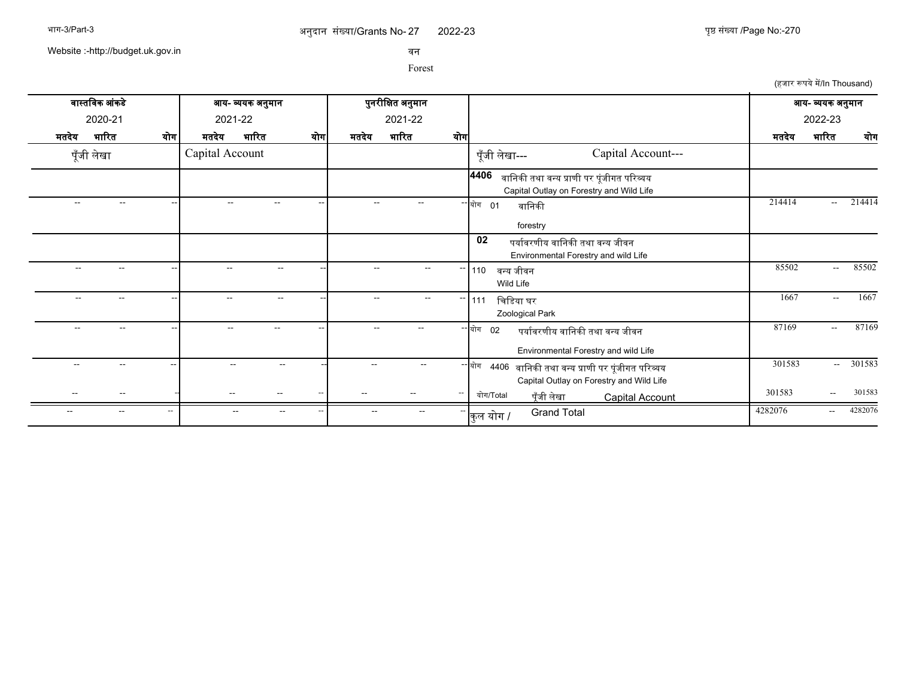2022-23 270

Website :-http://budget.uk.gov.in

सन

Forest

(हजार रूपये में/In Thousand)

| वास्तविक आंकडे                                             | आय- व्ययक अनुमान                           | पुनरीक्षित अनुमान                  |                                                                                                       | आय- व्ययक अनुमान                         |
|------------------------------------------------------------|--------------------------------------------|------------------------------------|-------------------------------------------------------------------------------------------------------|------------------------------------------|
| 2020-21                                                    | 2021-22                                    | 2021-22                            |                                                                                                       | 2022-23                                  |
| भारित<br>मतदेय<br>योग                                      | भारित<br>योग<br>मतदेय                      | भारित<br>योग<br>मतदेय              |                                                                                                       | भारित<br>योग<br>मतदेय                    |
| पूँजी लेखा                                                 | Capital Account                            |                                    | Capital Account---<br>पूँजी लेखा---                                                                   |                                          |
|                                                            |                                            |                                    | 4406<br>वानिकी तथा वन्य प्राणी पर पूंजीगत परिव्यय<br>Capital Outlay on Forestry and Wild Life         |                                          |
| --<br>--                                                   |                                            | --                                 | - <mark>योग 01</mark><br>वानिकी<br>forestry                                                           | 214414<br>214414<br>$-$                  |
|                                                            |                                            |                                    | 02<br>पर्यावरणीय वानिकी तथा वन्य जीवन<br>Environmental Forestry and wild Life                         |                                          |
| $\overline{\phantom{a}}$<br>--                             |                                            |                                    | 110<br>वन्य जीवन<br>Wild Life                                                                         | 85502<br>85502<br>$\sim$                 |
| $\overline{\phantom{a}}$<br>$-$                            | $\overline{a}$<br>$\overline{\phantom{a}}$ | $\overline{\phantom{a}}$<br>--     | चिडिया घर<br>111<br>Zoological Park                                                                   | 1667<br>1667<br>$\overline{\phantom{a}}$ |
| --                                                         |                                            |                                    | ∽ योग<br>पर्यावरणीय वानिकी तथा वन्य जीवन<br>02<br>Environmental Forestry and wild Life                | 87169<br>87169<br>$-$                    |
| --                                                         |                                            | $- -$                              | ∽ योग<br>4406   वानिकी तथा वन्य प्राणी पर पूंजीगत परिव्यय<br>Capital Outlay on Forestry and Wild Life | 301583<br>301583<br>$\sim$               |
| --                                                         | $\overline{\phantom{a}}$                   | $\overline{\phantom{m}}$           | योग/Total<br>पूँजी लेखा<br><b>Capital Account</b>                                                     | 301583<br>301583<br>$\sim$               |
| --<br>$\overline{\phantom{a}}$<br>$\overline{\phantom{a}}$ | $\overline{\phantom{a}}$                   | $\sim$<br>$\overline{\phantom{a}}$ | <b>Grand Total</b><br>कुल योग /                                                                       | 4282076<br>4282076<br>$\sim$             |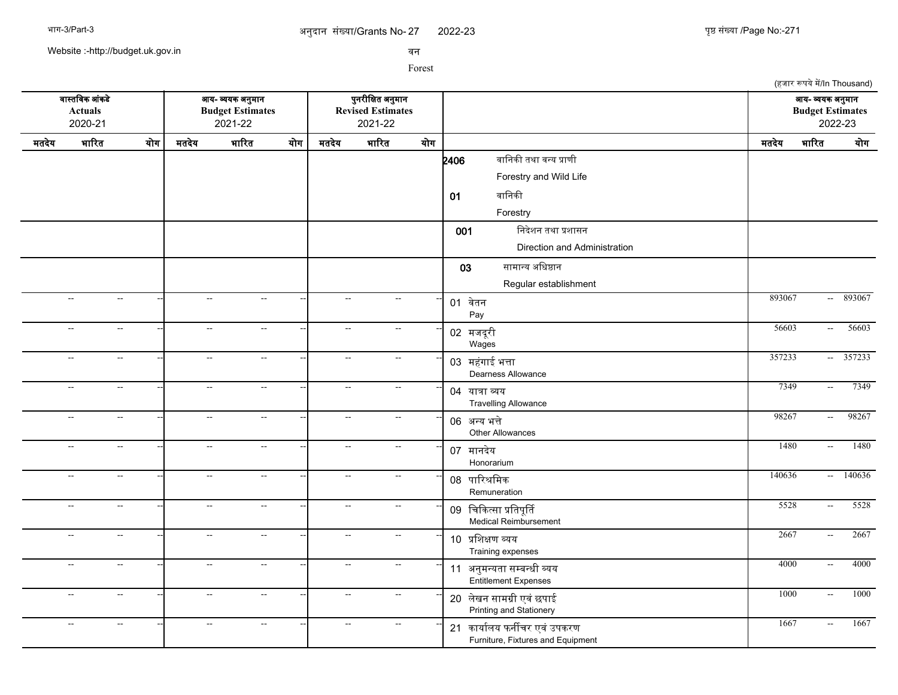Website :-http://budget.uk.gov.in

सन

|       |                                      |                             |                           |                                                        |     |              |                                                          |     |                                                                                      |        | (हजार रूपये में/In Thousand)                |           |
|-------|--------------------------------------|-----------------------------|---------------------------|--------------------------------------------------------|-----|--------------|----------------------------------------------------------|-----|--------------------------------------------------------------------------------------|--------|---------------------------------------------|-----------|
|       | वास्तविक आंकडे<br>Actuals<br>2020-21 |                             |                           | आय- व्ययक अनुमान<br><b>Budget Estimates</b><br>2021-22 |     |              | पुनरीक्षित अनुमान<br><b>Revised Estimates</b><br>2021-22 |     |                                                                                      |        | आय- व्ययक अनुमान<br><b>Budget Estimates</b> | 2022-23   |
| मतदेय | भारित                                | योग                         | मतदेय                     | भारित                                                  | योग | मतदेय        | भारित                                                    | योग |                                                                                      | मतदेय  | भारित                                       | योग       |
|       |                                      |                             |                           |                                                        |     |              |                                                          |     | वानिकी तथा वन्य प्राणी<br>2406<br>Forestry and Wild Life<br>वानिकी<br>01<br>Forestry |        |                                             |           |
|       |                                      |                             |                           |                                                        |     |              |                                                          |     | निदेशन तथा प्रशासन<br>001<br>Direction and Administration                            |        |                                             |           |
|       | $\overline{a}$                       | $\mathcal{L}_{\mathcal{F}}$ | $\sim$                    | $\mathcal{L}_{\mathcal{F}}$                            |     | $\sim$       | $\sim$ $\sim$                                            |     | सामान्य अधिष्ठान<br>03<br>Regular establishment<br>01 वेतन                           | 893067 |                                             | $-893067$ |
|       | $\overline{\phantom{a}}$             | $\overline{\phantom{a}}$    | $\mathbb{H}^{\mathbb{Z}}$ | $\sim$                                                 |     | $\sim$       | $\sim$ $\sim$                                            |     | Pay<br>02 मजदूरी<br>Wages                                                            | 56603  | $\sim$                                      | 56603     |
|       | --                                   | $\sim$                      | $\sim$                    | $\sim$                                                 |     | $\sim$       | $\overline{a}$                                           |     | 03 महंगाई भत्ता<br>Dearness Allowance                                                | 357233 |                                             | $-357233$ |
|       | $\overline{\phantom{a}}$             | $\mathbb{H}^{\mathbb{Z}}$   | $\mathbb{L}^2$            | $\sim$ $\sim$                                          |     | $\sim$       | $\mathcal{L}_{\mathcal{F}}$                              |     | 04 यात्रा व्यय<br><b>Travelling Allowance</b>                                        | 7349   | $\sim$                                      | 7349      |
|       | $\overline{a}$                       | $\mathcal{L}_{\mathcal{F}}$ | $\sim$                    | $\mathcal{L}_{\mathcal{F}}$                            |     | $\sim$       | $\mathcal{L}_{\mathcal{F}}$                              |     | 06 अन्य भत्ते<br>Other Allowances                                                    | 98267  | $\sim$                                      | 98267     |
|       | $\mathbb{Z}^2$                       | $\sim$                      | $\sim$                    | $\sim$                                                 |     | $\sim$       | $\mathcal{L}_{\mathcal{F}}$                              |     | 07 मानदेय<br>Honorarium                                                              | 1480   | $\mathbb{Z}^{\mathbb{Z}^{\times}}$          | 1480      |
|       | $\overline{\phantom{a}}$             | $\mathcal{L}_{\mathcal{F}}$ | $\sim$                    | $\mathcal{L}_{\mathcal{F}}$                            |     | $\sim$       | $\sim$                                                   |     | 08 पारिश्रमिक<br>Remuneration                                                        | 140636 | $\sim$ $-$                                  | 140636    |
|       | $\mathbb{H}^{\mathbb{Z}}$            | $\sim$                      | $\sim$                    | $\mathbb{L}^{\mathbb{L}}$                              |     | $\sim$       | $\overline{a}$                                           |     | 09 चिकित्सा प्रतिपूर्ति<br>Medical Reimbursement                                     | 5528   | $\sim$                                      | 5528      |
|       | $\overline{a}$                       | $\sim$                      | $\sim$                    | $\sim$                                                 |     | $\sim$       | $\mathcal{L}_{\mathcal{F}}$                              |     | 10 प्रशिक्षण व्यय<br>Training expenses                                               | 2667   | $\mathbb{L}^2$                              | 2667      |
|       | $\sim$                               | $\sim$                      | $\sim$                    | $\sim$                                                 |     | $\sim$       | $\sim$                                                   |     | 11 अनुमन्यता सम्बन्धी व्यय<br>Entitlement Expenses                                   | 4000   | $\sim$                                      | 4000      |
|       | $\overline{\phantom{a}}$             | $\sim$                      | $\sim$                    | $\sim$                                                 |     | $\sim$       | $\overline{a}$                                           |     | 20 लेखन सामग्री एवं छपाई<br>Printing and Stationery                                  | 1000   | $\sim$                                      | 1000      |
|       | --                                   | $\overline{a}$              | --                        | $\overline{\phantom{a}}$                               |     | $\mathbf{L}$ | $\sim$                                                   |     | 21 कार्यालय फर्नीचर एवं उपकरण<br>Furniture, Fixtures and Equipment                   | 1667   | $\sim$                                      | 1667      |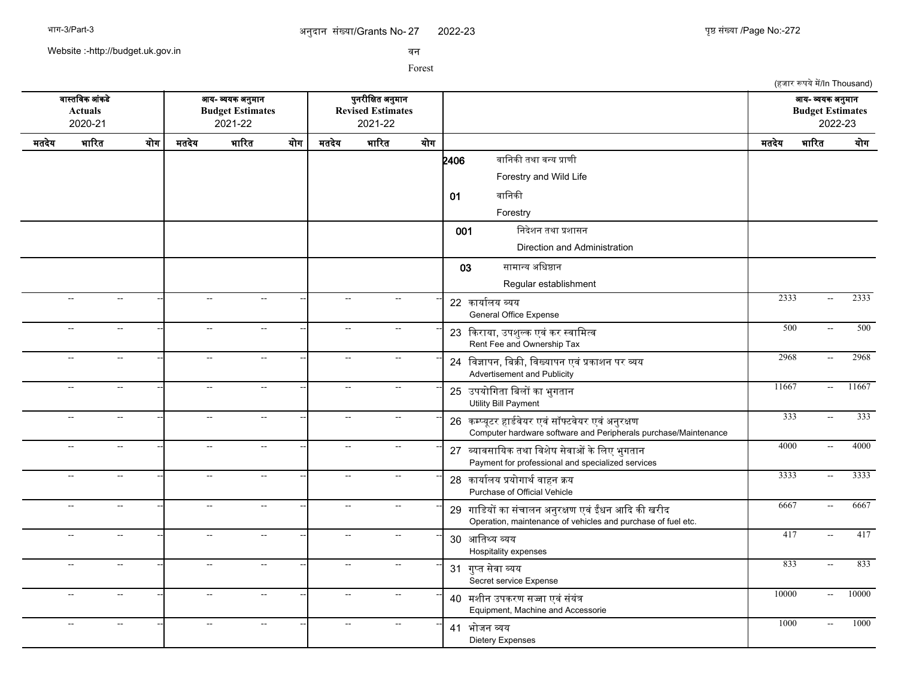2022-23 272

(हजार रूपये में/In Thousand)

Website :-http://budget.uk.gov.in

सन

|       | वास्तविक आंकडे<br><b>Actuals</b><br>2020-21 |                           | आय- व्ययक अनुमान<br><b>Budget Estimates</b><br>2021-22<br>भारित<br>मतदेय<br>योग |                           |  |                | पुनरीक्षित अनुमान<br><b>Revised Estimates</b><br>2021-22 |     |                                                                                                                      |       | आय- व्ययक अनुमान<br><b>Budget Estimates</b> | 2022-23 |
|-------|---------------------------------------------|---------------------------|---------------------------------------------------------------------------------|---------------------------|--|----------------|----------------------------------------------------------|-----|----------------------------------------------------------------------------------------------------------------------|-------|---------------------------------------------|---------|
| मतदेय | भारित                                       | योग                       |                                                                                 |                           |  | मतदेय          | भारित                                                    | योग |                                                                                                                      | मतदेय | भारित                                       | योग     |
|       |                                             |                           |                                                                                 |                           |  |                |                                                          |     | वानिकी तथा वन्य प्राणी<br>2406                                                                                       |       |                                             |         |
|       |                                             |                           |                                                                                 |                           |  |                |                                                          |     | Forestry and Wild Life                                                                                               |       |                                             |         |
|       |                                             |                           |                                                                                 |                           |  |                |                                                          |     | वानिकी<br>01                                                                                                         |       |                                             |         |
|       |                                             |                           |                                                                                 |                           |  |                |                                                          |     | Forestry                                                                                                             |       |                                             |         |
|       |                                             |                           |                                                                                 |                           |  |                |                                                          |     | निदेशन तथा प्रशासन<br>001                                                                                            |       |                                             |         |
|       |                                             |                           |                                                                                 |                           |  |                |                                                          |     | Direction and Administration                                                                                         |       |                                             |         |
|       |                                             |                           |                                                                                 |                           |  |                |                                                          |     | सामान्य अधिष्ठान<br>03                                                                                               |       |                                             |         |
|       |                                             |                           |                                                                                 |                           |  |                |                                                          |     | Regular establishment                                                                                                |       |                                             |         |
|       |                                             | $\sim$                    | $\sim$                                                                          | $\overline{a}$            |  |                |                                                          |     | 22 कार्यालय व्यय<br><b>General Office Expense</b>                                                                    | 2333  |                                             | 2333    |
|       | $\overline{a}$                              | $\mathbf{u}$              | $\sim$                                                                          | $\overline{a}$            |  | $\overline{a}$ | $\overline{a}$                                           |     | 23 किराया, उपशुल्क एवं कर स्वामित्व<br>Rent Fee and Ownership Tax                                                    | 500   | $\sim$                                      | 500     |
|       | $\sim$                                      | $\sim$ $\sim$             | $\sim$                                                                          | $\sim$ $\sim$             |  | $\sim$         | $\overline{a}$                                           |     | 24 विज्ञापन, बिक्री, विख्यापन एवं प्रकाशन पर व्यय<br>Advertisement and Publicity                                     | 2968  | $\sim$                                      | 2968    |
|       | $\sim$                                      | $\sim$ $\sim$             | $\mathbf{u}$                                                                    | $\sim$ $\sim$             |  | $\sim$         | $\mathbb{L}^{\mathbb{L}}$                                |     | 25 उपयोगिता बिलों का भुगतान<br>Utility Bill Payment                                                                  | 11667 | $\sim$                                      | 11667   |
|       | $\overline{a}$                              | $\sim$ $\sim$             | $\sim$                                                                          | $\sim$ $\sim$             |  | $\sim$         | $\overline{a}$                                           |     | 26 कम्प्यूटर हार्डवेयर एवं सॉफ्टवेयर एवं अनुरक्षण<br>Computer hardware software and Peripherals purchase/Maintenance | 333   | $\mathcal{L}_{\mathcal{A}}$                 | 333     |
|       |                                             |                           |                                                                                 | $\sim$ $\sim$             |  |                | $\overline{a}$                                           |     | 27 व्यावसायिक तथा विशेष सेवाओं के लिए भुगतान<br>Payment for professional and specialized services                    | 4000  | $\sim$                                      | 4000    |
|       |                                             | $\sim$                    | $\overline{\phantom{a}}$                                                        | $\sim$                    |  | $\overline{a}$ | $\overline{\phantom{a}}$                                 |     | 28 कार्यालय प्रयोगार्थ वाहन क्रय<br>Purchase of Official Vehicle                                                     | 3333  | $\sim$                                      | 3333    |
|       | $\overline{a}$                              | $\sim$                    | $\overline{\phantom{a}}$                                                        | $\sim$                    |  | $\sim$         | $\overline{a}$                                           |     | 29 गाडियों का संचालन अनुरक्षण एवं ईंधन आदि की खरीद<br>Operation, maintenance of vehicles and purchase of fuel etc.   | 6667  | $\sim$                                      | 6667    |
|       | $\overline{a}$                              | $\mathbb{L}^{\mathbb{L}}$ | $\mathbf{u}$                                                                    | $\mathbb{L}^{\mathbb{L}}$ |  | $\sim$         | $\sim$ $\sim$                                            |     | 30 आतिथ्य व्यय<br>Hospitality expenses                                                                               | 417   | $\mathcal{L}_{\mathcal{A}}$                 | 417     |
|       | $\overline{\phantom{a}}$                    | $\sim$ $\sim$             | $\mathbf{u}$                                                                    | $\mathbb{Z}^{\mathbb{Z}}$ |  | $\sim$         | $\sim$                                                   |     | 31 गुप्त सेवा व्यय<br>Secret service Expense                                                                         | 833   | $\sim$                                      | 833     |
|       | $\sim$                                      | $\mathbb{L}^{\mathbb{L}}$ | $\mathbf{u}$                                                                    | $\mathbf{u}$              |  | $\sim$         | $\overline{a}$                                           |     | 40 मशीन उपकरण सज्जा एवं संयंत्र<br>Equipment, Machine and Accessorie                                                 | 10000 | $\mathcal{L}_{\mathcal{A}}$                 | 10000   |
|       | $\sim$                                      | $\overline{a}$            | $\overline{\phantom{a}}$                                                        | $\overline{a}$            |  |                |                                                          |     | 41 भोजन व्यय<br><b>Dietery Expenses</b>                                                                              | 1000  | $\sim$                                      | 1000    |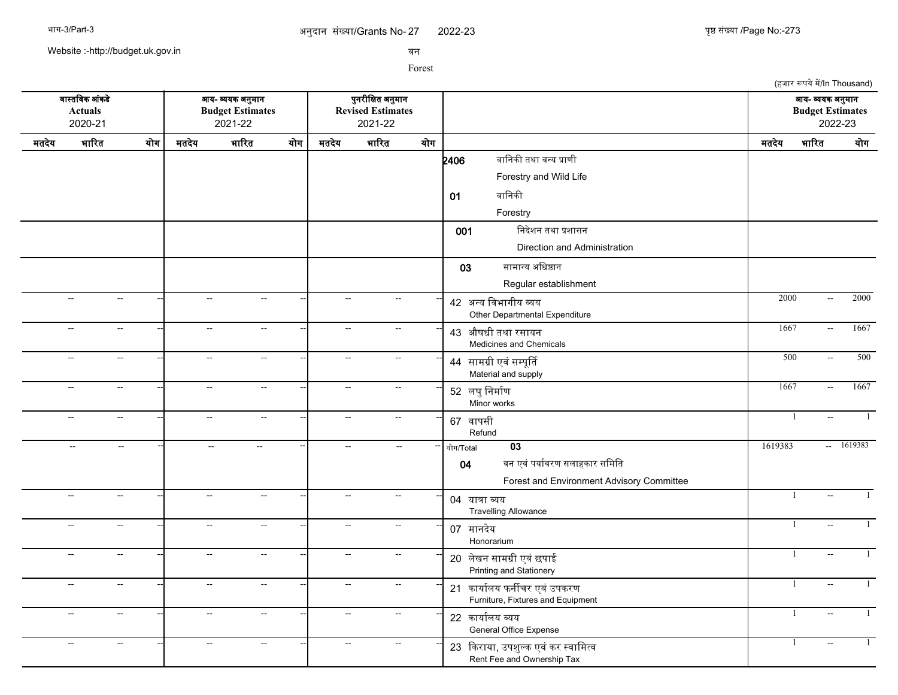2022-23 273

(हजार रूपये में/In Thousand)

Website :-http://budget.uk.gov.in

सन

|       | वास्तविक आंकडे<br><b>Actuals</b><br>2020-21  | आय- व्ययक अनुमान<br><b>Budget Estimates</b><br>2021-22<br>भारित<br>योग<br>भारित<br>मतदेय |                             |                           |     |                             | पुनरीक्षित अनुमान<br><b>Revised Estimates</b><br>2021-22 |     |                                                                    |         |                | आय- व्ययक अनुमान<br><b>Budget Estimates</b><br>2022-23 |      |
|-------|----------------------------------------------|------------------------------------------------------------------------------------------|-----------------------------|---------------------------|-----|-----------------------------|----------------------------------------------------------|-----|--------------------------------------------------------------------|---------|----------------|--------------------------------------------------------|------|
| मतदेय |                                              |                                                                                          |                             |                           | योग | मतदेय                       | भारित                                                    | योग |                                                                    | मतदेय   | भारित          |                                                        | योग  |
|       |                                              |                                                                                          |                             |                           |     |                             |                                                          |     | वानिकी तथा वन्य प्राणी<br>2406                                     |         |                |                                                        |      |
|       |                                              |                                                                                          |                             |                           |     |                             |                                                          |     | Forestry and Wild Life                                             |         |                |                                                        |      |
|       |                                              |                                                                                          |                             |                           |     |                             |                                                          |     | वानिकी<br>01                                                       |         |                |                                                        |      |
|       |                                              |                                                                                          |                             |                           |     |                             |                                                          |     | Forestry                                                           |         |                |                                                        |      |
|       |                                              |                                                                                          |                             |                           |     |                             |                                                          |     | निदेशन तथा प्रशासन<br>001                                          |         |                |                                                        |      |
|       |                                              |                                                                                          |                             |                           |     |                             |                                                          |     | Direction and Administration                                       |         |                |                                                        |      |
|       |                                              |                                                                                          |                             |                           |     |                             |                                                          |     | सामान्य अधिष्ठान<br>03                                             |         |                |                                                        |      |
|       |                                              |                                                                                          |                             |                           |     |                             |                                                          |     | Regular establishment                                              |         |                |                                                        |      |
|       | $\sim$<br>$\sim$ $\sim$                      |                                                                                          | $\sim$                      | $\sim$ $\sim$             |     | $\sim$ $\sim$               | $\sim$                                                   |     | 42 अन्य विभागीय व्यय<br>Other Departmental Expenditure             | 2000    |                | $\sim$                                                 | 2000 |
|       | $\sim$<br>$\overline{a}$                     |                                                                                          | $\sim$                      | $\sim$                    |     | $\sim$                      | $\sim$                                                   |     | 43 औषधी तथा रसायन<br>Medicines and Chemicals                       | 1667    |                | $\sim$                                                 | 1667 |
|       | $\sim$<br>$\overline{\phantom{a}}$           |                                                                                          | $\mathbb{L}^2$              | $\mathbb{H}^{\mathbb{Z}}$ |     | $\sim$ $\sim$               | $\sim$ $\sim$                                            |     | 44 सामग्री एवं सम्पूर्ति<br>Material and supply                    | 500     |                | $\sim$                                                 | 500  |
|       | $\sim$<br>$\sim$ $\sim$                      |                                                                                          | $\sim$                      | $\overline{a}$            |     | $\sim$                      | $\sim$                                                   |     | 52 लघु निर्माण<br>Minor works                                      | 1667    |                | $\sim$                                                 | 1667 |
|       | $\sim$<br>$\sim$                             |                                                                                          | $\mathcal{L}_{\mathcal{F}}$ | $\sim$                    |     | $\mathcal{L}_{\mathcal{F}}$ | $\qquad \qquad -$                                        |     | 67 वापसी<br>Refund                                                 |         | $\overline{1}$ |                                                        |      |
|       | $\mathcal{L}_{\mathcal{A}}$<br>$\sim$ $\sim$ |                                                                                          | $\sim$                      | $\sim$ $\sim$             |     | $\sim$                      | $\mathbf{u}$                                             |     | 03<br>योग/Total                                                    | 1619383 |                | $- 1619383$                                            |      |
|       |                                              |                                                                                          |                             |                           |     |                             |                                                          |     | वन एवं पर्यावरण सलाहकार समिति<br>04                                |         |                |                                                        |      |
|       |                                              |                                                                                          |                             |                           |     |                             |                                                          |     | Forest and Environment Advisory Committee                          |         |                |                                                        |      |
|       | $\sim$<br>$\sim$                             |                                                                                          | $\mathbb{L}^2$              | $\sim$                    |     | $\sim$                      | Щ,                                                       |     | 04 यात्रा व्यय<br><b>Travelling Allowance</b>                      |         | $\overline{1}$ | $\sim$                                                 |      |
|       | $\mathbb{H}^{\mathbb{Z}}$<br>$\sim$          |                                                                                          | $\mathbb{L}^2$              | $\mathbb{H}^{\mathbb{Z}}$ |     | $\sim$ $\sim$               | $\overline{\phantom{a}}$                                 |     | 07 मानदेय<br>Honorarium                                            |         | $\mathbf{1}$   |                                                        |      |
|       | $\sim$<br>$\sim$                             |                                                                                          | $\mathbb{L}^{\mathbb{L}}$   | $\overline{a}$            |     | $\sim$                      | $\sim$                                                   |     | 20 लेखन सामग्री एवं छपाई<br>Printing and Stationery                |         | 1              | $\sim$                                                 |      |
|       | $\overline{a}$<br>$\sim$                     |                                                                                          | $\mathbb{L}^2$              | $\overline{\phantom{a}}$  |     | $\overline{a}$              | $\mathcal{L}_{\mathcal{F}}$                              |     | 21 कार्यालय फर्नीचर एवं उपकरण<br>Furniture, Fixtures and Equipment |         | -1             |                                                        |      |
|       | $\sim$<br>$\sim$                             |                                                                                          | $\sim$                      | $\sim$                    |     | $\sim$                      | $\sim$                                                   |     | 22 कार्यालय व्यय<br>General Office Expense                         |         | $\mathbf{1}$   |                                                        |      |
|       | --<br>--                                     |                                                                                          | $\overline{\phantom{a}}$    | $\overline{\phantom{a}}$  |     | $\overline{a}$              | $\qquad \qquad -$                                        |     | 23 किराया, उपशुल्क एवं कर स्वामित्व<br>Rent Fee and Ownership Tax  |         | $\mathbf{1}$   |                                                        |      |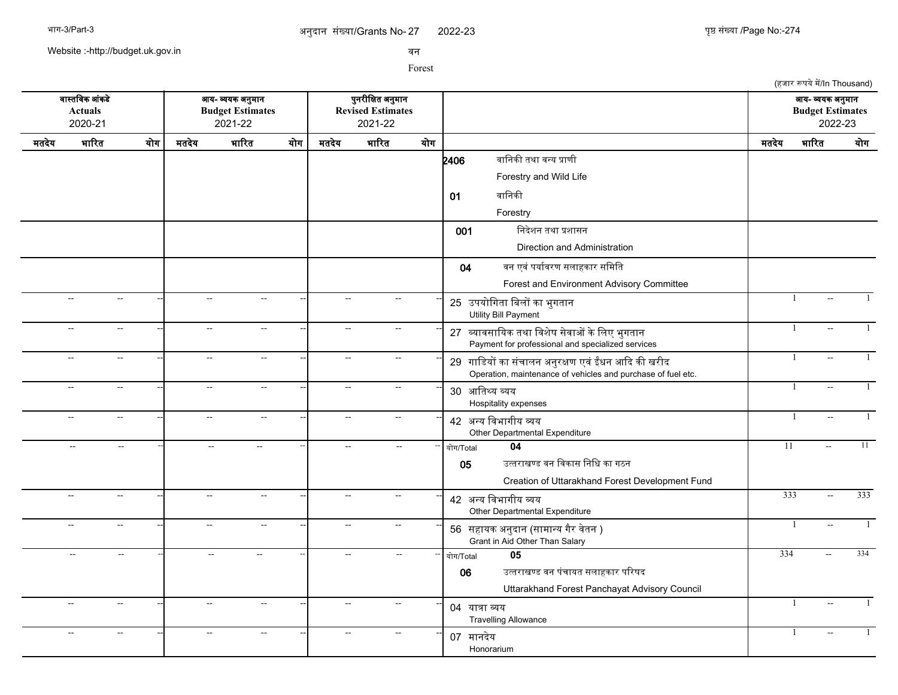(हजार रूपये में/In Thousand)

Website :-http://budget.uk.gov.in

सन

Forest

सगसतचसक आसकडद आख- वखक अननमगन पननरजचकत अननमगन आख- वखक अननमगन **Actuals Budget Estimates Revised Estimates Budget Estimates** 2020-21 2021-22 2021-22 2022-23 मतदखद भगररत खरग मतदखद भगररत खरग मतदखद भगररत खरग मतदखद भगररत खरग  $2406$  बानिकी तथा वन्य प्राणी Forestry and Wild Life 01 वानिकी Forestry 001 निदेशन तथा प्रशासन Direction and Administration 04 वन एवं पर्यावरण सलाहकार समिति Forest and Environment Advisory Committee -- -- -- -- -- -- <sup>25</sup> उपखरचगतग चबलर कग भनगतगन -- -- -- 1 -- 1 Utility Bill Payment -- -- -- -- -- -- <sup>27</sup> वखगससगचखक तथग चसशदष सदसगओ कदचलए भनगतगन -- -- -- 1 -- 1 Payment for professional and specialized services -- -- -- -- -- -- <sup>29</sup> गगचडखर कग ससचगलन अननरकण एसस ईधन आकद कक खरजद -- -- -- 1 -- 1 Operation, maintenance of vehicles and purchase of fuel etc. -- -- -- -- -- -- <sup>30</sup> आचतसख वखख Hospitality expenses -- -- -- 1 -- 1 -- -- -- -- -- -- <sup>42</sup> अनख चसभगगजख वख -- -- -- 1 -- 1 Other Departmental Expenditure -- -- -- -- -- -- -- -- -- खरग/Total **04** 11 -- 11 05 उत्तराखण्ड वन विकास निधि का गठन Creation of Uttarakhand Forest Development Fund -- -- -- -- -- -- <sup>42</sup> अनख चसभगगजख वख -- -- -- 333 -- 333 Other Departmental Expenditure -- -- -- -- -<mark>-</mark> -- - -- -- -- - -- -- -- -- -- -- 56 सहायक अनुदान (सामान्य गैर वेतन ) -- - - - - - - - - - - - - - 1 Grant in Aid Other Than Salary -- -- -- -- -- -- -- -- -- खरग/Total **05** 334 -- 334 06 उततरगखणड सन पसचगखत सलगहकगर पररषद Uttarakhand Forest Panchayat Advisory Council -- -- -- -- -- -- <sup>04</sup> खगतग वख Travelling Allowance -- -- -- 1 -- 1 -- -- -- -- -- -- <sup>07</sup> मगनदखद **Honorarium** -- -- -- 1 -- 1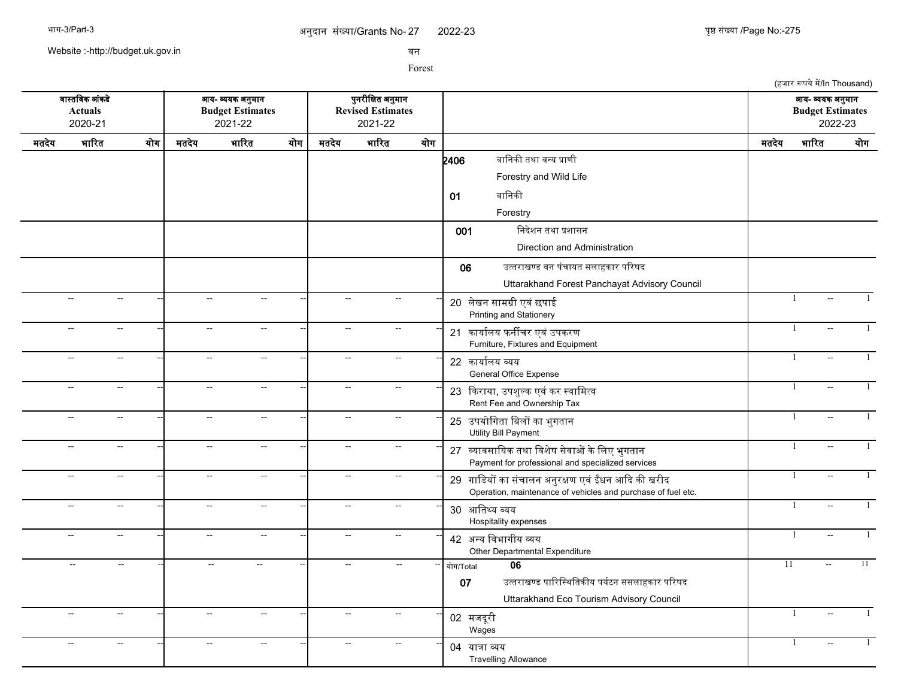2022-23 275

(हजार रूपये में/In Thousand)

Website :-http://budget.uk.gov.in

सन

Forest

सगसतचसक आसकडद आख- वखक अननमगन पननरजचकत अननमगन आख- वखक अननमगन **Actuals Budget Estimates Revised Estimates Budget Estimates** 2020-21 2021-22 2021-22 2022-23 मतदखद भगररत खरग मतदखद भगररत खरग मतदखद भगररत खरग मतदखद भगररत खरग  $2406$  बानिकी तथा वन्य प्राणी Forestry and Wild Life 01 बानिकी Forestry 001 निदेशन तथा प्रशासन Direction and Administration 06 उततरगखणड सन पसचगखत सलगहकगर पररषद Uttarakhand Forest Panchayat Advisory Council -- -- -- -- -- -- <sup>20</sup> लदखन सगमगज एसस छपगई -- -- -- 1 -- 1 Printing and Stationery -- -- -- -- -- -- <sup>21</sup> कगखगरलख फनरचर एसस उपकरण -- -- -- 1 -- 1 Furniture, Fixtures and Equipment -- -- -- -- -- -- <sup>22</sup> कगखगरलख वखख General Office Expense -| -- - -| -- - -| 22 क्षणीयता लगा -- -- -- -- -- -- <sup>23</sup> ककरगखग, उपशनलक एससकर ससगचमतस -- -- -- 1 -- 1 Rent Fee and Ownership Tax -- -- -- -- -- -- <sup>25</sup> उपखरचगतग चबलर कग भनगतगन -- -- -- 1 -- 1 Utility Bill Payment -- -- -- -- -- -- <sup>27</sup> वखगससगचखक तथग चसशदष सदसगओ कदचलए भनगतगन -- -- -- 1 -- 1 Payment for professional and specialized services -- -- -- -- -- -- <sup>29</sup> गगचडखर कग ससचगलन अननरकण एसस ईधन आकद कक खरजद -- -- -- 1 -- 1 Operation, maintenance of vehicles and purchase of fuel etc. -- -- -- -- -- -- <sup>30</sup> आचतसख वखख Hospitality expenses -- -- -- 1 -- 1 -- -- -- -- -- -- <sup>42</sup> अनख चसभगगजख वख -- -- -- 1 -- 1 Other Departmental Expenditure -- -- -- -- -- -- -- -- -- खरग/Total **06** 11 -- 11 07 उत्तराखण्ड पारिस्थितिकीय पर्यटन ससलाहकार परिषद Uttarakhand Eco Tourism Advisory Council -- -- -- -- -- -- <sup>02</sup> मजदरज <sup>प</sup> Wages -- -- -- 1 -- 1 -- -- -- -- -- -- <sup>04</sup> खगतग वख Travelling Allowance -- -- -- 1 -- 1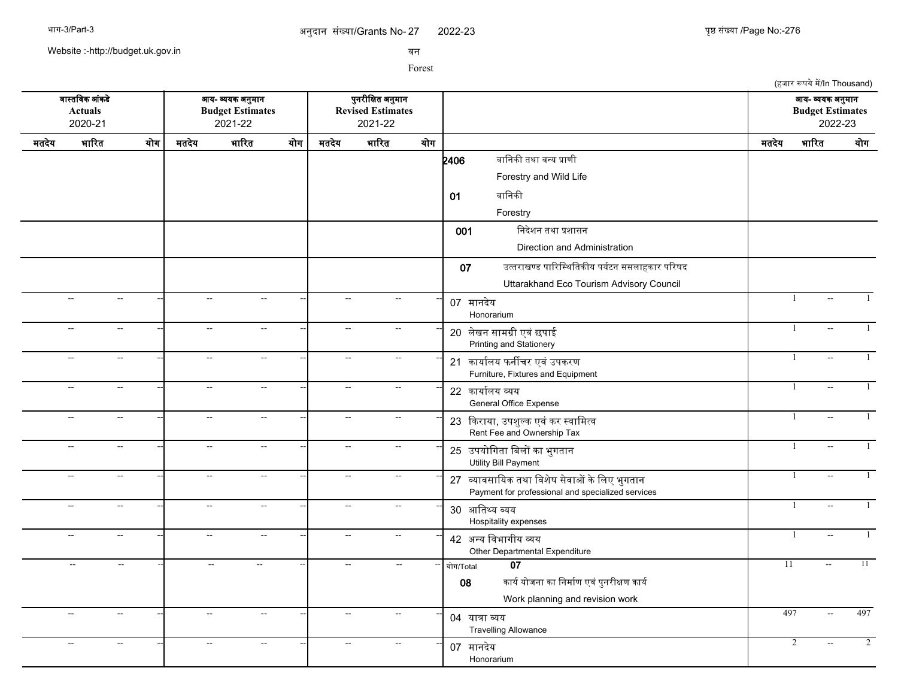2022-23 276

(हजार रूपये में/In Thousand)

Website :-http://budget.uk.gov.in

सन

Forest

सगसतचसक आसकडद आख- वखक अननमगन पननरजचकत अननमगन आख- वखक अननमगन **Actuals Budget Estimates Revised Estimates Budget Estimates** 2020-21 2021-22 2021-22 2022-23 मतदखद भगररत खरग मतदखद भगररत खरग मतदखद भगररत खरग मतदखद भगररत खरग  $2406$  बानिकी तथा वन्य प्राणी Forestry and Wild Life 01 बानिकी Forestry 001 निदेशन तथा प्रशासन Direction and Administration 07 उत्तराखण्ड पारिस्थितिकीय पर्यटन ससलाहकार परिषद Uttarakhand Eco Tourism Advisory Council -- -- -- -- -- -- <sup>07</sup> मगनदखद Honorarium -- -- -- 1 -- 1 -- -- -- -- -- -- <sup>20</sup> लदखन सगमगज एसस छपगई -- -- -- 1 -- 1 Printing and Stationery -- -- -- -- -- -- <sup>21</sup> कगखगरलख फनरचर एसस उपकरण -- -- -- 1 -- 1 Furniture, Fixtures and Equipment -- -- -- -- -- -- <sup>22</sup> कगखगरलख वखख General Office Expense -- -- -- 1 -- 1 -- -- -- -- -- -- <sup>23</sup> ककरगखग, उपशनलक एससकर ससगचमतस -- -- -- 1 -- 1 Rent Fee and Ownership Tax -- -- -- -- -- -- <sup>25</sup> उपखरचगतग चबलर कग भनगतगन -- -- -- 1 -- 1 Utility Bill Payment -- -- -- -- -- -- <sup>27</sup> वखगससगचखक तथग चसशदष सदसगओ कदचलए भनगतगन -- -- -- 1 -- 1 Payment for professional and specialized services -- -- -- -- -- -- <sup>30</sup> आचतसख वखख Hospitality expenses -- -- -- 1 -- 1 -- -- -- -- -- -- <sup>42</sup> अनख चसभगगजख वख -- -- -- 1 -- 1 Other Departmental Expenditure -- -- -- -- -- -- -- -- -- खरग/Total **07** 11 -- 11 08 कार्य योजना का निर्माण एवं पुनरीक्षण कार्य Work planning and revision work -- -- -- -- -- -- <sup>04</sup> खगतग वख Travelling Allowance -- -- -- 497 -- 497 -- -- -- -- -- -- <sup>07</sup> मगनदखद Honorarium -- -- -- 2 -- 2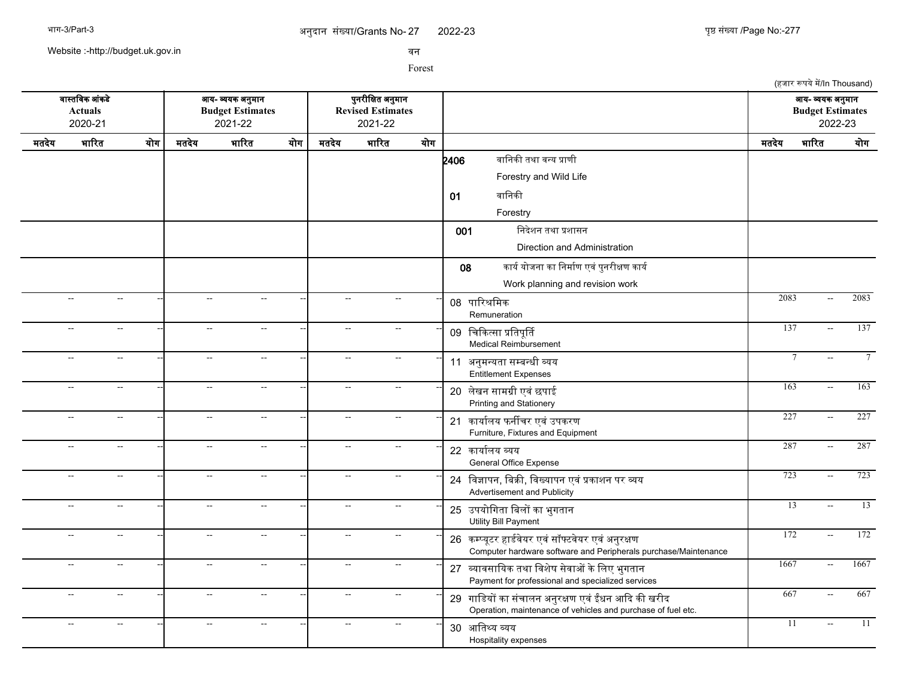2022-23 277

Website :-http://budget.uk.gov.in

सन

|       |                                             |                |                           |                                                        |     |                          |                                                          |     |                                                                                                                      |       | (हजार रूपये में/In Thousand)                |         |
|-------|---------------------------------------------|----------------|---------------------------|--------------------------------------------------------|-----|--------------------------|----------------------------------------------------------|-----|----------------------------------------------------------------------------------------------------------------------|-------|---------------------------------------------|---------|
|       | वास्तविक आंकडे<br><b>Actuals</b><br>2020-21 |                |                           | आय- व्ययक अनुमान<br><b>Budget Estimates</b><br>2021-22 |     |                          | पुनरीक्षित अनुमान<br><b>Revised Estimates</b><br>2021-22 |     |                                                                                                                      |       | आय- व्ययक अनुमान<br><b>Budget Estimates</b> | 2022-23 |
| मतदेय | भारित                                       | योग            | मतदेय                     | भारित                                                  | योग | मतदेय                    | भारित                                                    | योग |                                                                                                                      | मतदेय | भारित                                       | योग     |
|       |                                             |                |                           |                                                        |     |                          |                                                          |     | वानिकी तथा वन्य प्राणी<br>2406<br>Forestry and Wild Life<br>वानिकी<br>01<br>Forestry                                 |       |                                             |         |
|       |                                             |                |                           |                                                        |     |                          |                                                          |     | निदेशन तथा प्रशासन<br>001<br>Direction and Administration                                                            |       |                                             |         |
|       | $\sim$                                      | $\sim$         | $\sim$                    | $\sim$                                                 |     | $\overline{a}$           |                                                          |     | कार्य योजना का निर्माण एवं पुनरीक्षण कार्य<br>08<br>Work planning and revision work                                  | 2083  | $\sim$ $\sim$                               | 2083    |
|       |                                             |                |                           |                                                        |     | ÷.                       |                                                          |     | 08 पारिश्रमिक<br>Remuneration                                                                                        | 137   |                                             | 137     |
|       | $\sim$                                      | $\sim$         | $\sim$                    | $\sim$ $\sim$                                          |     |                          | $\sim$ $\sim$                                            |     | 09 चिकित्सा प्रतिपूर्ति<br><b>Medical Reimbursement</b>                                                              |       | $\mathbb{L}^{\mathbb{L}}$                   |         |
|       | $\overline{a}$                              | $\sim$         | $\overline{\phantom{a}}$  | $\overline{\phantom{a}}$                               |     | Ξ.                       |                                                          |     | 11 अनुमन्यता सम्बन्धी व्यय<br><b>Entitlement Expenses</b>                                                            |       | $7\phantom{.0}$                             |         |
|       | $\sim$                                      | $\sim$         | $\overline{a}$            | $\sim$                                                 |     | $\overline{\phantom{a}}$ | $\sim$                                                   |     | 20 लेखन सामग्री एवं छपाई<br>Printing and Stationery                                                                  | 163   | $\sim$ $\sim$                               | 163     |
|       | --                                          | $\sim$         | $\overline{\phantom{a}}$  | $\overline{a}$                                         |     | $\overline{\phantom{a}}$ | $\sim$                                                   |     | 21 कार्यालय फर्नीचर एवं उपकरण<br>Furniture, Fixtures and Equipment                                                   | 227   | $\mathbb{L}^{\mathbb{L}}$                   | 227     |
|       | $\mathbb{H}^{\mathbb{Z}}$                   | $\sim$         | $\sim$ $\sim$             | $\sim$                                                 |     | $\overline{\phantom{a}}$ | $\sim$                                                   |     | 22 कार्यालय व्यय<br>General Office Expense                                                                           | 287   | $\sim$                                      | 287     |
|       | $\sim$                                      | $\sim$         | $\mathbb{L}^{\mathbb{L}}$ | $\sim$                                                 |     | $\overline{\phantom{a}}$ | $\sim$                                                   |     | 24 विज्ञापन, बिक्री, विख्यापन एवं प्रकाशन पर व्यय<br>Advertisement and Publicity                                     | 723   | $\sim$                                      | 723     |
|       | $\sim$                                      | $\sim$         | $\sim$                    | $\sim$                                                 |     | $\overline{a}$           | $\sim$                                                   |     | 25 उपयोगिता बिलों का भुगतान<br><b>Utility Bill Payment</b>                                                           |       | $\overline{13}$<br>$\sim$                   | 13      |
|       | $\overline{\phantom{a}}$                    | $\sim$         | $\overline{a}$            | $\sim$                                                 |     | $\sim$                   | $\sim$                                                   |     | 26 कम्प्यूटर हार्डवेयर एवं सॉफ्टवेयर एवं अनुरक्षण<br>Computer hardware software and Peripherals purchase/Maintenance | 172   | $\sim$ $\sim$                               | 172     |
|       | Ξ.                                          | $\sim$         | Щ,                        | $\sim$                                                 |     | $\overline{\phantom{a}}$ | $\mathbb{L}^{\mathbb{L}}$                                |     | 27 व्यावसायिक तथा विशेष सेवाओं के लिए भुगतान<br>Payment for professional and specialized services                    | 1667  | $\mathcal{L}_{\mathcal{F}}$                 | 1667    |
|       | $\overline{a}$                              | $\sim$         | $\sim$                    | $\sim$ $\sim$                                          |     | $\sim$                   | $\sim$ $\sim$                                            |     | 29 गाडियों का संचालन अनुरक्षण एवं ईंधन आदि की खरीद<br>Operation, maintenance of vehicles and purchase of fuel etc.   | 667   | $\sim$                                      | 667     |
|       | $\mathbf{L}$                                | $\overline{a}$ | $\sim$                    | $\overline{a}$                                         |     | Ξ.                       |                                                          |     | 30 आतिथ्य व्यय<br>Hospitality expenses                                                                               |       | 11<br>$\sim$                                | 11      |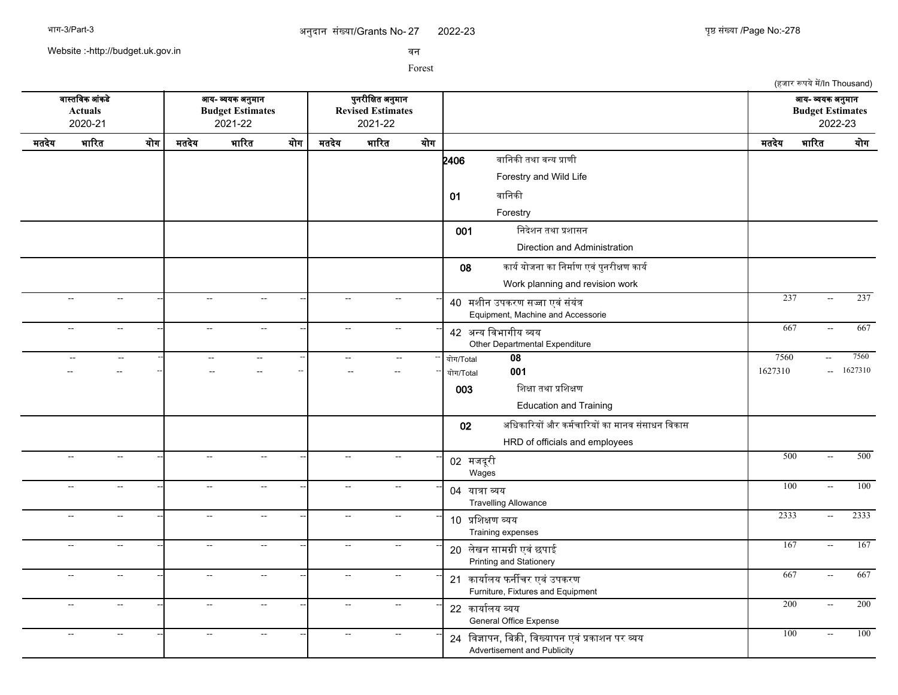(हजार रूपये में/In Thousand)

Website :-http://budget.uk.gov.in

सन

Forest

सगसतचसक आसकडद आख- वखक अननमगन पननरजचकत अननमगन आख- वखक अननमगन **Actuals Budget Estimates Revised Estimates Budget Estimates** 2020-21 2021-22 2021-22 2022-23 मतदखद भगररत खरग मतदखद भगररत खरग मतदखद भगररत खरग मतदखद भगररत खरग  $2406$  बानिकी तथा वन्य प्राणी Forestry and Wild Life 01 वानिकी Forestry 001 निदेशन तथा प्रशासन Direction and Administration 08 कार्य योजना का निर्माण एवं पुनरीक्षण कार्य Work planning and revision work -- -- -- -- -- -- <sup>40</sup> मशजन उपकरण सजग एससससखसत -- -- -- 237 -- 237 Equipment, Machine and Accessorie -- -- -- -- -- -- <sup>42</sup> अनख चसभगगजख वख Other Departmental Expenditure -- - - - - - - - - 42 <del>251 AvenUs are</del> - - - 667 - 667 - 667 -- -- -- -- -- -- -- -- -- खरग/Total **08** 7560 -- 7560 -- -- -- -- -- -- -- -- -- खरग/Total **001** 1627310 -- 1627310  $003$  शिक्षा तथा प्रशिक्षण Education and Training 02 अधिकारियों और कर्मचारियों का मानव संसाधन विकास HRD of officials and employees -- -- -- -- -- -- <sup>02</sup> मजदरज <sup>प</sup> Wages -- - - - - - - - - - - 02 <del>maza</del> - - - - - 500 - 500 - 500 -- -- -- -- -- -- <sup>04</sup> खगतग वख Travelling Allowance -- -- -- 100 -- 100 -- -- -- -- -- -- <sup>10</sup> पचशकण वखख Training expenses -- -- -- 2333 -- 2333 -- -- -- -- -- -- <sup>20</sup> लदखन सगमगज एसस छपगई -- -- -- 167 -- 167 Printing and Stationery -- -- -- -- -<mark>-</mark> -- -- -- -- - -- -- -- -- -- -- 21 कार्यालय फर्नीचर एवं उपकरण Furniture, Fixtures and Equipment -- -- -- -- -- -- <sup>22</sup> कगखगरलख वखख General Office Expense -- -- -- 200 -- 200 -- -- -- -- -- -- <sup>24</sup> चसजगपन, चबकक, चसखखगपन एसस पकगशन पर वख -- -- -- 100 -- 100Advertisement and Publicity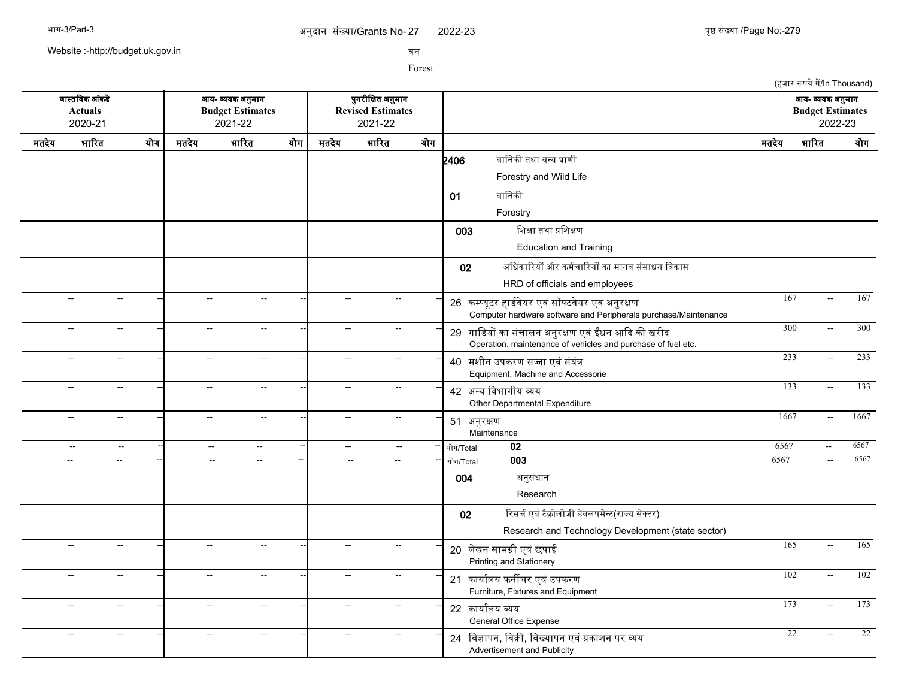2022-23 युष्ठ संख्या /Page No:-279

(हजार रूपये में/In Thousand)

Website :-http://budget.uk.gov.in

सन

Forest

सगसतचसक आसकडद आख- वखक अननमगन पननरजचकत अननमगन आख- वखक अननमगन **Actuals Budget Estimates Revised Estimates Budget Estimates** 2020-21 2021-22 2021-22 2022-23 मतदखद भगररत खरग मतदखद भगररत खरग मतदखद भगररत खरग मतदखद भगररत खरग  $2406$  बानिकी तथा वन्य प्राणी Forestry and Wild Life 01 वानिकी Forestry  $003$  शिक्षा तथा प्रशिक्षण Education and Training 02 अधिकारियों और कर्मचारियों का मानव संसाधन विकास HRD of officials and employees -- -- -- -- -- -- <sup>26</sup> कममखपटर हगडरसदखर एससससफटसदखर एससअननरकण -- -- -- 167 -- 167 Computer hardware software and Peripherals purchase/Maintenance -- -- -- -- -- -- <sup>29</sup> गगचडखर कग ससचगलन अननरकण एसस ईधन आकद कक खरजद -- -- -- 300 -- 300 Operation, maintenance of vehicles and purchase of fuel etc. -- -- -- -- -- -- <sup>40</sup> मशजन उपकरण सजग एससससखसत -- -- -- 233 -- 233 Equipment, Machine and Accessorie -- -- -- -- -- -- <sup>42</sup> अनख चसभगगजख वख -- -- -- 133 -- 133 Other Departmental Expenditure -- -- -- -- -- -- <sup>51</sup> अननरकण **Maintenance** -- -- -- 1667 -- 1667 -- -- -- -- -- -- -- -- -- खरग/Total **02** 6567 -- 6567 -- -- -- -- -- -- -- -- -- खरग/Total **003** 6567 -- 6567 004 अननससधगन Research 02 रिसर्च एवं टैक्नोलोजी डेवलपमेन्ट(राज्य सेक्टर) Research and Technology Development (state sector) -- -- -- -- -- -- <sup>20</sup> लदखन सगमगज एसस छपगई -- -- -- 165 -- 165 Printing and Stationery -- -- -- -- -<mark>-</mark> -- -- -- -- - -- -- -- -- -- -- 21 कार्यालय फर्नीचर एवं उपकरण Furniture, Fixtures and Equipment -- -- -- -- -- -- <sup>22</sup> कगखगरलख वखख General Office Expense -- -- -- 173 -- 173 -- -- -- -- -- -- <sup>24</sup> चसजगपन, चबकक, चसखखगपन एसस पकगशन पर वख -- -- -- 22 -- 22Advertisement and Publicity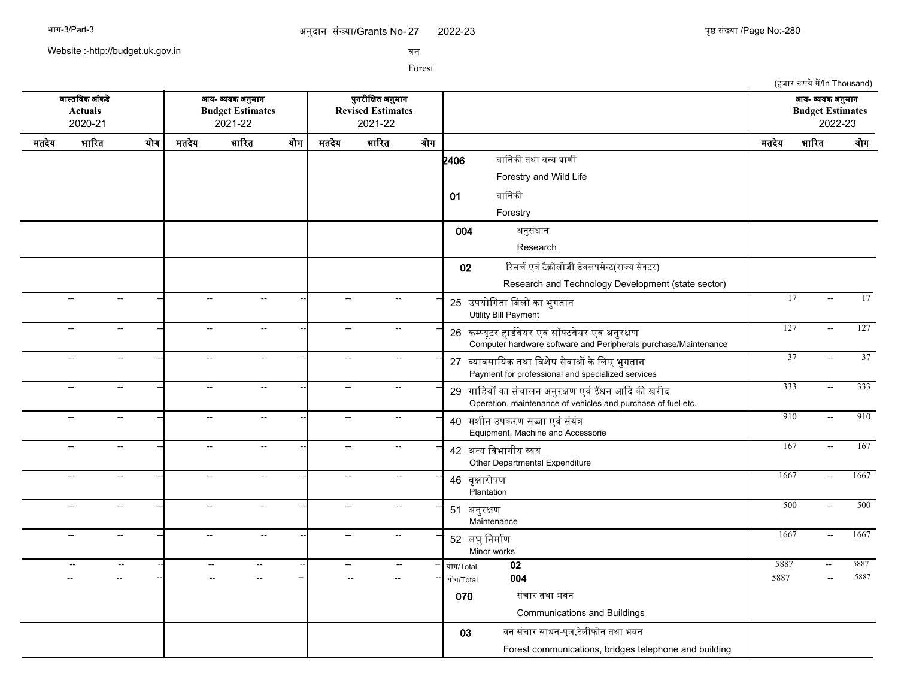9022-23 पुष्ठ संख्या /Page No:-280

(हजार रूपये में/In Thousand)

Website :-http://budget.uk.gov.in

सन

|       | वास्तविक आंकडे<br><b>Actuals</b><br>2020-21 |     |                          | आय- व्ययक अनुमान<br><b>Budget Estimates</b><br>2021-22 |                          | पुनरीक्षित अनुमान<br><b>Revised Estimates</b><br>2021-22 |     |                                                                                                                      |                 | आय- व्ययक अनुमान<br><b>Budget Estimates</b><br>2022-23 |                 |
|-------|---------------------------------------------|-----|--------------------------|--------------------------------------------------------|--------------------------|----------------------------------------------------------|-----|----------------------------------------------------------------------------------------------------------------------|-----------------|--------------------------------------------------------|-----------------|
| मतदेय | भारित                                       | योग | मतदेय                    | भारित<br>योग                                           | मतदेय                    | भारित                                                    | योग |                                                                                                                      | मतदेय           | भारित                                                  | योग             |
|       |                                             |     |                          |                                                        |                          |                                                          |     | वानिकी तथा वन्य प्राणी<br>2406                                                                                       |                 |                                                        |                 |
|       |                                             |     |                          |                                                        |                          |                                                          |     | Forestry and Wild Life                                                                                               |                 |                                                        |                 |
|       |                                             |     |                          |                                                        |                          |                                                          |     | वानिकी<br>01                                                                                                         |                 |                                                        |                 |
|       |                                             |     |                          |                                                        |                          |                                                          |     | Forestry                                                                                                             |                 |                                                        |                 |
|       |                                             |     |                          |                                                        |                          |                                                          |     | अनुसंधान<br>004                                                                                                      |                 |                                                        |                 |
|       |                                             |     |                          |                                                        |                          |                                                          |     | Research                                                                                                             |                 |                                                        |                 |
|       |                                             |     |                          |                                                        |                          |                                                          |     | रिसर्च एवं टैक्नोलोजी डेवलपमेन्ट(राज्य सेक्टर)<br>02                                                                 |                 |                                                        |                 |
|       |                                             |     |                          |                                                        |                          |                                                          |     | Research and Technology Development (state sector)                                                                   |                 |                                                        |                 |
|       | $\mathbb{L}^{\mathbb{L}}$<br>$\sim$ $\sim$  |     | $\mathbf{L}$             | $\mathbf{u}$                                           | $\sim$                   | $\sim$ $\sim$                                            |     | 25 उपयोगिता बिलों का भुगतान<br><b>Utility Bill Payment</b>                                                           | 17              |                                                        | 17              |
|       | $\overline{a}$<br>$\sim$                    |     | $\overline{\phantom{a}}$ | $\sim$                                                 | $\overline{a}$           | $\mathbf{u}$                                             |     | 26 कम्प्यूटर हार्डवेयर एवं सॉफ्टवेयर एवं अनुरक्षण<br>Computer hardware software and Peripherals purchase/Maintenance | 127             |                                                        | 127             |
|       | $\sim$<br>$\sim$                            |     | $\sim$                   | $\sim$                                                 | $\overline{a}$           | $\sim$ $\sim$                                            |     | 27 व्यावसायिक तथा विशेष सेवाओं के लिए भुगतान<br>Payment for professional and specialized services                    | $\overline{37}$ | $\sim$ $\sim$                                          | $\overline{37}$ |
|       | $\mathbb{H}^{\mathbb{Z}}$<br>$\sim$         |     | $\sim$ $\sim$            | $\sim$                                                 | цц.                      | $\sim$                                                   |     | 29 गाडियों का संचालन अनुरक्षण एवं ईंधन आदि की खरीद<br>Operation, maintenance of vehicles and purchase of fuel etc.   | 333             | $\sim$                                                 | 333             |
|       | $\sim$<br>$\sim$                            |     | $\sim$ $\sim$            | $\sim$                                                 | $\qquad \qquad -$        | $\sim$                                                   |     | 40 मशीन उपकरण सज्जा एवं संयंत्र<br>Equipment, Machine and Accessorie                                                 | 910             | $\sim$                                                 | 910             |
|       | $\sim$ $\sim$<br>$\sim$                     |     | $\sim$                   | $\sim$                                                 | Щ,                       | $\sim$                                                   |     | 42 अन्य विभागीय व्यय<br>Other Departmental Expenditure                                                               | 167             | $\sim$                                                 | 167             |
|       | $\sim$<br>$\sim$                            |     | $\sim$                   | $\sim$                                                 | $\overline{\phantom{a}}$ | $\sim$                                                   |     | 46 वृक्षारोपण<br>Plantation                                                                                          | 1667            | $\sim$                                                 | 1667            |
|       | $\sim$ $\sim$<br>$\sim$                     |     | $\sim$                   | $\sim$                                                 | $\overline{a}$           | $\sim$                                                   |     | 51 अनुरक्षण<br>Maintenance                                                                                           | 500             | $\sim$ $\sim$                                          | 500             |
|       | $\sim$<br>$\sim$                            |     | $\sim$ $\sim$            | $\sim$                                                 | $\overline{a}$           | $\sim$                                                   |     | 52 लघु निर्माण<br>Minor works                                                                                        | 1667            | $\sim$                                                 | 1667            |
|       | $\sim$                                      |     |                          | --                                                     |                          |                                                          |     | 02<br>योग/Total                                                                                                      | 5887            | $\overline{a}$                                         | 5887            |
|       |                                             |     |                          |                                                        |                          |                                                          |     | 004<br>योग/Total                                                                                                     | 5887            |                                                        | 5887            |
|       |                                             |     |                          |                                                        |                          |                                                          |     | 070<br>संचार तथा भवन<br><b>Communications and Buildings</b>                                                          |                 |                                                        |                 |
|       |                                             |     |                          |                                                        |                          |                                                          |     | वन संचार साधन-पुल,टेलीफोन तथा भवन<br>03                                                                              |                 |                                                        |                 |
|       |                                             |     |                          |                                                        |                          |                                                          |     | Forest communications, bridges telephone and building                                                                |                 |                                                        |                 |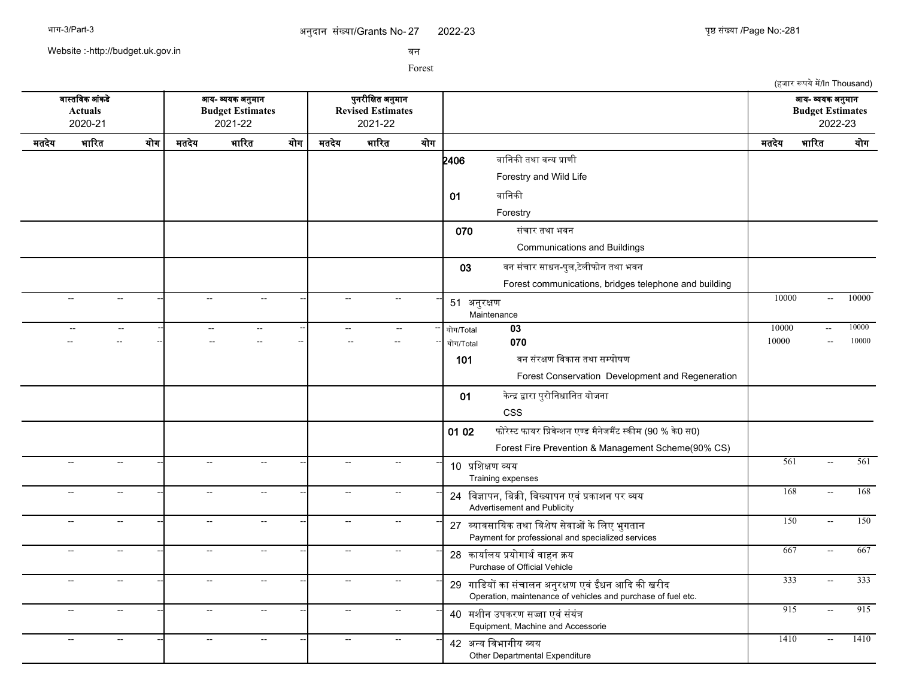9 अपनी पर पर पर पर पर पर पर पर पर पर पर 2022-23 पुष्ठ संख्या /Page No:-281

Website :-http://budget.uk.gov.in

सन

|       |                                             |              |                             |                                                        |                          |                          |                                                          |     |                   |                                                                                                                    |       | (हजार रूपये में/In Thousand)                           |                  |
|-------|---------------------------------------------|--------------|-----------------------------|--------------------------------------------------------|--------------------------|--------------------------|----------------------------------------------------------|-----|-------------------|--------------------------------------------------------------------------------------------------------------------|-------|--------------------------------------------------------|------------------|
|       | वास्तविक आंकडे<br><b>Actuals</b><br>2020-21 |              |                             | आय- व्ययक अनुमान<br><b>Budget Estimates</b><br>2021-22 |                          |                          | पुनरीक्षित अनुमान<br><b>Revised Estimates</b><br>2021-22 |     |                   |                                                                                                                    |       | आय- व्ययक अनुमान<br><b>Budget Estimates</b><br>2022-23 |                  |
| मतदेय | भारित                                       | योग          | मतदेय                       | भारित                                                  | योग                      | मतदेय                    | भारित                                                    | योग |                   |                                                                                                                    | मतदेय | भारित                                                  | योग              |
|       |                                             |              |                             |                                                        |                          |                          |                                                          |     | 2406              | वानिकी तथा वन्य प्राणी                                                                                             |       |                                                        |                  |
|       |                                             |              |                             |                                                        |                          |                          |                                                          |     |                   | Forestry and Wild Life                                                                                             |       |                                                        |                  |
|       |                                             |              |                             |                                                        |                          |                          |                                                          |     | 01                | वानिकी                                                                                                             |       |                                                        |                  |
|       |                                             |              |                             |                                                        |                          |                          |                                                          |     |                   | Forestry                                                                                                           |       |                                                        |                  |
|       |                                             |              |                             |                                                        |                          |                          |                                                          |     | 070               | संचार तथा भवन                                                                                                      |       |                                                        |                  |
|       |                                             |              |                             |                                                        |                          |                          |                                                          |     |                   | Communications and Buildings                                                                                       |       |                                                        |                  |
|       |                                             |              |                             |                                                        |                          |                          |                                                          |     | 03                | वन संचार साधन-पुल,टेलीफोन तथा भवन                                                                                  |       |                                                        |                  |
|       |                                             |              |                             |                                                        |                          |                          |                                                          |     |                   | Forest communications, bridges telephone and building                                                              |       |                                                        |                  |
|       | $\overline{a}$                              | н.           | $\sim$                      | $\sim$                                                 |                          | $\sim$                   | $\sim$                                                   |     | 51 अनुरक्षण       | Maintenance                                                                                                        | 10000 | $\sim$                                                 | 10000            |
|       |                                             | $\sim$       | $\sim$                      | $\mathcal{L}_{\mathcal{F}}$                            |                          | $\overline{a}$           | $\sim$                                                   |     | योग/Total         | $\overline{03}$                                                                                                    | 10000 | $\mathcal{L}_{\mathcal{F}}$                            | 10000            |
|       |                                             |              |                             | --                                                     | $\overline{\phantom{a}}$ |                          |                                                          |     | योग/Total         | 070                                                                                                                | 10000 |                                                        | 10000            |
|       |                                             |              |                             |                                                        |                          |                          |                                                          |     | 101               | वन संरक्षण विकास तथा सम्पोषण                                                                                       |       |                                                        |                  |
|       |                                             |              |                             |                                                        |                          |                          |                                                          |     |                   | Forest Conservation Development and Regeneration                                                                   |       |                                                        |                  |
|       |                                             |              |                             |                                                        |                          |                          |                                                          |     | 01                | केन्द्र द्वारा पुरोनिधानित योजना                                                                                   |       |                                                        |                  |
|       |                                             |              |                             |                                                        |                          |                          |                                                          |     |                   | <b>CSS</b>                                                                                                         |       |                                                        |                  |
|       |                                             |              |                             |                                                        |                          |                          |                                                          |     | 01 02             | फोरेस्ट फायर प्रिवेन्शन एण्ड मैनेजमैंट स्कीम (90 % के0 स0)                                                         |       |                                                        |                  |
|       |                                             |              |                             |                                                        |                          |                          |                                                          |     |                   | Forest Fire Prevention & Management Scheme(90% CS)                                                                 |       |                                                        |                  |
|       | цц.                                         | н.           | $\sim$                      | $\sim$                                                 |                          | $\overline{\phantom{a}}$ | $\sim$                                                   |     | 10 प्रशिक्षण व्यय | Training expenses                                                                                                  | 561   | $\sim$                                                 | $\overline{561}$ |
|       | $\sim$<br>$\overline{a}$                    |              | $\sim$                      | $\sim$                                                 |                          | $\sim$                   | $\sim$                                                   |     |                   | 24 विज्ञापन, बिक्री, विख्यापन एवं प्रकाशन पर व्यय<br>Advertisement and Publicity                                   | 168   | $\sim$                                                 | 168              |
|       | $\overline{a}$                              | $\sim$       | $\mathcal{L}_{\mathcal{F}}$ | $\sim$                                                 |                          | 44                       | $\sim$                                                   |     |                   | 27 व्यावसायिक तथा विशेष सेवाओं के लिए भुगतान<br>Payment for professional and specialized services                  | 150   | $\mathbb{L}^{\mathbb{L}}$                              | 150              |
|       | $\ddotsc$                                   | $\mathbf{u}$ | $\mathbb{L}^{\mathbb{L}}$   | $\mathbb{L}^{\mathbb{L}}$                              |                          | $\overline{\phantom{a}}$ | $\mathbb{L}^{\mathbb{L}}$                                |     |                   | 28 कार्यालय प्रयोगार्थ वाहन क्रय<br>Purchase of Official Vehicle                                                   | 667   | $\mathbb{L}^{\mathbb{L}}$                              | 667              |
|       | цц.                                         | $\sim$       | $\sim$                      | $\sim$                                                 |                          | $\sim$                   | $\sim$ $\sim$                                            |     |                   | 29 गाडियों का संचालन अनुरक्षण एवं ईंधन आदि की खरीद<br>Operation, maintenance of vehicles and purchase of fuel etc. | 333   | $\sim$                                                 | 333              |
|       | $\overline{\phantom{a}}$                    | н.           | $\sim$                      | $\sim$                                                 |                          | $\overline{\phantom{a}}$ | $\sim$                                                   |     |                   | 40 मशीन उपकरण सज्जा एवं संयंत्र<br>Equipment, Machine and Accessorie                                               | 915   | $\sim$                                                 | 915              |
|       | $\sim$<br>Ξ.                                |              | $\sim$                      | $\overline{a}$                                         |                          | $\sim$                   | $\overline{a}$                                           |     |                   | 42 अन्य विभागीय व्यय<br>Other Departmental Expenditure                                                             | 1410  | $\overline{a}$                                         | 1410             |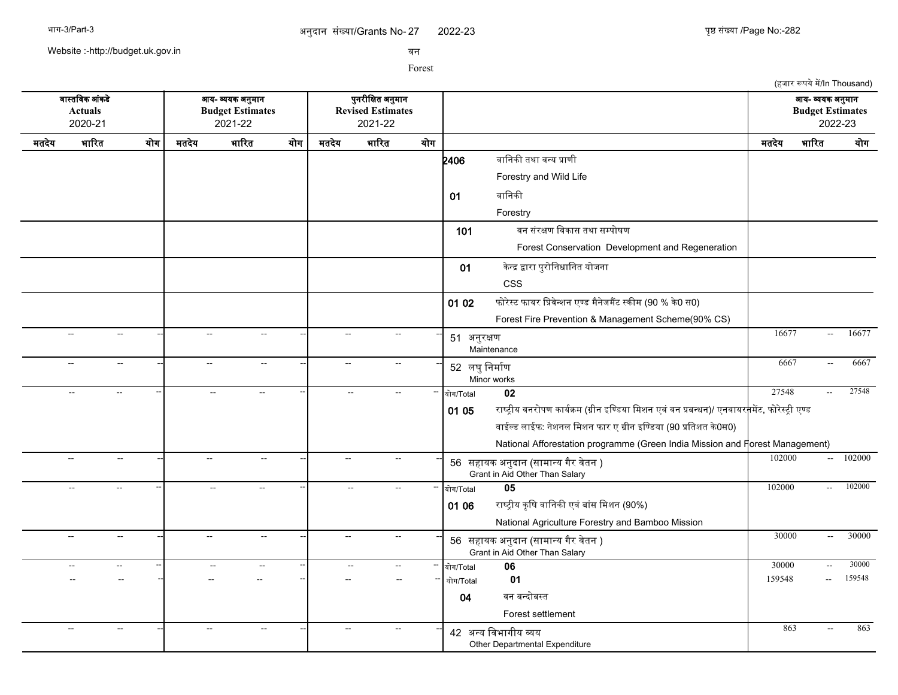(हजार रूपये में/In Thousand)

Website :-http://budget.uk.gov.in

सन

Forest

सगसतचसक आसकडद आख- वखक अननमगन पननरजचकत अननमगन आख- वखक अननमगन **Actuals Budget Estimates Revised Estimates Budget Estimates** 2020-21 2021-22 2021-22 2022-23 मतदखद भगररत खरग मतदखद भगररत खरग मतदखद भगररत खरग मतदखद भगररत खरग  $2406$  बानिकी तथा वन्य प्राणी Forestry and Wild Life 01 वानिकी Forestry 101 बन संरक्षण विकास तथा सम्पोषण Forest Conservation Development and Regeneration 01 केन्द्र द्वारा पुरोनिधानित योजना CSS 01 02 फोरेस्ट फायर प्रिवेन्शन एण्ड मैनेजमैंट स्कीम (90 % के0 स0) Forest Fire Prevention & Management Scheme(90% CS) -- -- -- -- -- -- <sup>51</sup> अननरकण **Maintenance** -- -- -- 16677 -- 16677 -- -- -- -- -- -- <sup>52</sup> लघनचनमगरण Minor works -- - - - - - - - - - - 5667 - 6667 - 6667 -- -- -- -- -- -- -- -- -- खरग/Total **02** 27548 -- 27548 01 05 राष्ट्रीय वनरोपण कार्यक्रम (ग्रीन इण्डिया मिशन एवं वन प्रबन्धन)/ एनवायर<mark>न</mark>मेंट, फोरेस्ट्री एण्ड वाईल्ड लाईफ: नेशनल मिशन फार ए ग्रीन इण्डिया (90 प्रतिशत के0स0) National Afforestation programme (Green India Mission and Forest Management) -- -- -- -- -- -- <sup>56</sup> सहगखक अननदगन (सगमगनख गगर सदतन ) -- -- -- 102000 -- 102000 Grant in Aid Other Than Salary -- -- -- -- -- -- -- -- -- खरग/Total **05** 102000 -- 102000 01 06 राष्ट्रीय कृषि वानिकी एवं बांस मिशन (90%) National Agriculture Forestry and Bamboo Mission -- -- -- -- -- -- <sup>56</sup> सहगखक अननदगन (सगमगनख गगर सदतन ) -- -- -- 30000 -- 30000 Grant in Aid Other Than Salary -- -- -- -- -- -- -- -- -- खरग/Total **06** 30000 -- 30000 -- -- -- -- -- -- -- -- -- खरग/Total **01** 159548 -- 159548 04 वन बन्दोबस्त Forest settlement -- -- -- -- -- -- <sup>42</sup> अनख चसभगगजख वख Other Departmental Expenditure -- - - - - - - - - - - - 1, 1, 2, 3<del>cm Devrifts and</del> the contract to the contract of the contract of the contract of the contract of the contract of the contract of the contract of the contract of the contract of the contr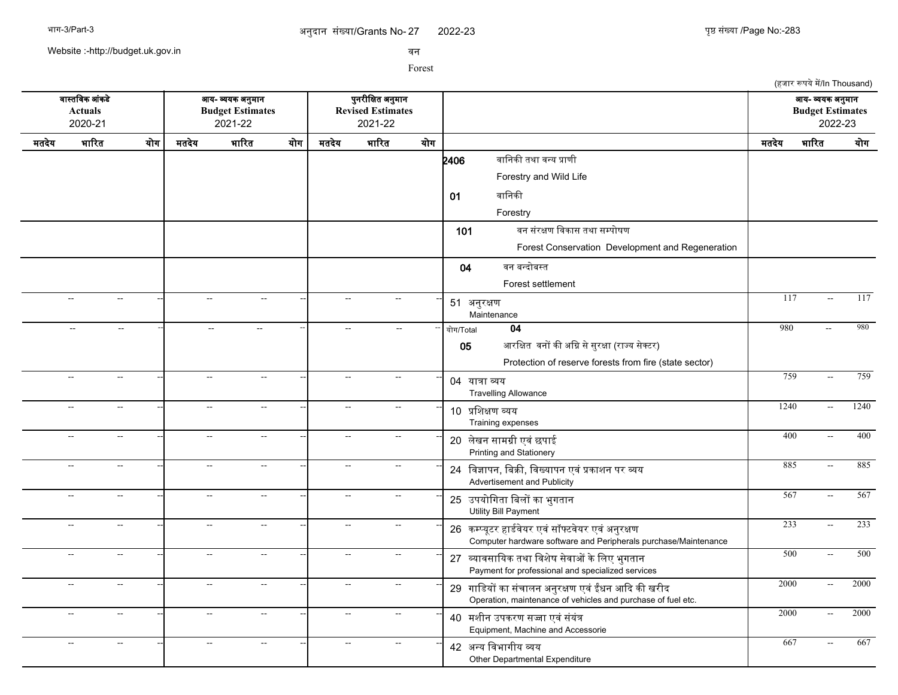2022-23 युष्ठ संख्या /Page No:-283

(हजार रूपये में/In Thousand)

Website :-http://budget.uk.gov.in

सन

Forest

सगसतचसक आसकडद आख- वखक अननमगन पननरजचकत अननमगन आख- वखक अननमगन **Actuals Budget Estimates Revised Estimates Budget Estimates** 2020-21 2021-22 2021-22 2022-23 मतदखद भगररत खरग मतदखद भगररत खरग मतदखद भगररत खरग मतदखद भगररत खरग  $2406$  बानिकी तथा वन्य प्राणी Forestry and Wild Life 01 वानिकी Forestry 101 बन संरक्षण विकास तथा सम्पोषण Forest Conservation Development and Regeneration 04 वन बन्दोबस्त Forest settlement -- -- -- -- -- -- <sup>51</sup> अननरकण Maintenance -- -- -- 117 -- 117 -- -- -- -- -- -- -- -- -- खरग/Total **04** 980 -- 980 05 आरक्षित वनों की अग्नि से सुरक्षा (राज्य सेक्टर) Protection of reserve forests from fire (state sector) -- -- -- -- -- -- <sup>04</sup> खगतग वख Travelling Allowance -- -- -- 759 -- 759 -- -- -- -- -- -- <sup>10</sup> पचशकण वखख Training expenses -- -- -- 1240 -- 1240 -- -- -- -- -- -- <sup>20</sup> लदखन सगमगज एसस छपगई -- -- -- 400 -- 400 Printing and Stationery -- -- -- -- -- -- <sup>24</sup> चसजगपन, चबकक, चसखखगपन एसस पकगशन पर वख -- -- -- 885 -- 885 Advertisement and Publicity -- -- -- -- -- -- <sup>25</sup> उपखरचगतग चबलर कग भनगतगन -- -- -- 567 -- 567 Utility Bill Payment -- -- -- -- -- -- <sup>26</sup> कममखपटर हगडरसदखर एससससफटसदखर एससअननरकण -- -- -- 233 -- 233 Computer hardware software and Peripherals purchase/Maintenance -- -- -- -- -- -- <sup>27</sup> वखगससगचखक तथग चसशदष सदसगओ कदचलए भनगतगन -- -- -- 500 -- 500 Payment for professional and specialized services -- -- -- -- -- -- <sup>29</sup> गगचडखर कग ससचगलन अननरकण एसस ईधन आकद कक खरजद -- -- -- 2000 -- 2000 Operation, maintenance of vehicles and purchase of fuel etc. -- -- -- -- -- -- <sup>40</sup> मशजन उपकरण सजग एससससखसत -- -- -- 2000 -- 2000 Equipment, Machine and Accessorie -- -- -- -- -- -- <sup>42</sup> अनख चसभगगजख वख Other Departmental Expenditure -- - - - - - - - - 42 <del>251 AvenUs are</del> - - - 667 - 667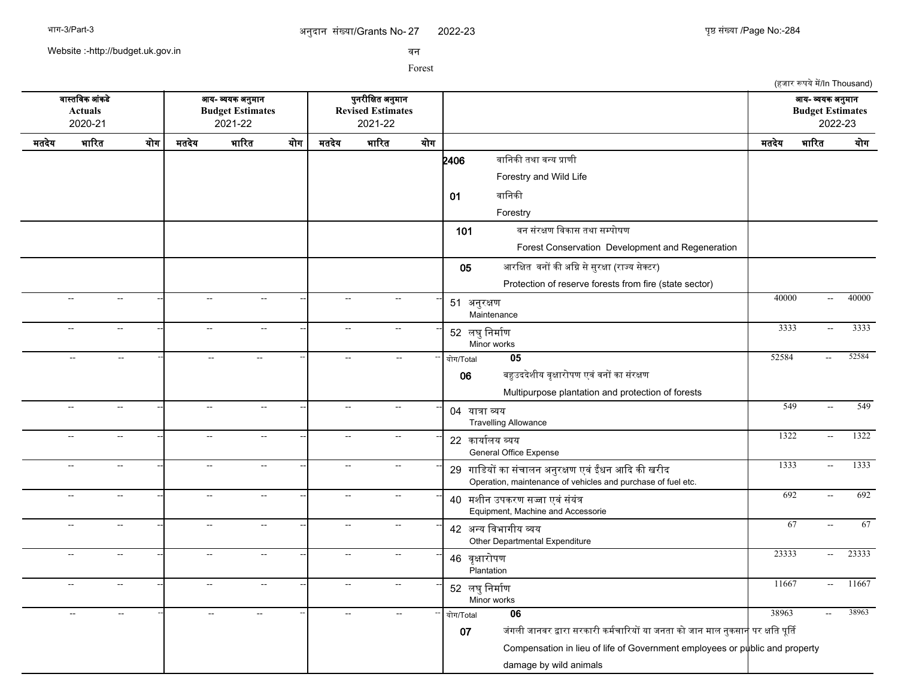Website :-http://budget.uk.gov.in

सन

|       |                                                      |     |                           |                                                        |     |                           |                                                          |     | (हजार रूपये में/In Thousand)                                                                                               |                          |       |
|-------|------------------------------------------------------|-----|---------------------------|--------------------------------------------------------|-----|---------------------------|----------------------------------------------------------|-----|----------------------------------------------------------------------------------------------------------------------------|--------------------------|-------|
|       | वास्तविक आंकडे<br><b>Actuals</b><br>2020-21          |     |                           | आय- व्ययक अनुमान<br><b>Budget Estimates</b><br>2021-22 |     |                           | पुनरीक्षित अनुमान<br><b>Revised Estimates</b><br>2021-22 |     | आय- व्ययक अनुमान<br><b>Budget Estimates</b>                                                                                | 2022-23                  |       |
| मतदेय | भारित                                                | योग | मतदेय                     | भारित                                                  | योग | मतदेय                     | भारित                                                    | योग | भारित<br>मतदेय                                                                                                             |                          | योग   |
|       |                                                      |     |                           |                                                        |     |                           |                                                          |     | वानिकी तथा वन्य प्राणी<br>2406<br>Forestry and Wild Life                                                                   |                          |       |
|       |                                                      |     |                           |                                                        |     |                           |                                                          |     | वानिकी<br>01                                                                                                               |                          |       |
|       |                                                      |     |                           |                                                        |     |                           |                                                          |     | Forestry                                                                                                                   |                          |       |
|       |                                                      |     |                           |                                                        |     |                           |                                                          |     | वन संरक्षण विकास तथा सम्पोषण<br>101                                                                                        |                          |       |
|       |                                                      |     |                           |                                                        |     |                           |                                                          |     | Forest Conservation Development and Regeneration                                                                           |                          |       |
|       |                                                      |     |                           |                                                        |     |                           |                                                          |     | आरक्षित वनों की अग्नि से सुरक्षा (राज्य सेक्टर)<br>05                                                                      |                          |       |
|       |                                                      |     |                           |                                                        |     |                           |                                                          |     | Protection of reserve forests from fire (state sector)                                                                     |                          |       |
|       | $\sim$<br>$\sim$ $\sim$                              |     | $\sim$ $\sim$             | $\sim$                                                 |     | $\sim$                    | $\mathbf{u}$                                             |     | 40000<br>51 अनुरक्षण<br>Maintenance                                                                                        | $\sim$ $\sim$            | 40000 |
|       | $\sim$<br>$\overline{a}$                             |     | --                        | $\sim$                                                 |     | $\sim$                    | $\sim$                                                   |     | 3333<br>52 लघु निर्माण<br>Minor works                                                                                      | $\sim$                   | 3333  |
|       | $\overline{\phantom{a}}$<br>$\overline{\phantom{a}}$ |     | $\sim$                    | $\sim$                                                 |     | $\sim$                    | $\mathbf{L}$                                             |     | 52584<br>$\overline{05}$<br>योग/Total                                                                                      | $\overline{\phantom{a}}$ | 52584 |
|       |                                                      |     |                           |                                                        |     |                           |                                                          |     | बहुउददेशीय वृक्षारोपण एवं वनों का संरक्षण<br>06                                                                            |                          |       |
|       |                                                      |     |                           |                                                        |     |                           |                                                          |     | Multipurpose plantation and protection of forests                                                                          |                          |       |
|       | $\sim$<br>$\sim$                                     |     | $\mathbf{L}$              | $\overline{\phantom{a}}$                               |     | $\sim$                    | $\mathbf{L}$                                             |     | 549<br>04 यात्रा व्यय<br><b>Travelling Allowance</b>                                                                       | $\sim$                   | 549   |
|       | $\sim$<br>--                                         |     | --                        | $\overline{\phantom{a}}$                               |     | $\sim$                    | $\overline{\phantom{a}}$                                 |     | 1322<br>22 कार्यालय व्यय<br>General Office Expense                                                                         | $\sim$                   | 1322  |
|       | $\sim$<br>$\sim$ $\sim$                              |     | --                        | $\sim$                                                 |     | $\sim$                    | $\sim$ $\sim$                                            |     | 1333<br>29 गाडियों का संचालन अनुरक्षण एवं ईंधन आदि की खरीद<br>Operation, maintenance of vehicles and purchase of fuel etc. | $\sim$                   | 1333  |
|       | $\sim$ $\sim$<br>$\sim$ $\sim$                       |     | Ξ.                        | $\sim$                                                 |     | $\mathbb{L}^{\mathbb{L}}$ | $\sim$ $\sim$                                            |     | 692<br>40 मशीन उपकरण सज्जा एवं संयंत्र<br>Equipment, Machine and Accessorie                                                | $\sim$                   | 692   |
|       | $\sim$<br>$\sim$                                     |     | $\mathbb{L}^{\mathbb{L}}$ | $\mathbb{L}^{\mathbb{L}}$                              |     | $\mathbb{L}^{\mathbb{L}}$ | $\sim$                                                   |     | 67<br>42 अन्य विभागीय व्यय<br>Other Departmental Expenditure                                                               | $\sim$                   | 67    |
|       | $\sim$<br>$\mathbf{L}$                               |     | $\mathbf{L}$              | $\overline{a}$                                         |     | $\sim$                    | $\mathbf{L}$                                             |     | 23333<br>46 वृक्षारोपण<br>Plantation                                                                                       | $\sim$                   | 23333 |
|       | $\sim$<br>$\mathbf{L}$                               |     | $\mathbf{L}$              | $\overline{a}$                                         |     | $\sim$                    | $\mathbf{L}$                                             |     | 11667<br>52 लघु निर्माण<br>Minor works                                                                                     | $\sim$ $\sim$            | 11667 |
|       | $\mathbf{u}$<br>ΞĒ,                                  |     | $\sim$                    | $\sim$                                                 |     | $\sim$                    |                                                          |     | 38963<br>06<br>योग/Total                                                                                                   | $\overline{\phantom{a}}$ | 38963 |
|       |                                                      |     |                           |                                                        |     |                           |                                                          |     | जंगली जानवर द्वारा सरकारी कर्मचारियों या जनता को जान माल नुकसान <mark>े</mark> पर क्षति पूर्ति<br>07                       |                          |       |
|       |                                                      |     |                           |                                                        |     |                           |                                                          |     | Compensation in lieu of life of Government employees or public and property                                                |                          |       |
|       |                                                      |     |                           |                                                        |     |                           |                                                          |     | damage by wild animals                                                                                                     |                          |       |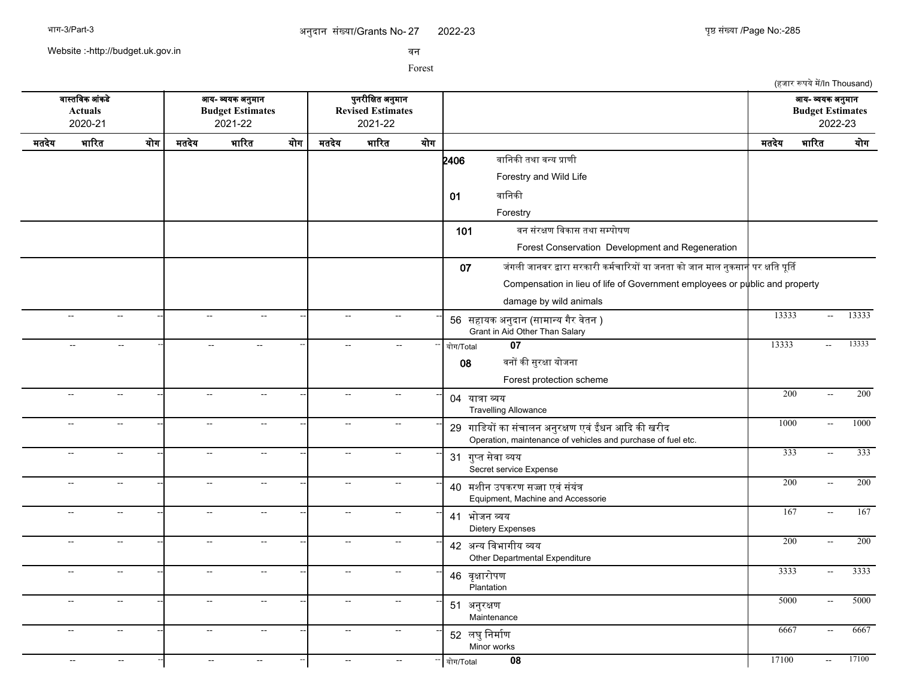(हजार रूपये में/In Thousand)

Website :-http://budget.uk.gov.in

सन

|       | वास्तविक आंकडे<br><b>Actuals</b><br>2020-21 |                          | —<br>आय- व्ययक अनुमान<br><b>Budget Estimates</b><br>2021-22 |                           |       | पुनरीक्षित अनुमान<br><b>Revised Estimates</b><br>2021-22 |                |                                                                                                                    |                  | —<br>आय- व्ययक अनुमान<br><b>Budget Estimates</b><br>2022-23 |                  |
|-------|---------------------------------------------|--------------------------|-------------------------------------------------------------|---------------------------|-------|----------------------------------------------------------|----------------|--------------------------------------------------------------------------------------------------------------------|------------------|-------------------------------------------------------------|------------------|
| मतदेय | भारित                                       | योग                      | मतदेय                                                       | भारित<br>योग              | मतदेय | भारित                                                    | योग            |                                                                                                                    | मतदेय            | भारित                                                       | योग              |
|       |                                             |                          |                                                             |                           |       |                                                          |                | वानिकी तथा वन्य प्राणी<br>2406                                                                                     |                  |                                                             |                  |
|       |                                             |                          |                                                             |                           |       |                                                          |                | Forestry and Wild Life                                                                                             |                  |                                                             |                  |
|       |                                             |                          |                                                             |                           |       |                                                          |                | वानिकी<br>01                                                                                                       |                  |                                                             |                  |
|       |                                             |                          |                                                             |                           |       |                                                          |                | Forestry                                                                                                           |                  |                                                             |                  |
|       |                                             |                          |                                                             |                           |       |                                                          |                | वन संरक्षण विकास तथा सम्पोषण<br>101                                                                                |                  |                                                             |                  |
|       |                                             |                          |                                                             |                           |       |                                                          |                | Forest Conservation Development and Regeneration                                                                   |                  |                                                             |                  |
|       |                                             |                          |                                                             |                           |       |                                                          |                | जंगली जानवर द्वारा सरकारी कर्मचारियों या जनता को जान माल नुकसान <mark>े</mark> पर क्षति पूर्ति<br>07               |                  |                                                             |                  |
|       |                                             |                          |                                                             |                           |       |                                                          |                | Compensation in lieu of life of Government employees or public and property                                        |                  |                                                             |                  |
|       |                                             |                          |                                                             |                           |       |                                                          |                | damage by wild animals                                                                                             |                  |                                                             |                  |
|       | $\mathbb{H}^{\mathbb{Z}}$                   | $\overline{\phantom{a}}$ | $\mathbb{H}^{\mathbb{Z}}$                                   | $\mathbb{H}^{\mathbb{Z}}$ |       | $\overline{\phantom{a}}$                                 | $\sim$         | 56 सहायक अनुदान (सामान्य गैर वेतन )<br>Grant in Aid Other Than Salary                                              | 13333            | $\mathbb{H}^{\mathbb{Z}}$                                   | 13333            |
|       | $\sim$ $\sim$                               | $\sim$                   | $\overline{\phantom{a}}$                                    | $\sim$                    |       | $\overline{a}$                                           |                | $\overline{07}$<br>योग/Total                                                                                       | 13333            | $\mathcal{L}_{\mathcal{A}}$                                 | 13333            |
|       |                                             |                          |                                                             |                           |       |                                                          |                | वनों की सुरक्षा योजना<br>08                                                                                        |                  |                                                             |                  |
|       |                                             |                          |                                                             |                           |       |                                                          |                | Forest protection scheme                                                                                           |                  |                                                             |                  |
|       | $\sim$                                      | $\overline{a}$           | $\sim$                                                      | $\sim$                    |       | $\sim$                                                   | $\sim$         | 04 यात्रा व्यय<br><b>Travelling Allowance</b>                                                                      | $\overline{200}$ | $\sim$                                                      | $\overline{200}$ |
|       | $\overline{\phantom{a}}$                    | --                       | $\mathbb{L}^2$                                              | $\overline{a}$            |       | $\ddotsc$                                                |                | 29 गाडियों का संचालन अनुरक्षण एवं ईंधन आदि की खरीद<br>Operation, maintenance of vehicles and purchase of fuel etc. | 1000             | $\ddotsc$                                                   | 1000             |
|       | $\overline{\phantom{a}}$                    | $\overline{\phantom{a}}$ | $\mathbb{H}^{\mathbb{Z}}$                                   | $\overline{\phantom{a}}$  |       | $\mathbb{L}^2$                                           | $\sim$         | 31 गुप्त सेवा व्यय<br>Secret service Expense                                                                       | 333              | $\sim$                                                      | 333              |
|       | $\overline{a}$                              | $\overline{a}$           | $\mathbb{H}^{\mathbb{Z}}$                                   | $\sim$                    |       | $\mathbb{L}^2$                                           | $\sim$ $\sim$  | 40 मशीन उपकरण सज्जा एवं संयंत्र<br>Equipment, Machine and Accessorie                                               | 200              | $\mathbb{H}^{\mathbb{Z}}$                                   | 200              |
|       | $\overline{\phantom{a}}$                    | $\overline{\phantom{a}}$ | $\sim$                                                      | $\overline{\phantom{a}}$  |       | $\overline{\phantom{a}}$                                 | $\overline{a}$ | 41 भोजन व्यय<br>Dietery Expenses                                                                                   | 167              | $\overline{\phantom{a}}$                                    | 167              |
|       | $\sim$                                      | $\overline{\phantom{a}}$ | $\mathbb{L}^{\mathbb{L}}$                                   | $\mathbf{u}$              |       | $\mathbf{u}$                                             | $\sim$ $\sim$  | 42 अन्य विभागीय व्यय<br>Other Departmental Expenditure                                                             | $\overline{200}$ | $\mathbb{Z}^2$                                              | 200              |
|       | $\sim$                                      | $\sim$                   | $\sim$                                                      | $\sim$                    |       | $\sim$                                                   | $\sim$         | 46 वृक्षारोपण<br>Plantation                                                                                        | 3333             | $\sim$                                                      | 3333             |
|       | $\overline{\phantom{a}}$                    | $\overline{\phantom{a}}$ | $\sim$                                                      | $\overline{a}$            |       | $\overline{\phantom{a}}$                                 | $\sim$ $\sim$  | 51 अनुरक्षण<br>Maintenance                                                                                         | 5000             | $\overline{\phantom{a}}$                                    | 5000             |
|       | $\sim$                                      | $\overline{\phantom{a}}$ | $\sim$                                                      | $\overline{a}$            |       | $\sim$                                                   | $\sim$ $\sim$  | 52 लघु निर्माण<br>Minor works                                                                                      | 6667             | $\overline{\phantom{a}}$                                    | 6667             |
|       | $\sim$ $\sim$                               | $\overline{\phantom{a}}$ | $\sim$                                                      | $\sim$                    | --    | $\sim$ $\sim$                                            | $\sim$         | 08<br>योग/Total                                                                                                    | 17100            | $\sim$                                                      | 17100            |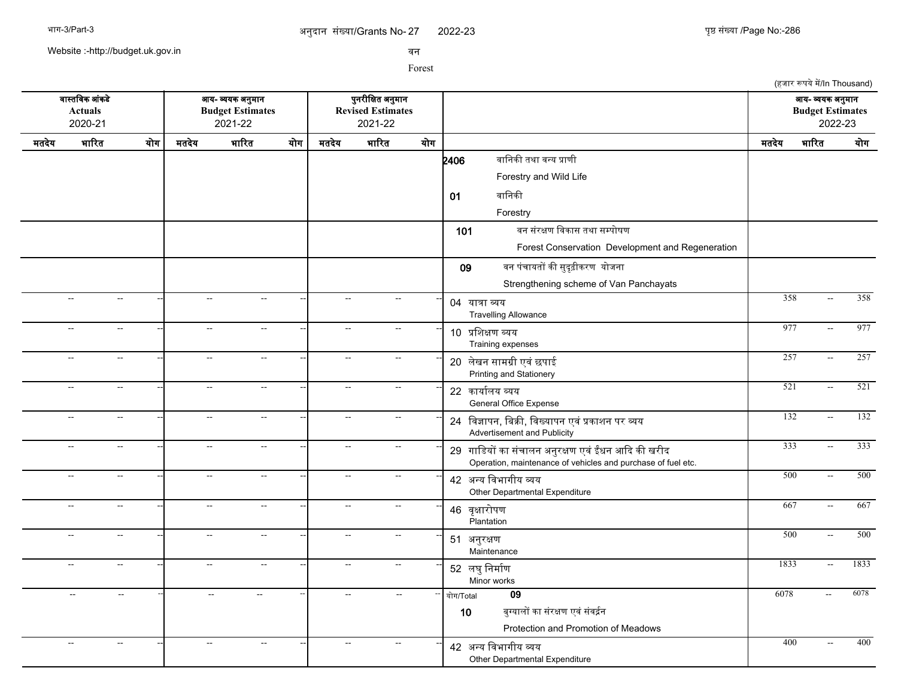2022-23 युष्ठ संख्या /Page No:-286

(हजार रूपये में/In Thousand)

Website :-http://budget.uk.gov.in

सन

Forest

सगसतचसक आसकडद आख- वखक अननमगन पननरजचकत अननमगन आख- वखक अननमगन **Actuals Budget Estimates Revised Estimates Budget Estimates** 2020-21 2021-22 2021-22 2022-23 मतदखद भगररत खरग मतदखद भगररत खरग मतदखद भगररत खरग मतदखद भगररत खरग  $2406$  बानिकी तथा वन्य प्राणी Forestry and Wild Life 01 बानिकी Forestry 101 बन संरक्षण विकास तथा सम्पोषण Forest Conservation Development and Regeneration 09 वन पंचायतों की सुदृढ़ीकरण योजना Strengthening scheme of Van Panchayats -- -- -- -- -- -- <sup>04</sup> खगतग वख Travelling Allowance --| -- -- --| -- - --| 04 <del>metreur</del> -- - - - -- - - 358 -- 358 -- -- -- -- -- -- <sup>10</sup> पचशकण वखख Training expenses --| -- -- --| -- -- -- --| 10 <del>urcosuu suu</del> -- -- --- --- -- - 977 -- 977 -- -- -- -- -- -- <sup>20</sup> लदखन सगमगज एसस छपगई -- -- -- 257 -- 257 Printing and Stationery -- -- -- -- -- -- <sup>22</sup> कगखगरलख वखख General Office Expense -- -- -- 521 -- 521 -- -- -- -- -- -- <sup>24</sup> चसजगपन, चबकक, चसखखगपन एसस पकगशन पर वख -- -- -- 132 -- 132 Advertisement and Publicity -- -- -- -- -- -- <sup>29</sup> गगचडखर कग ससचगलन अननरकण एसस ईधन आकद कक खरजद -- -- -- 333 -- 333 Operation, maintenance of vehicles and purchase of fuel etc. -- -- -- -- -- -- <sup>42</sup> अनख चसभगगजख वख Other Departmental Expenditure -- -- -- 500 -- 500 -- -- -- -- -- -- <sup>46</sup> सपकगररपण **Plantation** -- -- -- 667 -- 667 -- -- -- -- -- -- <sup>51</sup> अननरकण **Maintenance** -- -- -- 500 -- 500 -- -- -- -- -- -- <sup>52</sup> लघनचनमगरण Minor works --| -- -- --| -- -- --| -- --- <del>--| 50 as Outin</del> -- -- -- -- -- -- -- -- -- खरग/Total **09** 6078 -- 6078 10 बुग्यालों का संरक्षण एवं संवर्द्रन Protection and Promotion of Meadows -- -- -- -- -- -- <sup>42</sup> अनख चसभगगजख वख Other Departmental Expenditure -- - - - - - - - - 400 - 400 - 400 - 400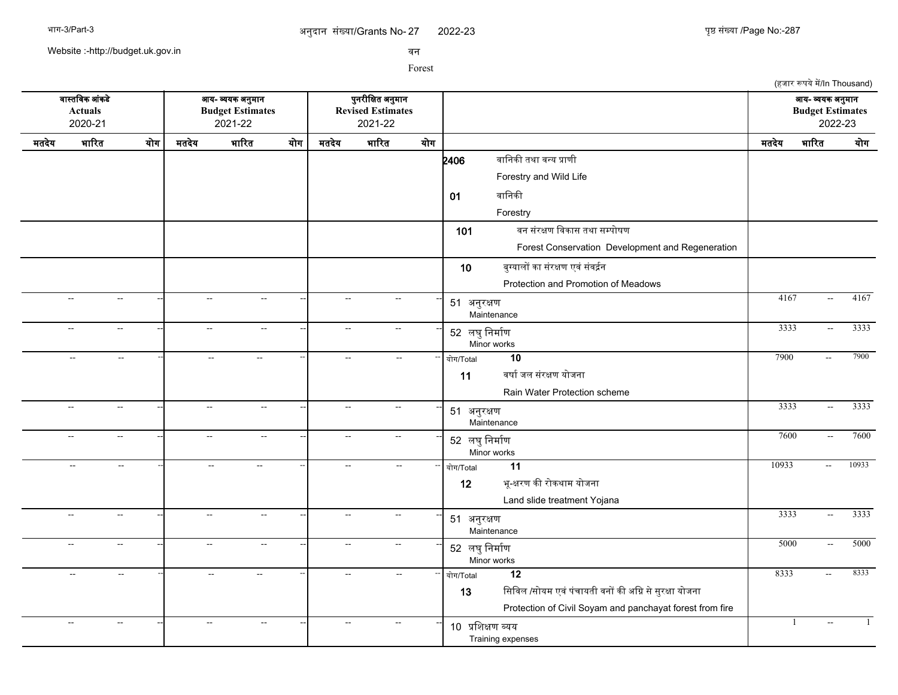2022-23 युष्ठ संख्या /Page No:-287

Website :-http://budget.uk.gov.in

सन

|                                                               |                                     |                                                                                 |                           |        |  |                                                          |               |     |                                                                                                                                                          |                                                        | (हजार रूपये में/In Thousand) |              |
|---------------------------------------------------------------|-------------------------------------|---------------------------------------------------------------------------------|---------------------------|--------|--|----------------------------------------------------------|---------------|-----|----------------------------------------------------------------------------------------------------------------------------------------------------------|--------------------------------------------------------|------------------------------|--------------|
| वास्तविक आंकडे<br>Actuals<br>2020-21<br>भारित<br>योग<br>मतदेय |                                     | आय- व्ययक अनुमान<br><b>Budget Estimates</b><br>2021-22<br>भारित<br>मतदेय<br>योग |                           |        |  | पुनरीक्षित अनुमान<br><b>Revised Estimates</b><br>2021-22 |               |     |                                                                                                                                                          | आय- व्ययक अनुमान<br><b>Budget Estimates</b><br>2022-23 |                              |              |
|                                                               |                                     |                                                                                 |                           |        |  | मतदेय                                                    | भारित         | योग |                                                                                                                                                          | मतदेय                                                  | भारित                        | योग          |
|                                                               |                                     |                                                                                 |                           |        |  |                                                          |               |     | वानिकी तथा वन्य प्राणी<br>2406<br>Forestry and Wild Life                                                                                                 |                                                        |                              |              |
|                                                               |                                     |                                                                                 |                           |        |  |                                                          |               |     | वानिकी<br>01<br>Forestry                                                                                                                                 |                                                        |                              |              |
|                                                               |                                     |                                                                                 |                           |        |  |                                                          |               |     | वन संरक्षण विकास तथा सम्पोषण<br>101<br>Forest Conservation Development and Regeneration                                                                  |                                                        |                              |              |
|                                                               |                                     |                                                                                 |                           |        |  |                                                          |               |     | 10<br>बुग्यालों का संरक्षण एवं संवर्द्रन<br>Protection and Promotion of Meadows                                                                          |                                                        |                              |              |
|                                                               | $\overline{a}$<br>$\sim$            |                                                                                 | $\sim$                    | $\sim$ |  | $\sim$                                                   | $\sim$        |     | 51 अनुरक्षण<br>Maintenance                                                                                                                               | 4167                                                   | $\sim$                       | 4167         |
|                                                               | $\sim$ $\sim$<br>$\sim$ $\sim$      |                                                                                 | $\sim$ $\sim$             | $\sim$ |  | $\mathbb{L}^{\mathbb{L}}$                                | $\sim$        |     | 52 लघु निर्माण<br>Minor works                                                                                                                            | 3333                                                   | $\sim$                       | 3333         |
|                                                               | $\sim$<br>$\sim$                    |                                                                                 | $\mathbb{L}^{\mathbb{L}}$ | $\sim$ |  | $\overline{a}$                                           | $\sim$        |     | 10<br>योग/Total<br>वर्षा जल संरक्षण योजना<br>11<br>Rain Water Protection scheme                                                                          | 7900                                                   | $\mathbb{L}^{\mathbb{L}}$    | 7900         |
|                                                               | $\overline{a}$<br>$\sim$            |                                                                                 | $\sim$                    | $\sim$ |  | $\overline{a}$                                           | $\sim$        |     | 51 अनुरक्षण<br>Maintenance                                                                                                                               | 3333                                                   | $\sim$ $\sim$                | 3333         |
|                                                               | $\mathbf{L}$<br>$\sim$              |                                                                                 | $\sim$                    | $\sim$ |  | $\overline{a}$                                           | $\sim$        |     | 52 लघु निर्माण<br>Minor works                                                                                                                            | 7600                                                   | $\sim$                       | 7600         |
|                                                               | $\mathbb{L}^{\mathbb{L}}$<br>$\sim$ |                                                                                 | $\sim$                    | $\sim$ |  | $\overline{a}$                                           | $\sim$        |     | 11<br>योग/Total<br>भू-क्षरण की रोकथाम योजना<br>12<br>Land slide treatment Yojana                                                                         | 10933                                                  | $\sim$ $\sim$                | 10933        |
|                                                               | $\overline{a}$<br>$\sim$            |                                                                                 | $\sim$                    | $\sim$ |  | $\overline{a}$                                           | $\sim$        |     | 51 अनुरक्षण<br>Maintenance                                                                                                                               | 3333                                                   | $\sim$                       | 3333         |
|                                                               | $\sim$<br>$\sim$                    |                                                                                 | $\sim$ $\sim$             | $\sim$ |  | $\mathbf{u}$                                             | $\sim$        |     | 52 लघु निर्माण<br>Minor works                                                                                                                            | 5000                                                   | $\sim$                       | 5000         |
|                                                               | $\sim$<br>$\sim$                    |                                                                                 | $\overline{a}$            | $\sim$ |  | $\mathbf{u}$                                             | $\sim$ $\sim$ |     | $\overline{12}$<br>योग/Total<br>सिविल /सोयम एवं पंचायती वनों की अग्नि से सुरक्षा योजना<br>13<br>Protection of Civil Soyam and panchayat forest from fire | 8333                                                   | $\mathbb{Z}^{\mathbb{Z}}$    | 8333         |
|                                                               | $\sim$<br>$\sim$                    |                                                                                 | $\sim$                    | $\sim$ |  | $\overline{a}$                                           | $\sim$        |     | 10 प्रशिक्षण व्यय<br>Training expenses                                                                                                                   |                                                        | --                           | $\mathbf{1}$ |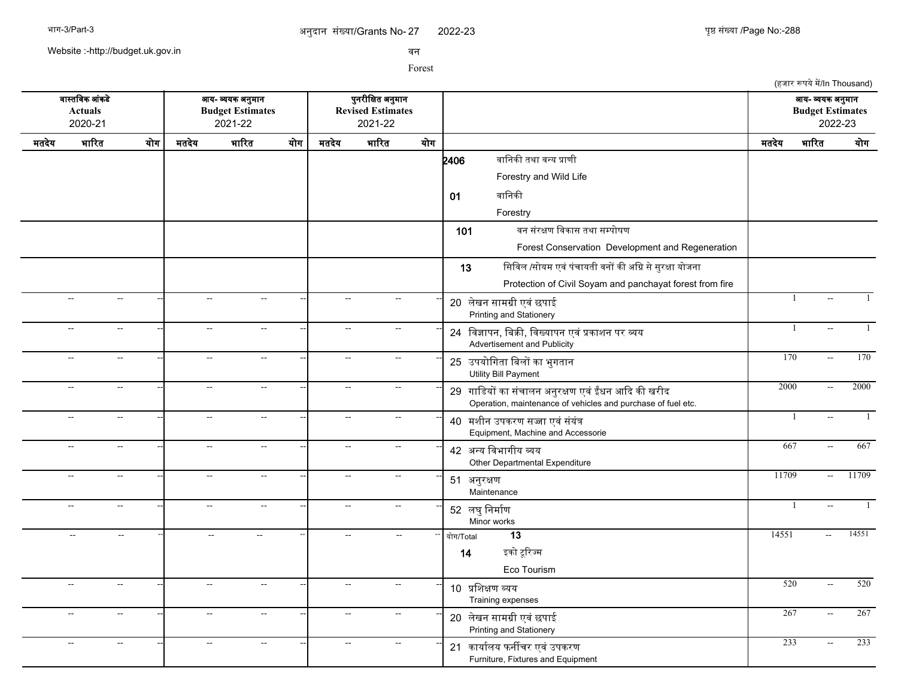Website :-http://budget.uk.gov.in

सन

|                                                                      |                                       |                          |                                                        |                           |     |                                                          |                             |     |                                                                                                                    |                                                        | (हजार रूपये में/In Thousand)   |       |
|----------------------------------------------------------------------|---------------------------------------|--------------------------|--------------------------------------------------------|---------------------------|-----|----------------------------------------------------------|-----------------------------|-----|--------------------------------------------------------------------------------------------------------------------|--------------------------------------------------------|--------------------------------|-------|
| वास्तविक आंकडे<br><b>Actuals</b><br>2020-21<br>भारित<br>योग<br>मतदेय |                                       |                          | आय- व्ययक अनुमान<br><b>Budget Estimates</b><br>2021-22 |                           |     | पुनरीक्षित अनुमान<br><b>Revised Estimates</b><br>2021-22 |                             |     |                                                                                                                    | आय- व्ययक अनुमान<br><b>Budget Estimates</b><br>2022-23 |                                |       |
|                                                                      |                                       |                          | मतदेय                                                  | भारित                     | योग | मतदेय                                                    | भारित                       | योग |                                                                                                                    | मतदेय                                                  | भारित                          | योग   |
|                                                                      |                                       |                          |                                                        |                           |     |                                                          |                             |     | वानिकी तथा वन्य प्राणी<br>2406<br>Forestry and Wild Life                                                           |                                                        |                                |       |
|                                                                      |                                       |                          |                                                        |                           |     |                                                          |                             |     | वानिकी<br>01                                                                                                       |                                                        |                                |       |
|                                                                      |                                       |                          |                                                        |                           |     |                                                          |                             |     | Forestry                                                                                                           |                                                        |                                |       |
|                                                                      |                                       |                          |                                                        |                           |     |                                                          |                             |     | वन संरक्षण विकास तथा सम्पोषण<br>101                                                                                |                                                        |                                |       |
|                                                                      |                                       |                          |                                                        |                           |     |                                                          |                             |     | Forest Conservation Development and Regeneration                                                                   |                                                        |                                |       |
|                                                                      |                                       |                          |                                                        |                           |     |                                                          |                             |     | सिविल /सोयम एवं पंचायती वनों की अग्नि से सुरक्षा योजना<br>13                                                       |                                                        |                                |       |
|                                                                      |                                       |                          |                                                        |                           |     |                                                          |                             |     | Protection of Civil Soyam and panchayat forest from fire                                                           |                                                        |                                |       |
|                                                                      | $\mathbb{L}^{\mathbb{L}}$<br>$\sim$   |                          | Щ,                                                     | $\overline{a}$            |     | $\sim$                                                   | $\mathcal{L}_{\mathcal{F}}$ |     | 20 लेखन सामग्री एवं छपाई<br>Printing and Stationery                                                                |                                                        | -1<br>$\overline{a}$           |       |
|                                                                      | $\sim$<br>$\overline{\phantom{a}}$    |                          | $\qquad \qquad -$                                      | $\overline{\phantom{a}}$  |     | $\sim$                                                   | $\sim$                      |     | 24 विज्ञापन, बिक्री, विख्यापन एवं प्रकाशन पर व्यय<br>Advertisement and Publicity                                   |                                                        | -1                             |       |
|                                                                      | $\sim$                                | $\overline{\phantom{a}}$ | $\overline{\phantom{a}}$                               | --                        |     | $\sim$                                                   | $\mathbf{L}$                |     | 25 उपयोगिता बिलों का भुगतान<br>Utility Bill Payment                                                                | 170                                                    | $\overline{a}$                 | 170   |
|                                                                      | $\sim$<br>$\sim$                      |                          | $\overline{a}$                                         | $\mathbb{H}^{\mathbb{Z}}$ |     | $\sim$                                                   | $\sim$ $\sim$               |     | 29 गाडियों का संचालन अनुरक्षण एवं ईंधन आदि की खरीद<br>Operation, maintenance of vehicles and purchase of fuel etc. | 2000                                                   | $\sim$                         | 2000  |
|                                                                      | $\sim$ $\sim$<br>$\sim$ $\sim$        |                          | Ξ.                                                     | $\ddotsc$                 |     | $\mathbb{L}^2$                                           | $\sim$                      |     | 40 मशीन उपकरण सज्जा एवं संयंत्र<br>Equipment, Machine and Accessorie                                               |                                                        | -1<br>$\overline{a}$           | 1     |
|                                                                      | $\sim$<br>$\overline{a}$              |                          | $\overline{\phantom{a}}$                               | $\overline{\phantom{a}}$  |     | $\sim$                                                   | $\overline{a}$              |     | 42 अन्य विभागीय व्यय<br>Other Departmental Expenditure                                                             | 667                                                    | $\sim$                         | 667   |
|                                                                      | $\sim$                                | $\overline{\phantom{a}}$ | $\overline{\phantom{a}}$                               | $\overline{\phantom{a}}$  |     | $\sim$                                                   | $\overline{\phantom{a}}$    |     | 51 अनुरक्षण<br>Maintenance                                                                                         | 11709                                                  | $\sim$                         | 11709 |
|                                                                      | $\mathcal{L}_{\mathcal{F}}$<br>$\sim$ |                          | цц.                                                    | $\overline{\phantom{a}}$  |     | $\sim$                                                   | $\sim$ $\sim$               |     | 52 लघुनिर्माण<br>Minor works                                                                                       |                                                        | $\mathbf{1}$<br>$\overline{a}$ |       |
|                                                                      | $\overline{\phantom{a}}$              | 44                       | $\sim$                                                 | $\sim$                    |     | $\sim$                                                   | $\sim$                      |     | $\overline{13}$<br>योग/Total<br>इको टूरिज्म<br>14<br>Eco Tourism                                                   | 14551                                                  | Ξ.                             | 14551 |
|                                                                      | $\mathcal{L}_{\mathcal{F}}$           | $\sim$                   | $\sim$                                                 | $\sim$                    |     | $\sim$                                                   | $\sim$ $\sim$               |     | 10 प्रशिक्षण व्यय<br>Training expenses                                                                             | 520                                                    | $\mathbb{L}^2$                 | 520   |
|                                                                      | $\sim$                                | $\sim$                   | $\overline{\phantom{a}}$                               | $\overline{\phantom{a}}$  |     | $\sim$                                                   | $\mathbf{L}$                |     | 20 लेखन सामग्री एवं छपाई<br>Printing and Stationery                                                                | 267                                                    | $\overline{\phantom{a}}$       | 267   |
|                                                                      | $\sim$<br>$\sim$                      |                          | Ξ.                                                     | Ξ.                        |     | $\overline{a}$                                           | --                          |     | 21 कार्यालय फर्नीचर एवं उपकरण<br>Furniture, Fixtures and Equipment                                                 | 233                                                    | $\sim$                         | 233   |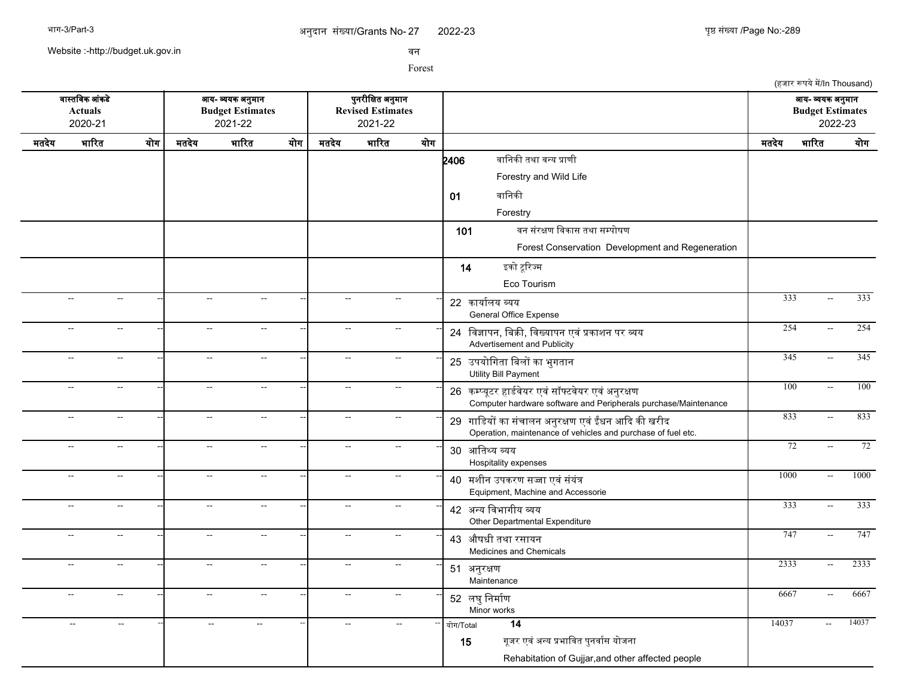2022-23 युष्ठ संख्या /Page No:-289

(हजार रूपये में/In Thousand)

Website :-http://budget.uk.gov.in

सन

Forest

सगसतचसक आसकडद आख- वखक अननमगन पननरजचकत अननमगन आख- वखक अननमगन **Actuals Budget Estimates Revised Estimates Budget Estimates** 2020-21 2021-22 2021-22 2022-23 मतदखद भगररत खरग मतदखद भगररत खरग मतदखद भगररत खरग मतदखद भगररत खरग  $2406$  बानिकी तथा वन्य प्राणी Forestry and Wild Life 01 बानिकी Forestry 101 बन संरक्षण विकास तथा सम्पोषण Forest Conservation Development and Regeneration 14 इको टूरिज्म Eco Tourism -- -- -- -- -- -- <sup>22</sup> कगखगरलख वखख General Office Expense -- -- -- 333 -- 333 -- -- -- -- -- -- <sup>24</sup> चसजगपन, चबकक, चसखखगपन एसस पकगशन पर वख -- -- -- 254 -- 254 Advertisement and Publicity -- -- -- -- -- -- <sup>25</sup> उपखरचगतग चबलर कग भनगतगन -- -- -- 345 -- 345 Utility Bill Payment -- -- -- -- -- -- <sup>26</sup> कममखपटर हगडरसदखर एससससफटसदखर एससअननरकण -- -- -- 100 -- 100 Computer hardware software and Peripherals purchase/Maintenance -- -- -- -- -- -- <sup>29</sup> गगचडखर कग ससचगलन अननरकण एसस ईधन आकद कक खरजद -- -- -- 833 -- 833 Operation, maintenance of vehicles and purchase of fuel etc. -- -- -- -- -- -- <sup>30</sup> आचतसख वखख Hospitality expenses -- -- -- 72 -- 72 -- -- -- -- -- -- <sup>40</sup> मशजन उपकरण सजग एससससखसत -- -- -- 1000 -- 1000 Equipment, Machine and Accessorie -- -- -- -- -- -- <sup>42</sup> अनख चसभगगजख वख -- -- -- 333 -- 333 Other Departmental Expenditure -- -- -- -- -- -- <sup>43</sup> औषधज तथग रसगखन -- -- -- 747 -- 747 Medicines and Chemicals -- -- -- -- -- -- <sup>51</sup> अननरकण **Maintenance** -- -- -- 2333 -- 2333 -- -- -- -- -- -- <sup>52</sup> लघनचनमगरण Minor works -- - - - - - - - - - - 5667 - 6667 - 6667 -- -- -- -- -- -- -- -- -- खरग/Total **14** 14037 -- 14037 15 गुजर एवं अन्य प्रभावित पुनर्वास योजना Rehabitation of Gujjar,and other affected people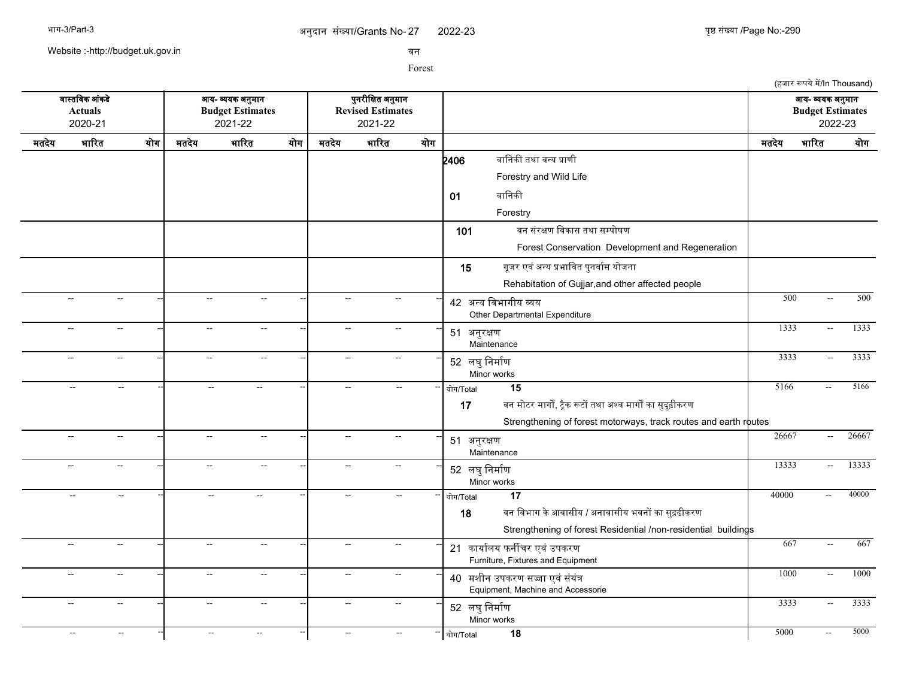2022-23 युष्ठ संख्या /Page No:-290

Website :-http://budget.uk.gov.in

सन

| वास्तविक आंकडे |                             |                           |                           |                                                        |     |                           |                                                          |                          |                                                                                                                                                                       |       | (हजार रूपये में/In Thousand)                |         |
|----------------|-----------------------------|---------------------------|---------------------------|--------------------------------------------------------|-----|---------------------------|----------------------------------------------------------|--------------------------|-----------------------------------------------------------------------------------------------------------------------------------------------------------------------|-------|---------------------------------------------|---------|
|                | <b>Actuals</b><br>2020-21   |                           |                           | आय- व्ययक अनुमान<br><b>Budget Estimates</b><br>2021-22 |     |                           | पुनरीक्षित अनुमान<br><b>Revised Estimates</b><br>2021-22 |                          |                                                                                                                                                                       |       | आय- व्ययक अनुमान<br><b>Budget Estimates</b> | 2022-23 |
| मतदेय          | भारित                       | योग                       | मतदेय                     | भारित                                                  | योग | मतदेय                     | भारित                                                    | योग                      |                                                                                                                                                                       | मतदेय | भारित                                       | योग     |
|                |                             |                           |                           |                                                        |     |                           |                                                          |                          | वानिकी तथा वन्य प्राणी<br>2406<br>Forestry and Wild Life<br>वानिकी<br>01                                                                                              |       |                                             |         |
|                |                             |                           |                           |                                                        |     |                           |                                                          |                          | Forestry<br>वन संरक्षण विकास तथा सम्पोषण<br>101<br>Forest Conservation Development and Regeneration                                                                   |       |                                             |         |
|                |                             |                           |                           |                                                        |     |                           |                                                          |                          | गूजर एवं अन्य प्रभावित पुनर्वास योजना<br>15<br>Rehabitation of Gujjar, and other affected people                                                                      | 500   |                                             | 500     |
|                | $\sim$                      | $\sim$                    | $\sim$                    | $\sim$                                                 |     | $\mathbb{L}^{\mathbb{L}}$ | $\sim$                                                   |                          | 42 अन्य विभागीय व्यय<br>Other Departmental Expenditure                                                                                                                |       | $\overline{a}$                              |         |
|                | $\overline{\phantom{a}}$    | $\sim$                    | $\sim$                    | $\mathcal{L}_{\mathcal{F}}$                            |     | $\overline{\phantom{a}}$  | $\sim$                                                   |                          | 51 अनुरक्षण<br>Maintenance                                                                                                                                            | 1333  | $\sim$                                      | 1333    |
|                | $\mathbb{L}^{\mathbb{L}}$   | $\mathbb{L}^{\mathbb{L}}$ | $\mathbb{L}^{\mathbb{L}}$ | $\sim$                                                 |     | $\mathbb{L}^{\mathbb{L}}$ | $\sim$                                                   |                          | 52 लघु निर्माण<br>Minor works                                                                                                                                         | 3333  | $\mathbb{H}^{\mathbb{Z}}$                   | 3333    |
|                | $\mathcal{L}_{\mathcal{A}}$ | $\mathbb{L}^{\mathbb{L}}$ | $\mathbb{L}^{\mathbb{L}}$ | $\mathbf{u}$                                           |     | $\mathbf{u}$              | $\sim$                                                   |                          | $\overline{15}$<br>योग/Total<br>वन मोटर मार्गों, ट्रैक रूटों तथा अश्व मार्गों का सुदृढ़ीकरण<br>17<br>Strengthening of forest motorways, track routes and earth routes | 5166  | $\mathbb{L}^{\mathbb{L}}$                   | 5166    |
|                | $\overline{\phantom{a}}$    | $\sim$                    | $\sim$                    | $\sim$                                                 |     | $\mathbf{u}$              | $\sim$                                                   |                          | 51 अनुरक्षण<br>Maintenance                                                                                                                                            | 26667 | $\overline{a}$                              | 26667   |
|                | $\overline{a}$              | $\sim$                    | $\sim$                    | $\overline{a}$                                         |     | $\overline{\phantom{a}}$  | $\sim$                                                   |                          | 52 लघु निर्माण<br>Minor works                                                                                                                                         | 13333 | $\sim$                                      | 13333   |
|                | $\overline{a}$              | $\sim$                    | $\sim$                    | $\overline{a}$                                         |     | $\overline{\phantom{a}}$  | $\sim$                                                   |                          | $\overline{17}$<br>योग/Total<br>वन विभाग के आवासीय / अनावासीय भवनों का सुद़ढीकरण<br>18<br>Strengthening of forest Residential /non-residential buildings              | 40000 | $\sim$ $\sim$                               | 40000   |
|                | $\sim$                      | $\sim$                    | $\sim$                    | $\sim$                                                 |     | $\sim$                    | $\sim$                                                   |                          | 21 कार्यालय फर्नीचर एवं उपकरण<br>Furniture, Fixtures and Equipment                                                                                                    | 667   | $\overline{a}$                              | 667     |
|                | $\sim$                      | $\sim$                    | $\sim$                    | $\sim$                                                 |     | $\sim$                    | $\sim$                                                   |                          | 40 मशीन उपकरण सज्जा एवं संयंत्र<br>Equipment, Machine and Accessorie                                                                                                  | 1000  | $\overline{a}$                              | 1000    |
|                | $\overline{\phantom{a}}$    | $\sim$                    | $\sim$                    | $\rightarrow$                                          |     | $\overline{\phantom{a}}$  | $\sim$                                                   |                          | 52 लघु निर्माण<br>Minor works                                                                                                                                         | 3333  | $\sim$                                      | 3333    |
|                | $\mathcal{L}_{\mathcal{F}}$ | $\sim$                    | $\sim$                    | $\sim$                                                 |     | $\sim$                    | $\sim$                                                   | $\overline{\phantom{a}}$ | $\overline{18}$<br>योग/Total                                                                                                                                          | 5000  | $\sim$                                      | 5000    |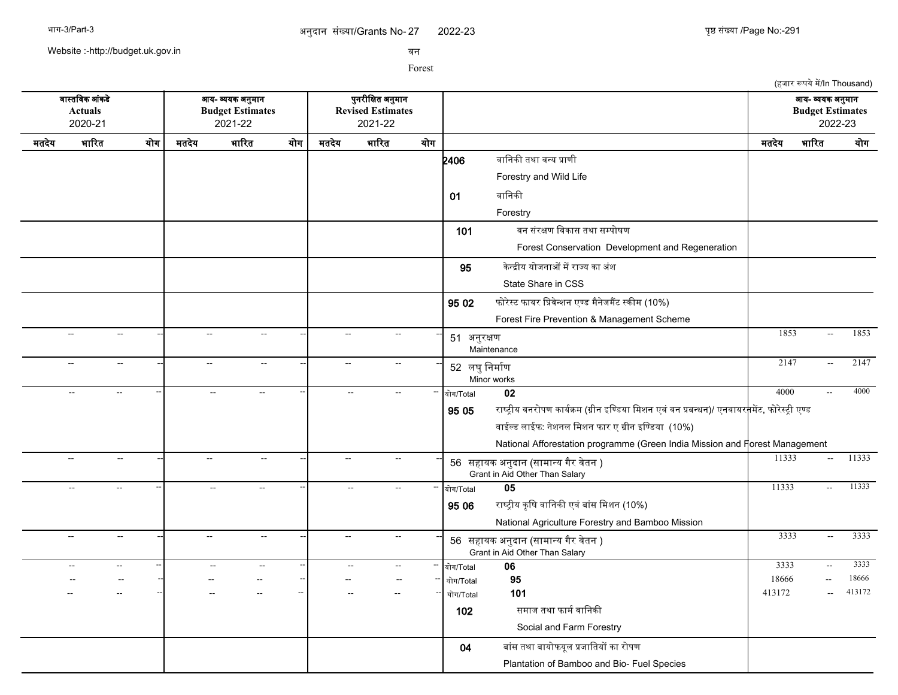Website :-http://budget.uk.gov.in

सन

|                                                                      |                |                                               |                          |                                                        |     |                          |                                                          |     |                |                                                                                                                |        | (हजार रूपये में/In Thousand)                |                 |
|----------------------------------------------------------------------|----------------|-----------------------------------------------|--------------------------|--------------------------------------------------------|-----|--------------------------|----------------------------------------------------------|-----|----------------|----------------------------------------------------------------------------------------------------------------|--------|---------------------------------------------|-----------------|
| वास्तविक आंकडे<br><b>Actuals</b><br>2020-21<br>भारित<br>योग<br>मतदेय |                |                                               |                          | आय- व्ययक अनुमान<br><b>Budget Estimates</b><br>2021-22 |     |                          | पुनरीक्षित अनुमान<br><b>Revised Estimates</b><br>2021-22 |     |                |                                                                                                                |        | आय- व्ययक अनुमान<br><b>Budget Estimates</b> | 2022-23         |
|                                                                      |                |                                               | मतदेय                    | भारित                                                  | योग | मतदेय                    | भारित                                                    | योग |                |                                                                                                                | मतदेय  | भारित                                       | योग             |
|                                                                      |                |                                               |                          |                                                        |     |                          |                                                          |     | 2406           | वानिकी तथा वन्य प्राणी                                                                                         |        |                                             |                 |
|                                                                      |                |                                               |                          |                                                        |     |                          |                                                          |     |                | Forestry and Wild Life                                                                                         |        |                                             |                 |
|                                                                      |                |                                               |                          |                                                        |     |                          |                                                          |     | 01             | वानिकी                                                                                                         |        |                                             |                 |
|                                                                      |                |                                               |                          |                                                        |     |                          |                                                          |     |                | Forestry                                                                                                       |        |                                             |                 |
|                                                                      |                |                                               |                          |                                                        |     |                          |                                                          |     | 101            | वन संरक्षण विकास तथा सम्पोषण                                                                                   |        |                                             |                 |
|                                                                      |                |                                               |                          |                                                        |     |                          |                                                          |     |                | Forest Conservation Development and Regeneration                                                               |        |                                             |                 |
|                                                                      |                |                                               |                          |                                                        |     |                          |                                                          |     | 95             | केन्द्रीय योजनाओं में राज्य का अंश                                                                             |        |                                             |                 |
|                                                                      |                |                                               |                          |                                                        |     |                          |                                                          |     |                | State Share in CSS                                                                                             |        |                                             |                 |
|                                                                      |                |                                               |                          |                                                        |     |                          |                                                          |     |                |                                                                                                                |        |                                             |                 |
|                                                                      |                |                                               |                          |                                                        |     |                          |                                                          |     | 95 02          | फोरेस्ट फायर प्रिवेन्शन एण्ड मैनेजमैंट स्कीम (10%)                                                             |        |                                             |                 |
|                                                                      | $\sim$         | $\sim$                                        | $\sim$                   | $\sim$                                                 |     | $\sim$                   | $\overline{\phantom{a}}$                                 |     |                | Forest Fire Prevention & Management Scheme                                                                     | 1853   | $\sim$                                      | 1853            |
|                                                                      |                |                                               |                          |                                                        |     |                          |                                                          |     | 51 अनुरक्षण    | Maintenance                                                                                                    |        |                                             |                 |
|                                                                      | $\sim$         | $\sim$                                        | $\overline{\phantom{a}}$ | $\overline{a}$                                         |     | $\sim$                   | $\mathbf{L}$                                             |     | 52 लघु निर्माण |                                                                                                                | 2147   | $\sim$                                      | 2147            |
|                                                                      |                |                                               |                          |                                                        |     |                          |                                                          |     |                | Minor works                                                                                                    |        |                                             |                 |
|                                                                      | $\sim$         | $\sim$                                        | $\sim$                   | $\sim$ $\sim$                                          |     | $\sim$                   | $\sim$                                                   |     | योग/Total      | 02                                                                                                             | 4000   | $\sim$ $\sim$                               | 4000            |
|                                                                      |                |                                               |                          |                                                        |     |                          |                                                          |     | 95 05          | ा्राष्ट्रीय वनरोपण कार्यक्रम (ग्रीन इण्डिया मिशन एवं वन प्रबन्धन)/ एनवायर <mark>म</mark> मेंट, फोरेस्ट्री एण्ड |        |                                             |                 |
|                                                                      |                |                                               |                          |                                                        |     |                          |                                                          |     |                | वाईल्ड लाईफ: नेशनल मिशन फार ए ग्रीन इण्डिया (10%)                                                              |        |                                             |                 |
|                                                                      |                |                                               |                          |                                                        |     |                          |                                                          |     |                | National Afforestation programme (Green India Mission and Forest Management                                    |        |                                             |                 |
|                                                                      | $\sim$         | $\mathord{\hspace{1pt}\text{--}\hspace{1pt}}$ | $\sim$                   | $\overline{\phantom{a}}$                               |     | $\sim$                   | $\sim$ $\sim$                                            |     |                | 56 सहायक अनुदान (सामान्य गैर वेतन )                                                                            | 11333  | $\sim$                                      | 11333           |
|                                                                      |                |                                               |                          |                                                        |     | $\sim$                   |                                                          |     |                | Grant in Aid Other Than Salary                                                                                 | 11333  |                                             | 11333           |
|                                                                      | $\overline{a}$ | $\sim$                                        | $\overline{\phantom{a}}$ | $\sim$                                                 |     |                          | $\overline{\phantom{a}}$                                 |     | योग/Total      | 05                                                                                                             |        | $\sim$                                      |                 |
|                                                                      |                |                                               |                          |                                                        |     |                          |                                                          |     | 95 06          | राष्ट्रीय कृषि वानिकी एवं बांस मिशन (10%)                                                                      |        |                                             |                 |
|                                                                      | $\sim$         | $\mathord{\hspace{1pt}\text{--}\hspace{1pt}}$ | Щ,                       | $\mathcal{L}_{\mathcal{F}}$                            |     | $\overline{\phantom{a}}$ | $\mathcal{L}_{\mathcal{F}}$                              |     |                | National Agriculture Forestry and Bamboo Mission                                                               | 3333   | $\sim$                                      | 3333            |
|                                                                      |                |                                               |                          |                                                        |     |                          |                                                          |     |                | 56 सहायक अनुदान (सामान्य गैर वेतन )<br>Grant in Aid Other Than Salary                                          |        |                                             |                 |
|                                                                      |                | $\overline{\phantom{a}}$                      | $\sim$                   | $\sim$                                                 |     |                          | $\overline{a}$                                           |     | योग/Total      | 06                                                                                                             | 3333   | Ξ.                                          | 3333            |
|                                                                      |                |                                               |                          |                                                        |     |                          |                                                          |     | योग/Total      | 95                                                                                                             | 18666  |                                             | 18666<br>413172 |
|                                                                      |                |                                               |                          |                                                        |     |                          |                                                          |     | योग/Total      | 101                                                                                                            | 413172 | $\sim$                                      |                 |
|                                                                      |                |                                               |                          |                                                        |     |                          |                                                          |     | 102            | समाज तथा फार्म वानिकी                                                                                          |        |                                             |                 |
|                                                                      |                |                                               |                          |                                                        |     |                          |                                                          |     |                | Social and Farm Forestry                                                                                       |        |                                             |                 |
|                                                                      |                |                                               |                          |                                                        |     |                          |                                                          |     | 04             | बांस तथा बायोफयूल प्रजातियों का रोपण                                                                           |        |                                             |                 |
|                                                                      |                |                                               |                          |                                                        |     |                          |                                                          |     |                | Plantation of Bamboo and Bio- Fuel Species                                                                     |        |                                             |                 |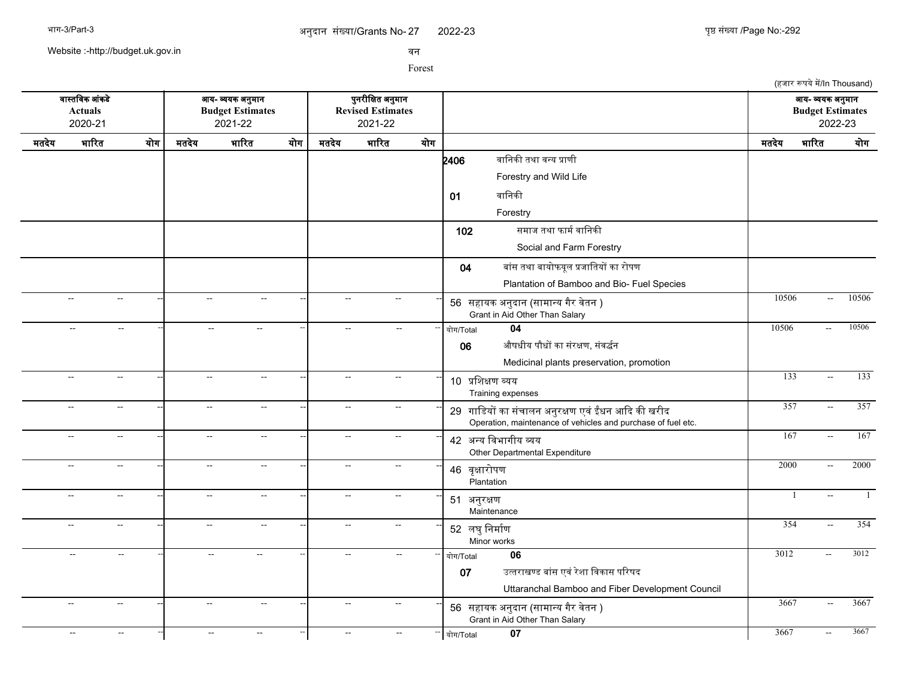(हजार रूपये में/In Thousand)

Website :-http://budget.uk.gov.in

सन

Forest

सगसतचसक आसकडद आख- वखक अननमगन पननरजचकत अननमगन आख- वखक अननमगन **Actuals Budget Estimates Revised Estimates Budget Estimates** 2020-21 2021-22 2021-22 2022-23 मतदखद भगररत खरग मतदखद भगररत खरग मतदखद भगररत खरग मतदखद भगररत खरग  $2406$  बानिकी तथा वन्य प्राणी Forestry and Wild Life 01 वानिकी Forestry 102 समाज तथा फार्म वानिकी Social and Farm Forestry 04 बांस तथा बायोफयुल प्रजातियों का रोपण Plantation of Bamboo and Bio- Fuel Species -- -- -- -- -- -- <sup>56</sup> सहगखक अननदगन (सगमगनख गगर सदतन ) -- -- -- 10506 -- 10506 Grant in Aid Other Than Salary -- -- -- -- -- -- -- -- -- खरग/Total **04** 10506 -- 10506 06 औषधीय पौधों का संरक्षण, संवर्द्धन Medicinal plants preservation, promotion -- -- -- -- -- -- <sup>10</sup> पचशकण वखख Training expenses -- -- -- 133 -- 133 -- -- -- -- -- -- <sup>29</sup> गगचडखर कग ससचगलन अननरकण एसस ईधन आकद कक खरजद -- -- -- 357 -- 357 Operation, maintenance of vehicles and purchase of fuel etc. -- -- -- -- -- -- <sup>42</sup> अनख चसभगगजख वख -- -- -- 167 -- 167 Other Departmental Expenditure -- -- -- -- -- -- <sup>46</sup> सपकगररपण Plantation -- -- -- 2000 -- 2000 -- -- -- -- -- -- <sup>51</sup> अननरकण Maintenance -- -- -- 1 -- 1 -- -- -- -- -- -- <sup>52</sup> लघनचनमगरण Minor works -- -- -- 354 -- 354 -- -- -- -- -- -- -- -- -- खरग/Total **06** 3012 -- 3012 07 उत्तराखण्ड बांस एवं रेशा विकास परिषद Uttaranchal Bamboo and Fiber Development Council -- -- -- -- -- -- <sup>56</sup> सहगखक अननदगन (सगमगनख गगर सदतन ) -- -- -- 3667 -- 3667 Grant in Aid Other Than Salary -- -- -- -- -- -- -- -- -- खरग/Total **07** 3667 -- 3667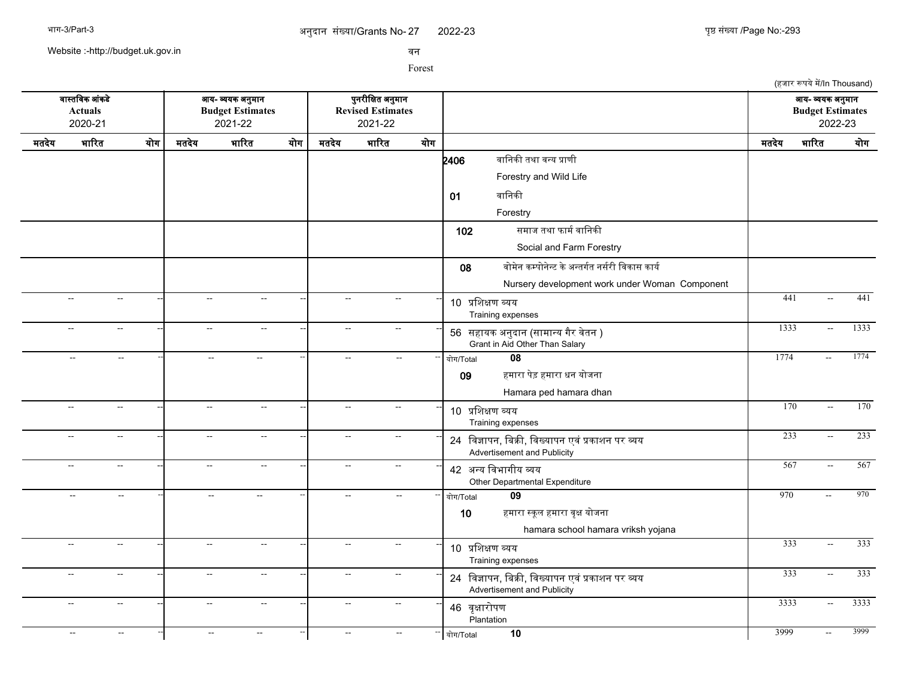(हजार रूपये में/In Thousand)

Website :-http://budget.uk.gov.in

सन

Forest

सगसतचसक आसकडद आख- वखक अननमगन पननरजचकत अननमगन आख- वखक अननमगन **Actuals Budget Estimates Revised Estimates Budget Estimates** 2020-21 2021-22 2021-22 2022-23 मतदखद भगररत खरग मतदखद भगररत खरग मतदखद भगररत खरग मतदखद भगररत खरग  $2406$  बानिकी तथा वन्य प्राणी Forestry and Wild Life 01 बानिकी Forestry 102 समाज तथा फार्म वानिकी Social and Farm Forestry 08 वोमेन कम्पोनेन्ट के अन्तर्गत नर्सरी विकास कार्य Nursery development work under Woman Component -- -- -- -- -- -- <sup>10</sup> पचशकण वखख Training expenses -- -- -- 441 -- 441 -- -- -- -- -- -- <sup>56</sup> सहगखक अननदगन (सगमगनख गगर सदतन ) -- -- -- 1333 -- 1333 Grant in Aid Other Than Salary -- -- -- -- -- -- -- -- -- खरग/Total **08** 1774 -- 1774 09 हमारा पेड़ हमारा धन योजना Hamara ped hamara dhan -- -- -- -- -- -- <sup>10</sup> पचशकण वखख Training expenses -- -- -- 170 -- 170 -- -- -- -- -- -- <sup>24</sup> चसजगपन, चबकक, चसखखगपन एसस पकगशन पर वख -- -- -- 233 -- 233 Advertisement and Publicity -- -- -- -- -- -- <sup>42</sup> अनख चसभगगजख वख -- -- -- 567 -- 567 Other Departmental Expenditure -- -- -- -- -- -- -- -- -- खरग/Total **09** 970 -- 970 10  $\overline{\phantom{a}}$  हमारा स्कुल हमारा वुक्ष योजना hamara school hamara vriksh yojana -- -- -- -- -- -- <sup>10</sup> पचशकण वखख Training expenses -- -- -- 333 -- 333 -- -- -- -- -- -- <sup>24</sup> चसजगपन, चबकक, चसखखगपन एसस पकगशन पर वख -- -- -- 333 -- 333 Advertisement and Publicity -- -- -- -- -- -- <sup>46</sup> सपकगररपण **Plantation** -- -- -- 3333 -- 3333 -- -- -- -- -- -- -- -- -- खरग/Total **10** 3999 -- 3999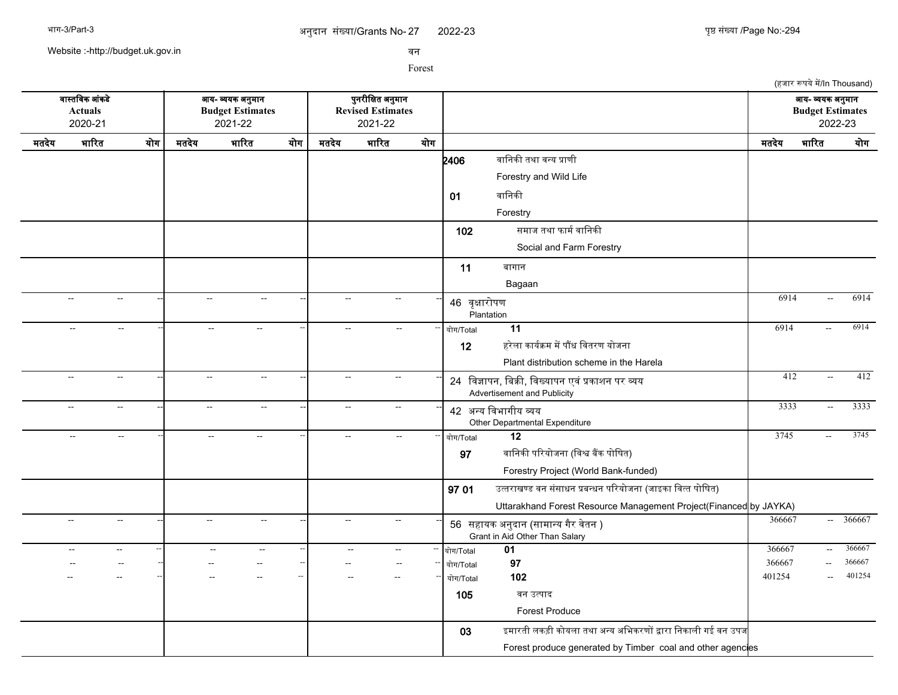2022-23 पुष्ठ संख्या /Page No:-294

(हजार रूपये में/In Thousand)

Website :-http://budget.uk.gov.in

सन

Forest

सगसतचसक आसकडद आख- वखक अननमगन पननरजचकत अननमगन आख- वखक अननमगन **Actuals Budget Estimates Revised Estimates Budget Estimates** 2020-21 2021-22 2021-22 2022-23 मतदखद भगररत खरग मतदखद भगररत खरग मतदखद भगररत खरग मतदखद भगररत खरग  $2406$  बानिकी तथा वन्य प्राणी Forestry and Wild Life 01 बानिकी Forestry 102 समाज तथा फार्म वानिकी Social and Farm Forestry 11 बगगगन Bagaan -- -- -- -- -- -- <sup>46</sup> सपकगररपण Plantation -- -- -- 6914 -- 6914 -- -- -- -- -- -- -- -- -- खरग/Total **11** 6914 -- 6914 12 हरेला कार्यक्रम में पौंध वितरण योजना Plant distribution scheme in the Harela -- -- -- -- -- -- <sup>24</sup> चसजगपन, चबकक, चसखखगपन एसस पकगशन पर वख -- -- -- 412 -- 412 Advertisement and Publicity -- -- -- -- -- -- <sup>42</sup> अनख चसभगगजख वख Other Departmental Expenditure -- -- -- 3333 -- 3333 -- -- -- -- -- -- -- -- -- खरग/Total **12** 3745 -- 3745 97 वानिकी परियोजना (विश्व बैंक पोषित) Forestry Project (World Bank-funded) 97 01 उत्तराखण्ड वन संसाधन प्रबन्धन परियोजना (जाइका वित्त पोषित) Uttarakhand Forest Resource Management Project(Financed by JAYKA) -- -- -- -- -- -- <sup>56</sup> सहगखक अननदगन (सगमगनख गगर सदतन ) -- -- -- 366667 -- 366667 Grant in Aid Other Than Salary -- -- -- -- -- -- -- -- -- खरग/Total **01** 366667 -- 366667 -- -- -- -- -- -- -- -- -- खरग/Total **97** 366667 -- 366667 -- -- -- -- -- -- -- -- -- खरग/Total **102** 401254 -- 401254 105 सन उतपगद Forest Produce 03 इमगरतज लकडज करखलग तथग अनख अचभकरणर दगरग चनकगलज गई सन उपज Forest produce generated by Timber coal and other agencies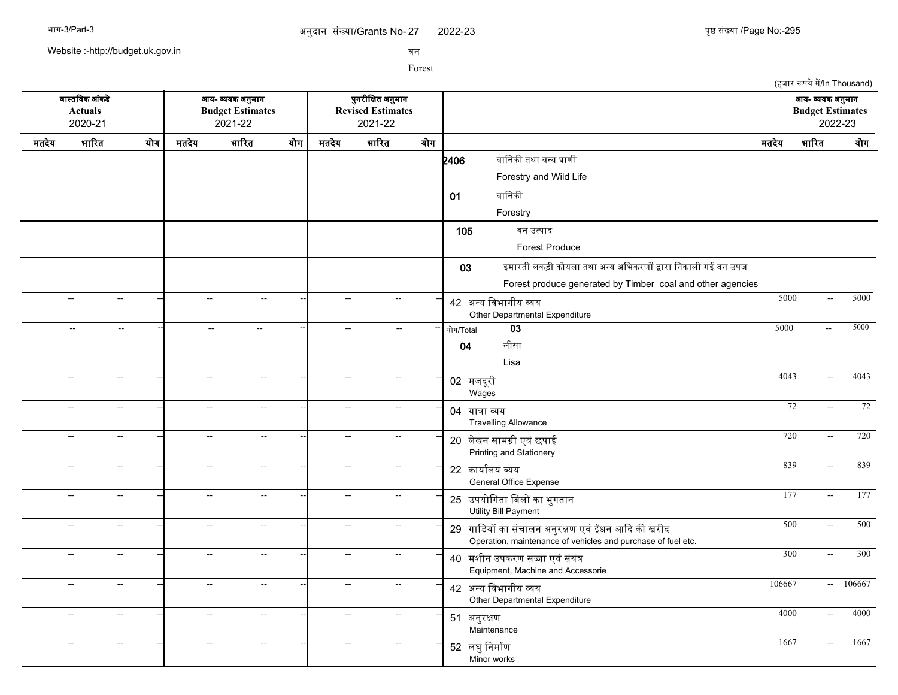Website :-http://budget.uk.gov.in

सन

|                                             |                                                      |     |                                                        |                             |     |                                                          |                          |     |                                                                                                                    |        | (हजार रूपये में/In Thousand)                           |        |
|---------------------------------------------|------------------------------------------------------|-----|--------------------------------------------------------|-----------------------------|-----|----------------------------------------------------------|--------------------------|-----|--------------------------------------------------------------------------------------------------------------------|--------|--------------------------------------------------------|--------|
| वास्तविक आंकडे<br><b>Actuals</b><br>2020-21 |                                                      |     | आय- व्ययक अनुमान<br><b>Budget Estimates</b><br>2021-22 |                             |     | पुनरीक्षित अनुमान<br><b>Revised Estimates</b><br>2021-22 |                          |     |                                                                                                                    |        | आय- व्ययक अनुमान<br><b>Budget Estimates</b><br>2022-23 |        |
| मतदेय                                       | भारित                                                | योग | मतदेय                                                  | भारित                       | योग | मतदेय                                                    | भारित                    | योग |                                                                                                                    | मतदेय  | भारित                                                  | योग    |
|                                             |                                                      |     |                                                        |                             |     |                                                          |                          |     | वानिकी तथा वन्य प्राणी<br>2406                                                                                     |        |                                                        |        |
|                                             |                                                      |     |                                                        |                             |     |                                                          |                          |     | Forestry and Wild Life                                                                                             |        |                                                        |        |
|                                             |                                                      |     |                                                        |                             |     |                                                          |                          |     | वानिकी<br>01                                                                                                       |        |                                                        |        |
|                                             |                                                      |     |                                                        |                             |     |                                                          |                          |     | Forestry                                                                                                           |        |                                                        |        |
|                                             |                                                      |     |                                                        |                             |     |                                                          |                          |     | 105<br>वन उत्पाद                                                                                                   |        |                                                        |        |
|                                             |                                                      |     |                                                        |                             |     |                                                          |                          |     | <b>Forest Produce</b>                                                                                              |        |                                                        |        |
|                                             |                                                      |     |                                                        |                             |     |                                                          |                          |     | इमारती लकड़ी कोयला तथा अन्य अभिकरणों द्वारा निकाली गई वन उपज<br>03                                                 |        |                                                        |        |
|                                             |                                                      |     |                                                        |                             |     |                                                          |                          |     | Forest produce generated by Timber coal and other agencies                                                         |        |                                                        |        |
|                                             | $\sim$<br>$\sim$                                     |     | $\sim$                                                 | $\mathcal{L}_{\mathcal{F}}$ |     | $\mathbf{L}$                                             | $\sim$                   |     | 42 अन्य विभागीय व्यय                                                                                               | 5000   | $\sim$                                                 | 5000   |
|                                             |                                                      |     |                                                        |                             |     |                                                          |                          |     | Other Departmental Expenditure                                                                                     |        |                                                        |        |
|                                             | $\sim$ $\sim$<br>$\sim$ $\sim$                       |     | $\sim$ $\sim$                                          | $\sim$                      |     | $\sim$                                                   |                          |     | $\overline{03}$<br>योग/Total                                                                                       | 5000   | $\sim$                                                 | 5000   |
|                                             |                                                      |     |                                                        |                             |     |                                                          |                          |     | लीसा<br>04                                                                                                         |        |                                                        |        |
|                                             | $\sim$<br>$\sim$                                     |     | $\sim$                                                 | $\sim$                      |     | $\sim$ $\sim$                                            | $\sim$ $\sim$            |     | Lisa                                                                                                               | 4043   | $\mathbb{L}^{\mathbb{L}}$                              | 4043   |
|                                             |                                                      |     |                                                        |                             |     |                                                          |                          |     | 02 मजदूरी<br>Wages                                                                                                 |        |                                                        |        |
|                                             | $\sim$<br>$\overline{\phantom{a}}$                   |     | $\sim$                                                 | $\sim$                      |     | $\sim$                                                   | $\overline{\phantom{a}}$ |     | 04 यात्रा व्यय                                                                                                     | 72     | $\sim$ $\sim$                                          | 72     |
|                                             |                                                      |     |                                                        |                             |     |                                                          |                          |     | <b>Travelling Allowance</b>                                                                                        |        |                                                        |        |
|                                             | $\sim$<br>$\sim$                                     |     | $\sim$                                                 | $\overline{\phantom{a}}$    |     | $\sim$                                                   | $\sim$                   |     | 20 लेखन सामग्री एवं छपाई                                                                                           | 720    | $\sim$                                                 | 720    |
|                                             | $\overline{\phantom{a}}$<br>$\sim$                   |     | $\sim$                                                 | $\sim$                      |     | $\sim$                                                   | $\sim$ $\sim$            |     | Printing and Stationery                                                                                            | 839    | $\sim$                                                 | 839    |
|                                             |                                                      |     |                                                        |                             |     |                                                          |                          |     | 22 कार्यालय व्यय<br>General Office Expense                                                                         |        |                                                        |        |
|                                             | $\overline{\phantom{a}}$<br>$\sim$                   |     | $\mathbb{L}^{\mathbb{L}}$                              | Ξ.                          |     | $\mathbb{L}^{\mathbb{L}}$                                | $\sim$                   |     | 25 उपयोगिता बिलों का भुगतान                                                                                        | 177    | $\sim$                                                 | 177    |
|                                             |                                                      |     |                                                        |                             |     |                                                          |                          |     | Utility Bill Payment                                                                                               |        |                                                        |        |
|                                             | $\overline{\phantom{a}}$<br>$\sim$                   |     | $\sim$                                                 | $\sim$                      |     | $\sim$                                                   | $\sim$                   |     | 29 गाडियों का संचालन अनुरक्षण एवं ईंधन आदि की खरीद<br>Operation, maintenance of vehicles and purchase of fuel etc. | 500    | $\sim$                                                 | 500    |
|                                             | цц.<br>$\sim$                                        |     | $\mathbb{H}^{\mathbb{Z}}$                              | Ξ.                          |     | $\sim$                                                   | $\sim$                   |     | 40 मशीन उपकरण सज्जा एवं संयंत्र                                                                                    | 300    | $\sim$                                                 | 300    |
|                                             |                                                      |     |                                                        |                             |     |                                                          |                          |     | Equipment, Machine and Accessorie                                                                                  |        |                                                        |        |
|                                             | цц.<br>$\sim$                                        |     | $\sim$                                                 | $\sim$                      |     | $\sim$                                                   | $\overline{a}$           |     | 42 अन्य विभागीय व्यय                                                                                               | 106667 | $\mathcal{L}_{\text{max}}$                             | 106667 |
|                                             |                                                      |     |                                                        |                             |     |                                                          |                          |     | Other Departmental Expenditure                                                                                     |        |                                                        |        |
|                                             | $\overline{a}$<br>$\sim$                             |     | $\sim$                                                 | $\sim$                      |     | $\sim$                                                   | $\sim$                   |     | 51 अनुरक्षण<br>Maintenance                                                                                         | 4000   | $\sim$                                                 | 4000   |
|                                             | $\overline{\phantom{a}}$<br>$\overline{\phantom{a}}$ |     | $\overline{a}$                                         | $\overline{a}$              |     | $\overline{\phantom{a}}$                                 | $\overline{\phantom{a}}$ |     | 52 लघु निर्माण<br>Minor works                                                                                      | 1667   | $\sim$ $\sim$                                          | 1667   |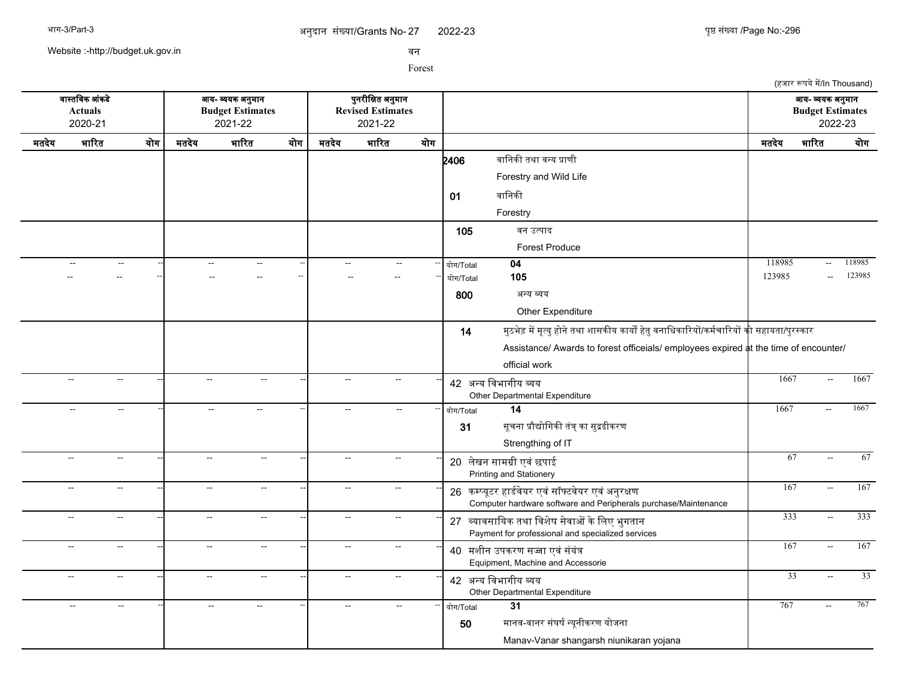2022-23 युष्ठ संख्या /Page No:-296

(हजार रूपये में/In Thousand)

Website :-http://budget.uk.gov.in

सन

|       | वास्तविक आंकडे<br><b>Actuals</b><br>2020-21 |                          |                          | आय- व्ययक अनुमान<br><b>Budget Estimates</b><br>2021-22 | पुनरीक्षित अनुमान<br><b>Revised Estimates</b><br>2021-22 |                |                          |     |                                                                                                                      | आय- व्ययक अनुमान<br><b>Budget Estimates</b><br>2022-23 |                           |                 |
|-------|---------------------------------------------|--------------------------|--------------------------|--------------------------------------------------------|----------------------------------------------------------|----------------|--------------------------|-----|----------------------------------------------------------------------------------------------------------------------|--------------------------------------------------------|---------------------------|-----------------|
| मतदेय | भारित                                       | योग                      | मतदेय                    | भारित                                                  | योग                                                      | मतदेय          | भारित                    | योग |                                                                                                                      | मतदेय                                                  | भारित                     | योग             |
|       |                                             |                          |                          |                                                        |                                                          |                |                          |     | वानिकी तथा वन्य प्राणी<br>2406                                                                                       |                                                        |                           |                 |
|       |                                             |                          |                          |                                                        |                                                          |                |                          |     | Forestry and Wild Life                                                                                               |                                                        |                           |                 |
|       |                                             |                          |                          |                                                        |                                                          |                |                          |     | वानिकी<br>01                                                                                                         |                                                        |                           |                 |
|       |                                             |                          |                          |                                                        |                                                          |                |                          |     | Forestry                                                                                                             |                                                        |                           |                 |
|       |                                             |                          |                          |                                                        |                                                          |                |                          |     | 105<br>वन उत्पाद                                                                                                     |                                                        |                           |                 |
|       |                                             |                          |                          |                                                        |                                                          |                |                          |     | Forest Produce                                                                                                       |                                                        |                           |                 |
|       |                                             | $\sim$ $\sim$            |                          |                                                        |                                                          | $\overline{a}$ |                          |     | 04<br>योग/Total                                                                                                      | 118985                                                 | $\sim$                    | 118985          |
|       |                                             |                          |                          |                                                        | ц.                                                       |                |                          |     | 105<br>योग/Total                                                                                                     | 123985                                                 | $\overline{a}$            | 123985          |
|       |                                             |                          |                          |                                                        |                                                          |                |                          |     | 800<br>अन्य व्यय                                                                                                     |                                                        |                           |                 |
|       |                                             |                          |                          |                                                        |                                                          |                |                          |     | Other Expenditure                                                                                                    |                                                        |                           |                 |
|       |                                             |                          |                          |                                                        |                                                          |                |                          |     | मुठभेड़ में मृत्यु होने तथा शासकीय कार्यों हेतु वनाधिकारियों/कर्मचारियों <b>की</b> सहायता/पुरस्कार<br>14             |                                                        |                           |                 |
|       |                                             |                          |                          |                                                        |                                                          |                |                          |     | Assistance/ Awards to forest officeials/ employees expired at the time of encounter/                                 |                                                        |                           |                 |
|       |                                             |                          |                          |                                                        |                                                          |                |                          |     | official work                                                                                                        |                                                        |                           |                 |
|       | $\overline{\phantom{a}}$                    | $\sim$                   | $\sim$                   | $\mathbf{u}$                                           |                                                          | $\mathbf{u}$   | $\overline{\phantom{a}}$ |     | 42 अन्य विभागीय व्यय<br>Other Departmental Expenditure                                                               | 1667                                                   | $\overline{\phantom{a}}$  | 1667            |
|       | $\sim$                                      | $\sim$                   | $\sim$                   | $\sim$                                                 |                                                          | $\overline{a}$ | $-$                      |     | 14<br>योग/Total                                                                                                      | 1667                                                   | $\sim$                    | 1667            |
|       |                                             |                          |                          |                                                        |                                                          |                |                          |     | सूचना प्रौद्योगिकी तंत्र् का सुद्रढीकरण<br>31                                                                        |                                                        |                           |                 |
|       |                                             |                          |                          |                                                        |                                                          |                |                          |     | Strengthing of IT                                                                                                    |                                                        |                           |                 |
|       | --                                          | $\overline{a}$           | $\overline{\phantom{a}}$ | $\overline{a}$                                         |                                                          | $\sim$         | $\mathbf{L}$             |     | 20 लेखन सामग्री एवं छपाई<br>Printing and Stationery                                                                  | 67                                                     | $\sim$                    | 67              |
|       | --                                          | $\overline{a}$           | $\overline{\phantom{a}}$ | $\overline{\phantom{a}}$                               |                                                          | $\overline{a}$ | $\overline{a}$           |     | 26 कम्प्यूटर हार्डवेयर एवं सॉफ्टवेयर एवं अनुरक्षण<br>Computer hardware software and Peripherals purchase/Maintenance | 167                                                    | $\sim$                    | 167             |
|       | --                                          | $\sim$ $\sim$            | $\overline{a}$           | $\sim$ $\sim$                                          |                                                          | $\sim$         | $\sim$                   |     | 27 व्यावसायिक तथा विशेष सेवाओं के लिए भुगतान<br>Payment for professional and specialized services                    | 333                                                    | $\sim$ $\sim$             | 333             |
|       | $\sim$ $\sim$                               | $\sim$ $\sim$            | $\sim$                   | $\sim$ $\sim$                                          |                                                          | $\sim$         | $\sim$ $\sim$            |     | 40 मशीन उपकरण सज्जा एवं संयंत्र<br>Equipment, Machine and Accessorie                                                 | 167                                                    | $\mathbb{L}^{\mathbb{L}}$ | 167             |
|       | $-$                                         | $\overline{\phantom{a}}$ | $\sim$                   | ΞĒ,                                                    |                                                          | $\mathbf{u}$   | $\sim$ $\sim$            |     | 42 अन्य विभागीय व्यय<br>Other Departmental Expenditure                                                               | $\overline{33}$                                        | $\sim$                    | $\overline{33}$ |
|       | $\sim$                                      | $\sim$ $\sim$            |                          | $\sim$                                                 |                                                          | $\overline{a}$ | $-$                      |     | 31<br>योग/Total                                                                                                      | 767                                                    |                           | 767             |
|       |                                             |                          |                          |                                                        |                                                          |                |                          |     | मानव-वानर संघर्ष न्यूनीकरण योजना<br>50                                                                               |                                                        |                           |                 |
|       |                                             |                          |                          |                                                        |                                                          |                |                          |     | Manav-Vanar shangarsh niunikaran yojana                                                                              |                                                        |                           |                 |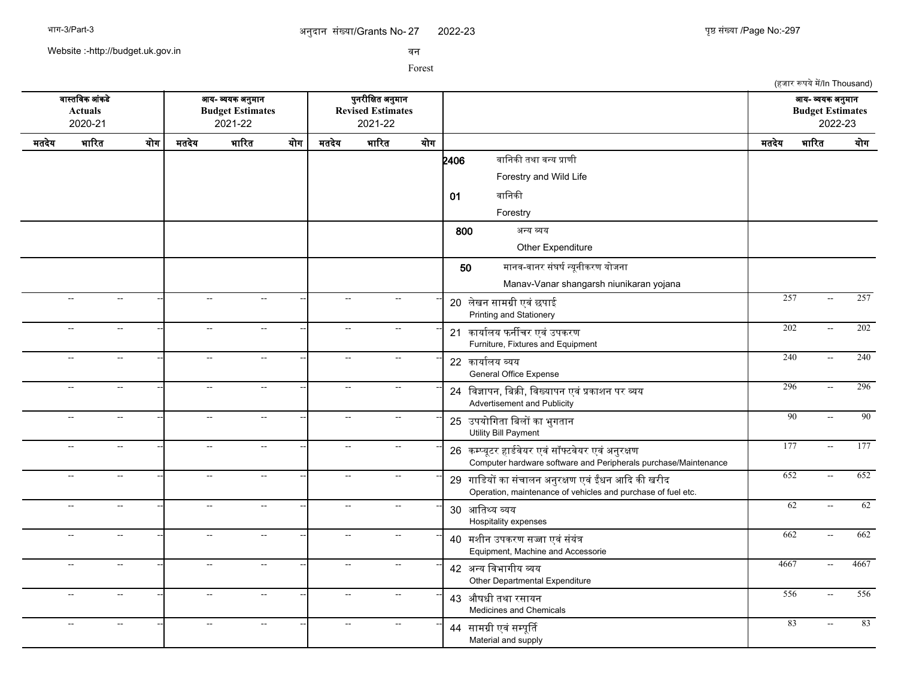2022-23 297

(हजार रूपये में/In Thousand)

Website :-http://budget.uk.gov.in

सन

|       | वास्तविक आंकडे<br><b>Actuals</b><br>2020-21 |                             |                          | आय- व्ययक अनुमान<br><b>Budget Estimates</b><br>2021-22 | पुनरीक्षित अनुमान<br><b>Revised Estimates</b><br>2021-22 |                          |               |     |                                                                                                                      | आय- व्ययक अनुमान<br><b>Budget Estimates</b><br>2022-23 |                          |      |
|-------|---------------------------------------------|-----------------------------|--------------------------|--------------------------------------------------------|----------------------------------------------------------|--------------------------|---------------|-----|----------------------------------------------------------------------------------------------------------------------|--------------------------------------------------------|--------------------------|------|
| मतदेय | भारित                                       | योग                         | मतदेय                    | भारित                                                  | योग                                                      | मतदेय                    | भारित         | योग |                                                                                                                      | मतदेय                                                  | भारित                    | योग  |
|       |                                             |                             |                          |                                                        |                                                          |                          |               |     | वानिकी तथा वन्य प्राणी<br>2406                                                                                       |                                                        |                          |      |
|       |                                             |                             |                          |                                                        |                                                          |                          |               |     | Forestry and Wild Life                                                                                               |                                                        |                          |      |
|       |                                             |                             |                          |                                                        |                                                          |                          |               |     | वानिकी<br>01                                                                                                         |                                                        |                          |      |
|       |                                             |                             |                          |                                                        |                                                          |                          |               |     | Forestry                                                                                                             |                                                        |                          |      |
|       |                                             |                             |                          |                                                        |                                                          |                          |               |     | 800<br>अन्य व्यय                                                                                                     |                                                        |                          |      |
|       |                                             |                             |                          |                                                        |                                                          |                          |               |     | Other Expenditure                                                                                                    |                                                        |                          |      |
|       |                                             |                             |                          |                                                        |                                                          |                          |               |     | मानव-वानर संघर्ष न्यूनीकरण योजना<br>50                                                                               |                                                        |                          |      |
|       |                                             |                             |                          |                                                        |                                                          |                          |               |     | Manav-Vanar shangarsh niunikaran yojana                                                                              |                                                        |                          |      |
|       | --                                          | $\sim$                      | $\overline{a}$           | $\sim$ $\sim$                                          |                                                          | Ξ.                       | $\sim$        |     | 20 लेखन सामग्री एवं छपाई<br>Printing and Stationery                                                                  | 257                                                    | $\overline{\phantom{a}}$ | 257  |
|       | $\overline{a}$                              | $\rightarrow$               | $\overline{\phantom{a}}$ | $\sim$ $\sim$                                          |                                                          | $\overline{\phantom{a}}$ |               |     | 21 कार्यालय फर्नीचर एवं उपकरण<br>Furniture, Fixtures and Equipment                                                   | $\overline{202}$                                       | $\overline{a}$           | 202  |
|       | Щ,                                          | $\overline{a}$              | Ξ.                       | $\overline{\phantom{a}}$                               |                                                          | Ξ.                       |               |     | 22 कार्यालय व्यय<br><b>General Office Expense</b>                                                                    | 240                                                    | $\overline{\phantom{a}}$ | 240  |
|       | $\overline{a}$                              | $\sim$                      | $\overline{a}$           | $\sim$                                                 |                                                          | $\overline{\phantom{a}}$ | $\sim$ $\sim$ |     | 24 विज्ञापन, बिक्री, विख्यापन एवं प्रकाशन पर व्यय<br>Advertisement and Publicity                                     | 296                                                    | $\sim$ $\sim$            | 296  |
|       | $\overline{a}$                              | $\sim$                      | $\overline{a}$           | $\sim$                                                 |                                                          | $\sim$                   | $\sim$        |     | 25 उपयोगिता बिलों का भुगतान<br>Utility Bill Payment                                                                  | 90                                                     | цц.                      | 90   |
|       | $\overline{a}$                              | $\mathbb{L}^{\mathbb{L}}$   | $\overline{\phantom{a}}$ | $\mathbb{L}^{\mathbb{L}}$                              |                                                          | $\sim$                   | $\sim$        |     | 26 कम्प्यूटर हार्डवेयर एवं सॉफ्टवेयर एवं अनुरक्षण<br>Computer hardware software and Peripherals purchase/Maintenance | 177                                                    | $\sim$                   | 177  |
|       | $\overline{a}$                              | $\mathcal{L}_{\mathcal{F}}$ | $\sim$                   | $\mathbb{L}^{\mathbb{L}}$                              |                                                          | $\mathbf{u}$             | $\sim$ $\sim$ |     | 29 गाडियों का संचालन अनुरक्षण एवं ईंधन आदि की खरीद<br>Operation, maintenance of vehicles and purchase of fuel etc.   | 652                                                    | $\sim$                   | 652  |
|       | $\overline{a}$                              | $\mathbb{L}^{\mathbb{L}}$   | $\sim$                   | $\mathbb{L}^{\mathbb{L}}$                              |                                                          | $\mathbf{u}$             | $\sim$        |     | 30 आतिथ्य व्यय<br>Hospitality expenses                                                                               |                                                        | 62<br>$\sim$             | 62   |
|       | $\overline{a}$                              | $\sim$                      | $\overline{a}$           | $\sim$                                                 |                                                          | $\overline{a}$           | $\sim$ $\sim$ |     | 40 मशीन उपकरण सज्जा एवं संयंत्र<br>Equipment, Machine and Accessorie                                                 | 662                                                    | $\sim$                   | 662  |
|       | $\overline{a}$                              | $\sim$                      | $\overline{\phantom{a}}$ | $\sim$                                                 |                                                          | $\overline{a}$           | $\sim$        |     | 42 अन्य विभागीय व्यय<br>Other Departmental Expenditure                                                               | 4667                                                   | $\sim$                   | 4667 |
|       | $\overline{a}$                              | $\sim$                      | $\overline{\phantom{a}}$ | $\sim$                                                 |                                                          | $\overline{a}$           | $\sim$        |     | 43 औषधी तथा रसायन<br>Medicines and Chemicals                                                                         | 556                                                    | $\sim$                   | 556  |
|       | --                                          | $\overline{a}$              | $\overline{\phantom{a}}$ | $\overline{a}$                                         |                                                          | $\overline{\phantom{a}}$ | $\sim$        |     | 44 सामग्री एवं सम्पूर्ति<br>Material and supply                                                                      | 83                                                     | $\overline{a}$           | 83   |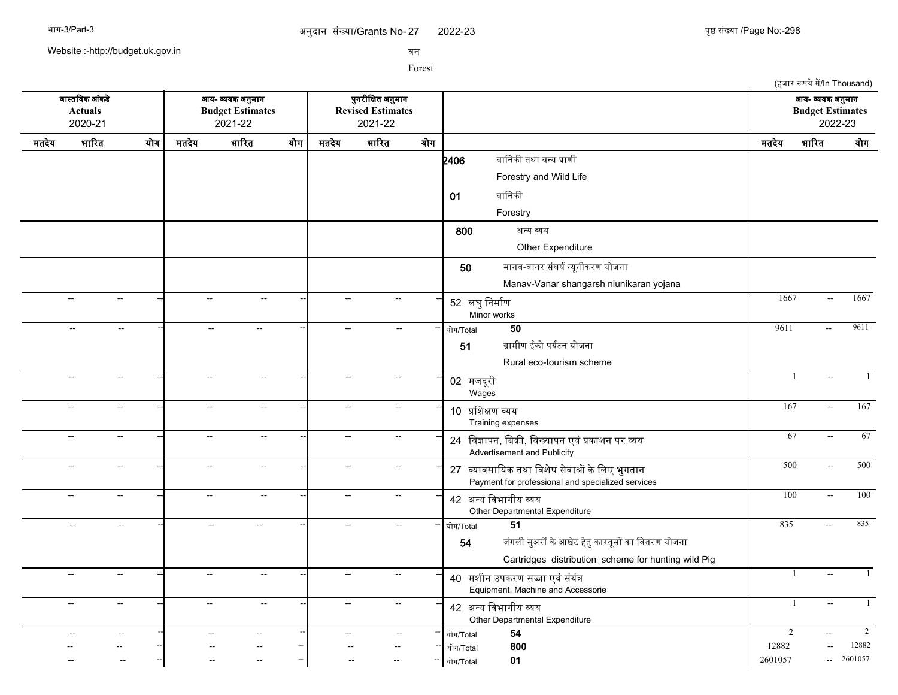2022-23 था प्रथम अपनी का सामान्य प्रथम कर प्रथम प्रथम अपनी अधिकारी प्रथम प्रथम (Page No:-298)

Website :-http://budget.uk.gov.in

सन

|                                             |                          |                                                     |                           |                                                        |                          |                             |                                                          |                          |                                                                                                                                   |                | (हजार रूपये में/In Thousand)                           |                |
|---------------------------------------------|--------------------------|-----------------------------------------------------|---------------------------|--------------------------------------------------------|--------------------------|-----------------------------|----------------------------------------------------------|--------------------------|-----------------------------------------------------------------------------------------------------------------------------------|----------------|--------------------------------------------------------|----------------|
| वास्तविक आंकडे<br><b>Actuals</b><br>2020-21 |                          |                                                     |                           | आय- व्ययक अनुमान<br><b>Budget Estimates</b><br>2021-22 |                          |                             | पुनरीक्षित अनुमान<br><b>Revised Estimates</b><br>2021-22 |                          |                                                                                                                                   |                | आय- व्ययक अनुमान<br><b>Budget Estimates</b><br>2022-23 |                |
| मतदेय                                       | भारित                    | योग                                                 | मतदेय                     | भारित                                                  | योग                      | मतदेय                       | भारित                                                    | योग                      |                                                                                                                                   | मतदेय          | भारित                                                  | योग            |
|                                             |                          |                                                     |                           |                                                        |                          |                             |                                                          |                          | वानिकी तथा वन्य प्राणी<br>2406                                                                                                    |                |                                                        |                |
|                                             |                          |                                                     |                           |                                                        |                          |                             |                                                          |                          | Forestry and Wild Life                                                                                                            |                |                                                        |                |
|                                             |                          |                                                     |                           |                                                        |                          |                             |                                                          |                          | वानिकी<br>01                                                                                                                      |                |                                                        |                |
|                                             |                          |                                                     |                           |                                                        |                          |                             |                                                          |                          | Forestry                                                                                                                          |                |                                                        |                |
|                                             |                          |                                                     |                           |                                                        |                          |                             |                                                          |                          | 800<br>अन्य व्यय                                                                                                                  |                |                                                        |                |
|                                             |                          |                                                     |                           |                                                        |                          |                             |                                                          |                          | Other Expenditure                                                                                                                 |                |                                                        |                |
|                                             |                          |                                                     |                           |                                                        |                          |                             |                                                          |                          | मानव-वानर संघर्ष न्यूनीकरण योजना<br>50                                                                                            |                |                                                        |                |
|                                             |                          |                                                     |                           |                                                        |                          |                             |                                                          |                          | Manav-Vanar shangarsh niunikaran yojana                                                                                           |                |                                                        |                |
|                                             | $\mathbb{L}^2$           | $\sim$                                              | $\mathbb{L}^2$            | $\sim$                                                 |                          | $\sim$                      | $\sim$                                                   |                          | 52 लघु निर्माण<br>Minor works                                                                                                     | 1667           | $\overline{\phantom{a}}$                               | 1667           |
|                                             | $\overline{\phantom{a}}$ | $\hspace{0.05cm} -\hspace{0.05cm} -\hspace{0.05cm}$ | $\sim$                    | $\overline{\phantom{a}}$                               |                          | $\sim$                      | $\overline{a}$                                           |                          | 50<br>योग/Total                                                                                                                   | 9611           | $\sim$ $\sim$                                          | 9611           |
|                                             |                          |                                                     |                           |                                                        |                          |                             |                                                          |                          | ग्रामीण ईको पर्यटन योजना<br>51                                                                                                    |                |                                                        |                |
|                                             |                          |                                                     |                           |                                                        |                          |                             |                                                          |                          | Rural eco-tourism scheme                                                                                                          |                |                                                        |                |
|                                             | $\sim$                   | $\sim$                                              | $\sim$                    | $\sim$                                                 | $\overline{a}$           | $\mathbb{L}^{\mathbb{L}}$   | $\sim$                                                   |                          | 02 मजदूरी<br>Wages                                                                                                                | -1             | $\mathbb{L}^{\mathbb{L}}$                              | -1             |
|                                             | $\sim$                   | $\sim$                                              | $\sim$                    | $\sim$                                                 |                          | $\sim$                      | $\sim$                                                   |                          | 10 प्रशिक्षण व्यय<br>Training expenses                                                                                            | 167            | $\mathbb{L}^{\mathbb{L}}$                              | 167            |
|                                             | $\sim$                   | $\sim$                                              | $\sim$                    | $\sim$                                                 |                          | $\overline{\phantom{a}}$    | $\sim$                                                   |                          | 24 विज्ञापन, बिक्री, विख्यापन एवं प्रकाशन पर व्यय<br>Advertisement and Publicity                                                  | 67             | $\sim$                                                 | 67             |
|                                             | $\sim$                   | $\sim$                                              | $\sim$                    | $\sim$                                                 | $\sim$ $\sim$            | $\mathcal{L}_{\mathcal{A}}$ | $\sim$                                                   |                          | 27 व्यावसायिक तथा विशेष सेवाओं के लिए भुगतान<br>Payment for professional and specialized services                                 | 500            | $\mathcal{L}_{\mathcal{A}}$                            | 500            |
|                                             | $\sim$                   | $\mathcal{L}_{\mathcal{F}}$                         | $\mathbb{H}^{\mathbb{Z}}$ | $\sim$                                                 | Ξ.                       | $\sim$ $\sim$               | $\sim$                                                   |                          | 42 अन्य विभागीय व्यय<br>Other Departmental Expenditure                                                                            | 100            | $\sim$                                                 | 100            |
|                                             | $\mathbf{u}$             | $\mathbf{u}$                                        | $\sim$                    | $\mathbf{u}$                                           |                          | $\overline{a}$              | $\mathcal{L}_{\mathcal{A}}$                              |                          | 51<br>योग/Total<br>जंगली सुअरों के आखेट हेतु कारतूसों का वितरण योजना<br>54<br>Cartridges distribution scheme for hunting wild Pig | 835            | $\sim$                                                 | 835            |
|                                             | $\sim$                   | $\sim$                                              | $\sim$                    | $\rightarrow$                                          |                          | $\sim$                      | $\sim$                                                   |                          | 40 मशीन उपकरण सज्जा एवं संयंत्र<br>Equipment, Machine and Accessorie                                                              | -1             | $\sim$ $\sim$                                          |                |
|                                             | $\mathbf{L}$             | $\overline{\phantom{a}}$                            | $\overline{\phantom{a}}$  | $\overline{\phantom{a}}$                               |                          | Щ,                          | $\sim$                                                   |                          | 42 अन्य विभागीय व्यय<br>Other Departmental Expenditure                                                                            | $\overline{1}$ |                                                        |                |
|                                             |                          | $\sim$                                              |                           | $\sim$                                                 | $\overline{\phantom{a}}$ |                             |                                                          |                          | $\overline{54}$<br>योग/Total                                                                                                      | $\overline{2}$ |                                                        | $\overline{2}$ |
|                                             |                          |                                                     |                           |                                                        |                          |                             |                                                          |                          | 800<br>योग/Total                                                                                                                  | 12882          |                                                        | 12882          |
|                                             |                          |                                                     |                           |                                                        | $\overline{a}$           |                             |                                                          | $\overline{\phantom{a}}$ | 01<br>योग/Total                                                                                                                   | 2601057        | $\sim$                                                 | 2601057        |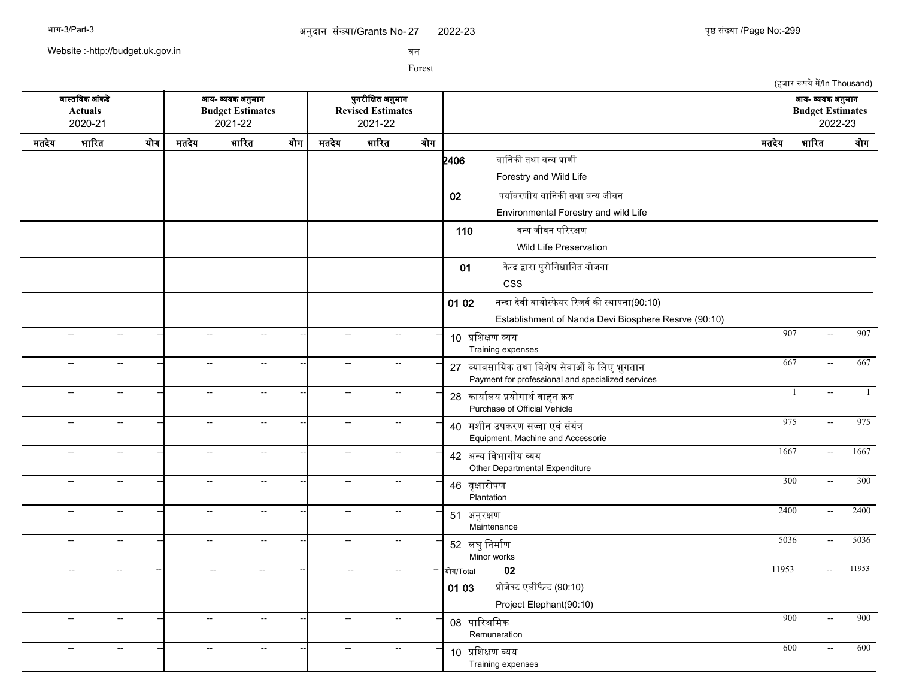Website :-http://budget.uk.gov.in

सन

Forest

(हजार रूपये में/In Thousand) सगसतचसक आसकडद आख- वखक अननमगन पननरजचकत अननमगन आख- वखक अननमगन **Actuals Budget Estimates Revised Estimates Budget Estimates** 2020-21 2021-22 2021-22 2022-23 मतदखद भगररत खरग मतदखद भगररत खरग मतदखद भगररत खरग मतदखद भगररत खरग  $2406$  बानिकी तथा वन्य प्राणी Forestry and Wild Life 02 पर्यावरणीय वानिकी तथा वन्य जीवन Environmental Forestry and wild Life 110 बन्य जीवन परिरक्षण Wild Life Preservation 01 केन्द्र द्वारा पुरोनिधानित योजना CSS 01 02 नन्दा देवी बायोस्फेयर रिजर्व की स्थापना(90:10) Establishment of Nanda Devi Biosphere Resrve (90:10) -- -- -- -- -- -- <sup>10</sup> पचशकण वखख Training expenses -- - - - - - - - - - 10 <del>news appr</del> - - - - 907 - 907 - 907 -- -- -- -- -- -- <sup>27</sup> वखगससगचखक तथग चसशदष सदसगओ कदचलए भनगतगन -- -- -- 667 -- 667 Payment for professional and specialized services -- -- -- -- -- -- <sup>28</sup> कगखगरलख पखरगगथरसगहन कख -- -- -- 1 -- 1 Purchase of Official Vehicle -- -- -- -- -- -- <sup>40</sup> मशजन उपकरण सजग एससससखसत -- -- -- 975 -- 975 Equipment, Machine and Accessorie -- -- -- -- -- -- <sup>42</sup> अनख चसभगगजख वख Other Departmental Expenditure -- - - - - - - - - 1667 - 1667 - 1667 - 1667 -- -- -- -- -- -- <sup>46</sup> सपकगररपण **Plantation** --| -- -- --| -- - --| 46 <del>avendrum</del> - - - - 1900 -- 300 -- -- -- -- -- -- <sup>51</sup> अननरकण Maintenance -- -- -- 2400 -- 2400 -- -- -- -- -- -- <sup>52</sup> लघनचनमगरण Minor works -- -- -- 5036 -- 5036 -- -- -- -- -- -- -- -- -- खरग/Total **02** 11953 -- 11953 01 03 प्रोजेक्ट एलीफैन्ट (90:10) Project Elephant(90:10) -- -- -- -- -- -- <sup>08</sup> पगररशचमक Remuneration --| -- - --| -- - -| 00 <del>mDvDar</del> - - - -| 900 -- 900 -- -- -- -- -- -- <sup>10</sup> पचशकण वखख Training expenses --| -- -- --| -- -- --| 10. ਸ਼ਹਿਆਸ਼ ਤਸ਼ਸ਼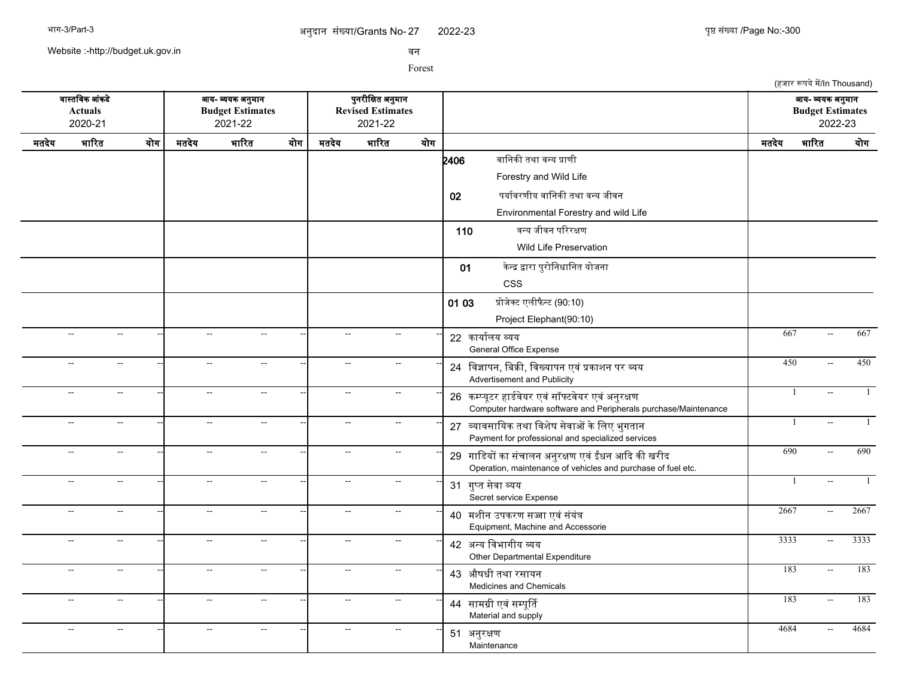Website :-http://budget.uk.gov.in

सन

|                                                                                                       |                           |               |                                                                 |                             |     |                                                        |               |                                                                                                                      |       | (हजार रूपये में/In Thousand) |      |
|-------------------------------------------------------------------------------------------------------|---------------------------|---------------|-----------------------------------------------------------------|-----------------------------|-----|--------------------------------------------------------|---------------|----------------------------------------------------------------------------------------------------------------------|-------|------------------------------|------|
| वास्तविक आंकडे<br>आय- व्ययक अनुमान<br><b>Actuals</b><br><b>Budget Estimates</b><br>2020-21<br>2021-22 |                           |               | पुनरीक्षित अनुमान<br><b>Revised Estimates</b><br>2021-22<br>योग |                             |     | आय- व्ययक अनुमान<br><b>Budget Estimates</b><br>2022-23 |               |                                                                                                                      |       |                              |      |
| मतदेय                                                                                                 | भारित                     | योग           | मतदेय                                                           | भारित                       | योग | मतदेय                                                  | भारित         |                                                                                                                      | मतदेय | भारित                        | योग  |
|                                                                                                       |                           |               |                                                                 |                             |     |                                                        |               | वानिकी तथा वन्य प्राणी<br>2406<br>Forestry and Wild Life                                                             |       |                              |      |
|                                                                                                       |                           |               |                                                                 |                             |     |                                                        |               | पर्यावरणीय वानिकी तथा वन्य जीवन<br>02                                                                                |       |                              |      |
|                                                                                                       |                           |               |                                                                 |                             |     |                                                        |               | Environmental Forestry and wild Life                                                                                 |       |                              |      |
|                                                                                                       |                           |               |                                                                 |                             |     |                                                        |               | वन्य जीवन परिरक्षण<br>110                                                                                            |       |                              |      |
|                                                                                                       |                           |               |                                                                 |                             |     |                                                        |               | <b>Wild Life Preservation</b>                                                                                        |       |                              |      |
|                                                                                                       |                           |               |                                                                 |                             |     |                                                        |               | केन्द्र द्वारा पुरोनिधानित योजना                                                                                     |       |                              |      |
|                                                                                                       |                           |               |                                                                 |                             |     |                                                        |               | 01<br><b>CSS</b>                                                                                                     |       |                              |      |
|                                                                                                       |                           |               |                                                                 |                             |     |                                                        |               | प्रोजेक्ट एलीफैन्ट (90:10)                                                                                           |       |                              |      |
|                                                                                                       |                           |               |                                                                 |                             |     |                                                        |               | 01 03<br>Project Elephant(90:10)                                                                                     |       |                              |      |
|                                                                                                       | $\overline{\phantom{a}}$  | $\sim$        | $\overline{\phantom{a}}$                                        | $\overline{a}$              |     | $\sim$                                                 | $\sim$        | 22 कार्यालय व्यय                                                                                                     | 667   | $\sim$                       | 667  |
|                                                                                                       |                           |               |                                                                 |                             |     |                                                        |               | General Office Expense                                                                                               |       |                              |      |
|                                                                                                       | $\sim$                    | $\sim$        | $\overline{a}$                                                  | Щ,                          |     | $\sim$                                                 | $\sim$ $\sim$ | 24 विज्ञापन, बिक्री, विख्यापन एवं प्रकाशन पर व्यय<br>Advertisement and Publicity                                     | 450   | $\sim$                       | 450  |
|                                                                                                       | $\overline{\phantom{a}}$  | $\sim$        | $\overline{\phantom{a}}$                                        | $\rightarrow$               |     | $\sim$                                                 | $\sim$        | 26 कम्प्यूटर हार्डवेयर एवं सॉफ्टवेयर एवं अनुरक्षण<br>Computer hardware software and Peripherals purchase/Maintenance |       | $\mathbf{1}$                 |      |
|                                                                                                       | $\overline{\phantom{a}}$  | $\sim$        | $\overline{a}$                                                  | $\mathcal{L}_{\mathcal{F}}$ |     | $\sim$ $\sim$                                          | $\sim$        | 27 व्यावसायिक तथा विशेष सेवाओं के लिए भुगतान<br>Payment for professional and specialized services                    |       | $\overline{1}$<br>$\sim$     |      |
|                                                                                                       | $\sim$                    | $\sim$        | $\sim$                                                          | $\overline{\phantom{a}}$    |     | $\sim$                                                 | $\sim$        | 29 गाडियों का संचालन अनुरक्षण एवं ईंधन आदि की खरीद<br>Operation, maintenance of vehicles and purchase of fuel etc.   | 690   | $\sim$                       | 690  |
|                                                                                                       | $\sim$ $\sim$             | $\sim$        | $\sim$                                                          | $\qquad \qquad -$           |     | $\sim$ $\sim$                                          | $\sim$ $\sim$ | 31 गुप्त सेवा व्यय<br>Secret service Expense                                                                         |       | -1<br>$\sim$                 | 1    |
|                                                                                                       | $\mathbb{L}^{\mathbb{L}}$ | $\sim$        | $\mathcal{L}_{\mathcal{A}}$                                     | $\sim$ $\sim$               |     | $\sim$ $\sim$                                          | $\sim$ $\sim$ | 40 मशीन उपकरण सज्जा एवं संयंत्र<br>Equipment, Machine and Accessorie                                                 | 2667  | $\sim$ $\sim$                | 2667 |
|                                                                                                       | $\sim$                    | $\sim$        | $\overline{a}$                                                  | $\overline{\phantom{a}}$    |     | $\sim$                                                 | $\sim$        | 42 अन्य विभागीय व्यय<br>Other Departmental Expenditure                                                               | 3333  | $\sim$                       | 3333 |
|                                                                                                       | $\mathbb{L}^{\mathbb{L}}$ | $\sim$        | $\mathcal{L}_{\mathcal{A}}$                                     | $\sim$                      |     | $\sim$                                                 | $\sim$        | 43 औषधी तथा रसायन<br>Medicines and Chemicals                                                                         | 183   | $\sim$                       | 183  |
|                                                                                                       | $\sim$ $\sim$             | $\sim$        | $\sim$ $\sim$                                                   | $\overline{a}$              |     | $\sim$ $\sim$                                          | $\sim$ $\sim$ | 44 सामग्री एवं सम्पूर्ति<br>Material and supply                                                                      | 183   | $\sim$                       | 183  |
|                                                                                                       | $\overline{a}$            | $\sim$ $\sim$ | $\overline{a}$                                                  | $\overline{a}$              |     | $\mathbf{L}$                                           | --            | 51 अनुरक्षण<br>Maintenance                                                                                           | 4684  | $\mathbf{L}$                 | 4684 |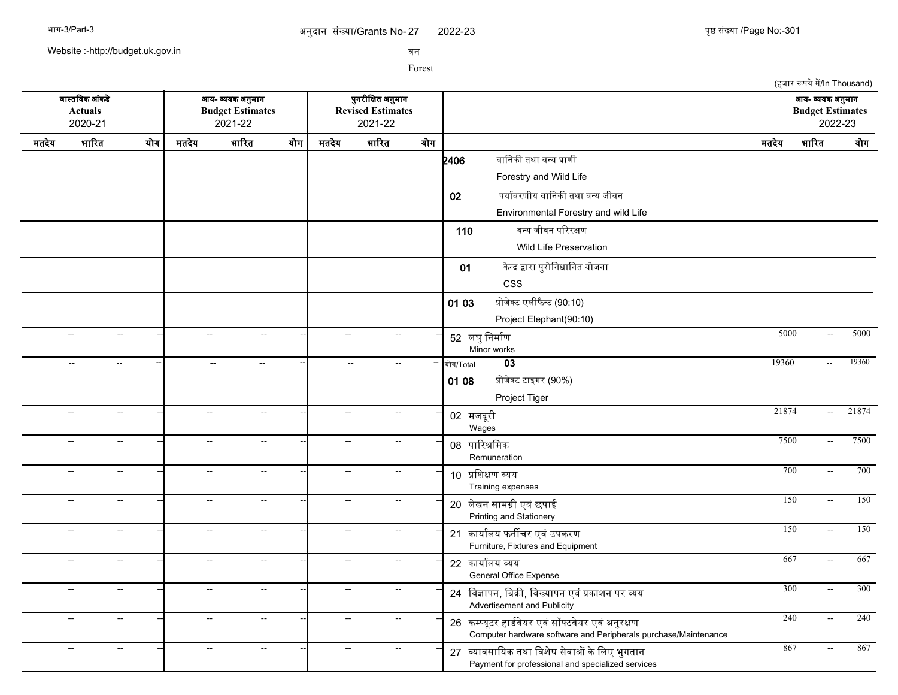2022-23 युष्ठ संख्या /Page No:-301

(हजार रूपये में/In Thousand)

Website :-http://budget.uk.gov.in

सन

Forest

सगसतचसक आसकडद आख- वखक अननमगन पननरजचकत अननमगन आख- वखक अननमगन **Actuals Budget Estimates Revised Estimates Budget Estimates** 2020-21 2021-22 2021-22 2022-23 मतदखद भगररत खरग मतदखद भगररत खरग मतदखद भगररत खरग मतदखद भगररत खरग  $2406$  बानिकी तथा वन्य प्राणी Forestry and Wild Life 02 पर्यावरणीय वानिकी तथा वन्य जीवन Environmental Forestry and wild Life 110 बन्य जीवन परिरक्षण Wild Life Preservation 01 केन्द्र द्वारा पुरोनिधानित योजना CSS 01 03 प्रोजेक्ट एलीफैन्ट (90:10) Project Elephant(90:10) -- -- -- -- -- -- <sup>52</sup> लघनचनमगरण Minor works --| -- - --| -- - -| 5000 -- 5000 -- 5000 -- -- -- -- -- -- -- -- -- खरग/Total **03** 19360 -- 19360 01 08 प्रोजेक्ट टाइगर (90%) Project Tiger -- -- -- -- -- -- <sup>02</sup> मजदरज <sup>प</sup> Wages --| -- -- --| -- -- --| 02.<del>11.2.8.8</del> -- - - - - - - - - - - - - - - - - - 08 पारिश्रमिक **Remuneration** -- -- -- 7500 -- 7500 -- -- -- -- -- -- <sup>10</sup> पचशकण वखख Training expenses --| -- -- --| -- -- --| 10. ਸ਼ਹਿਆਸ਼ ਤਸ਼ਸ਼ -- -- -- -- -- -- <sup>20</sup> लदखन सगमगज एसस छपगई -- -- -- 150 -- 150 Printing and Stationery -- -- -- -- -- -- <sup>21</sup> कगखगरलख फनरचर एसस उपकरण -- -- -- 150 -- 150 Furniture, Fixtures and Equipment -- -- -- -- -- -- <sup>22</sup> कगखगरलख वखख General Office Expense -- -- -- 667 -- 667 -- -- -- -- -- -- <sup>24</sup> चसजगपन, चबकक, चसखखगपन एसस पकगशन पर वख -- -- -- 300 -- 300 Advertisement and Publicity -- -- -- -- -- -- <sup>26</sup> कममखपटर हगडरसदखर एससससफटसदखर एससअननरकण -- -- -- 240 -- 240 Computer hardware software and Peripherals purchase/Maintenance -- -- -- -- -- -- <sup>27</sup> वखगससगचखक तथग चसशदष सदसगओ कदचलए भनगतगन -- -- -- 867 -- 867Payment for professional and specialized services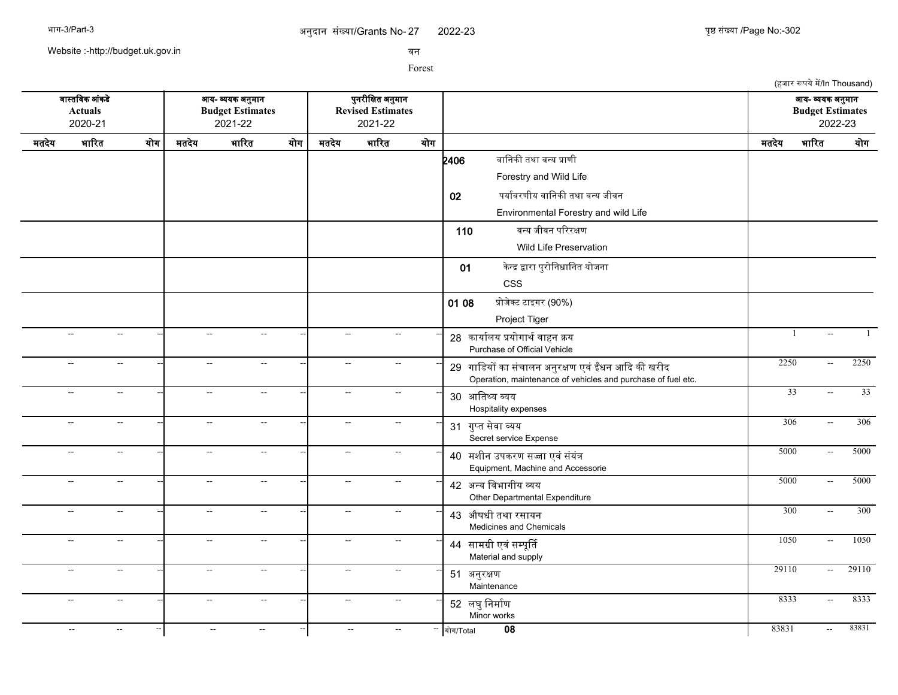Website :-http://budget.uk.gov.in

सन

Forest

(हजार रूपये में/In Thousand) सगसतचसक आसकडद आख- वखक अननमगन पननरजचकत अननमगन आख- वखक अननमगन **Actuals Budget Estimates Revised Estimates Budget Estimates** 2020-21 2021-22 2021-22 2022-23 मतदखद भगररत खरग मतदखद भगररत खरग मतदखद भगररत खरग मतदखद भगररत खरग  $2406$  बानिकी तथा वन्य प्राणी Forestry and Wild Life 02 पर्यावरणीय वानिकी तथा वन्य जीवन Environmental Forestry and wild Life 110 बन्य जीवन परिरक्षण Wild Life Preservation 01 केन्द्र द्वारा पुरोनिधानित योजना CSS 01 08 प्रोजेक्ट टाइगर (90%) Project Tiger -- -- -- -- -<mark>-</mark> -- -- -- -- -- -- -- -- -- -- -- -- 28 कार्यालय प्रयोगार्थ वाहन क्रय Purchase of Official Vehicle -- -- -- -- -- -- <sup>29</sup> गगचडखर कग ससचगलन अननरकण एसस ईधन आकद कक खरजद -- -- -- 2250 -- 2250 Operation, maintenance of vehicles and purchase of fuel etc. -- -- -- -- -- -- <sup>30</sup> आचतसख वखख Hospitality expenses --| -- -- --| -- -- --- ---| 20 आखिश्या त्याप्रा -- -- -- -- -- -- <sup>31</sup> गनमत सदसग वखख Secret service Expense -- -- -- 306 -- 306 -- -- -- -- -- -- <sup>40</sup> मशजन उपकरण सजग एससससखसत -- -- -- 5000 -- 5000 Equipment, Machine and Accessorie -- -- -- -- -- -- <sup>42</sup> अनख चसभगगजख वख Other Departmental Expenditure --| -- -- --| -- - --| 42 <del>20a Bernfra and</del> - - - - 5000 -- 5000 -- -- -- -- -- -- <sup>43</sup> औषधज तथग रसगखन Medicines and Chemicals --| -- - --| -- - -| 42 <del>stach sur runnel</del> - - - 1 300 -- 300 -- -- -- -- -- -- <sup>44</sup> सगमगज एसससमपपरत -- -- -- 1050 -- 1050 Material and supply -- -- -- -- -- -- <sup>51</sup> अननरकण Maintenance -- -- -- 29110 -- 29110 -- -- -- -- -- -- <sup>52</sup> लघनचनमगरण Minor works -- -- -- 8333 -- 8333 -- -- -- -- -- -- -- -- -- खरग/Total **08** 83831 -- 83831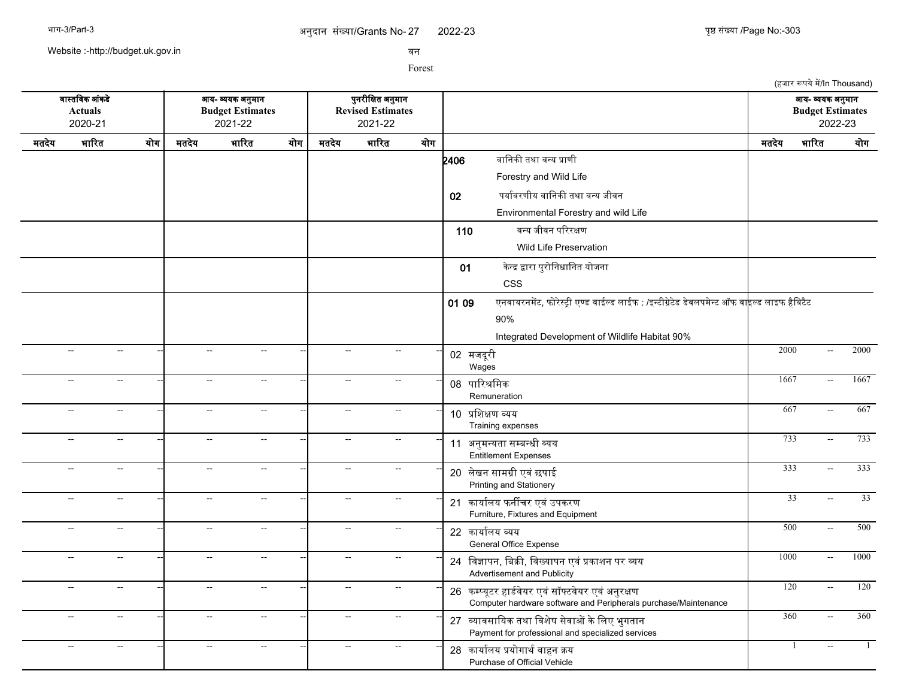(हजार रूपये में/In Thousand)

Website :-http://budget.uk.gov.in

सन

Forest

सगसतचसक आसकडद आख- वखक अननमगन पननरजचकत अननमगन आख- वखक अननमगन **Actuals Budget Estimates Revised Estimates Budget Estimates** 2020-21 2021-22 2021-22 2022-23 मतदखद भगररत खरग मतदखद भगररत खरग मतदखद भगररत खरग मतदखद भगररत खरग  $2406$  बानिकी तथा वन्य प्राणी Forestry and Wild Life 02 पर्यावरणीय वानिकी तथा वन्य जीवन Environmental Forestry and wild Life 110 बन्य जीवन परिरक्षण Wild Life Preservation 01 केन्द्र द्वारा पुरोनिधानित योजना CSS 01 09 एनवायरनमेंट, फोरेस्टी एण्ड वाईल्ड लाईफ : /इन्टीग्रेटेड डेवलपमेन्ट ऑफ वाइल्ड लाइफ हैबिटैट 90% Integrated Development of Wildlife Habitat 90% -- -- -- -- -- -- <sup>02</sup> मजदरज <sup>प</sup> Wages -- -- -- 2000 -- 2000 -- -- -- -- -- -- <sup>08</sup> पगररशचमक Remuneration -- - - - - - - - - - 00 <del>mPyrDax</del> - - - - 1667 - 1667 - 1667 -- -- -- -- -- -- <sup>10</sup> पचशकण वखख Training expenses -- - - - - - - - - - 10 <del>urbeam and</del> - - - - - 10 <del>urbeam and</del> -- -- -- -- -- -- <sup>11</sup> अननमनखतग समबनधज वखख -- -- -- 733 -- 733 Entitlement Expenses -- -- -- -- -- -- <sup>20</sup> लदखन सगमगज एसस छपगई -- -- -- 333 -- 333 Printing and Stationery -- -- -- -- -- -- <sup>21</sup> कगखगरलख फनरचर एसस उपकरण -- -- -- 33 -- 33 Furniture, Fixtures and Equipment -- -- -- -- -- -- <sup>22</sup> कगखगरलख वखख General Office Expense -- -- -- 500 -- 500 -- -- -- -- -- -- <sup>24</sup> चसजगपन, चबकक, चसखखगपन एसस पकगशन पर वख -- -- -- 1000 -- 1000 Advertisement and Publicity -- -- -- -- -- -- <sup>26</sup> कममखपटर हगडरसदखर एससससफटसदखर एससअननरकण -- -- -- 120 -- 120 Computer hardware software and Peripherals purchase/Maintenance -- -- -- -- -- -- <sup>27</sup> वखगससगचखक तथग चसशदष सदसगओ कदचलए भनगतगन -- -- -- 360 -- 360 Payment for professional and specialized services -- -- -- -- -<mark>-</mark> -- -- -- -- -- -- -- -- -- -- -- -- 28 कार्यालय प्रयोगार्थ वाहन क्रय Purchase of Official Vehicle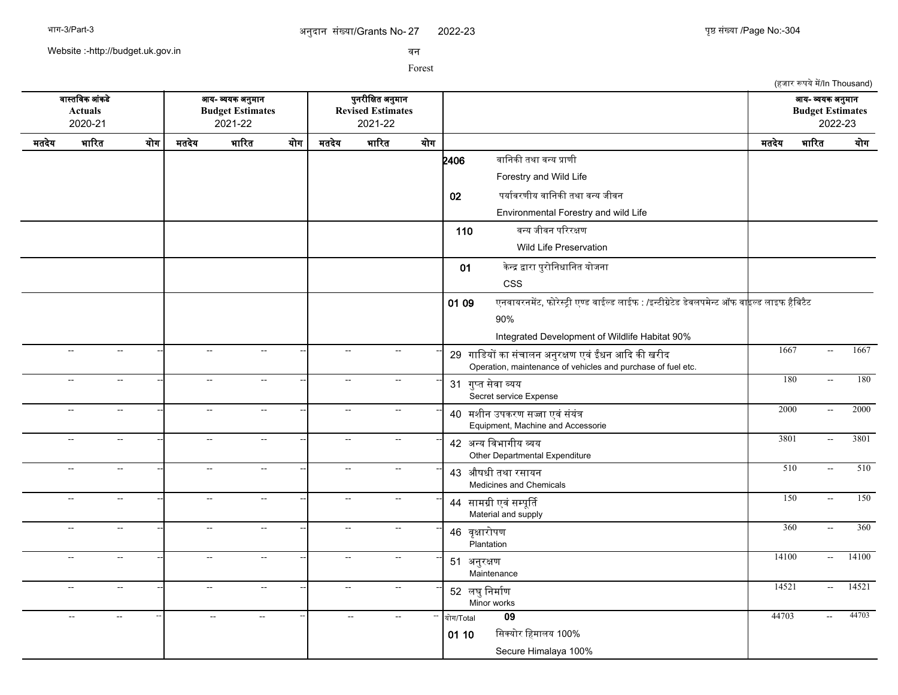2022-23 युष्ठ संख्या /Page No:-304

(हजार रूपये में/In Thousand)

Website :-http://budget.uk.gov.in

सन

Forest

सगसतचसक आसकडद आख- वखक अननमगन पननरजचकत अननमगन आख- वखक अननमगन **Actuals Budget Estimates Revised Estimates Budget Estimates** 2020-21 2021-22 2021-22 2022-23 मतदखद भगररत खरग मतदखद भगररत खरग मतदखद भगररत खरग मतदखद भगररत खरग  $2406$  बानिकी तथा वन्य प्राणी Forestry and Wild Life 02 पर्यावरणीय वानिकी तथा वन्य जीवन Environmental Forestry and wild Life 110 बन्य जीवन परिरक्षण Wild Life Preservation 01 केन्द्र द्वारा पुरोनिधानित योजना CSS 01 09 एनवायरनमेंट, फोरेस्ट्री एण्ड वाईल्ड लाईफ : /इन्टीग्रेटेड डेवलपमेन्ट ऑफ वा<mark>इ</mark>ल्ड लाइफ हैबिटैट 90% Integrated Development of Wildlife Habitat 90% -- -- -- -- -- -- <sup>29</sup> गगचडखर कग ससचगलन अननरकण एसस ईधन आकद कक खरजद -- -- -- 1667 -- 1667 Operation, maintenance of vehicles and purchase of fuel etc. -- -- -- -- -- -- <sup>31</sup> गनमत सदसग वखख Secret service Expense -- -- -- 180 -- 180 -- -- -- -- -- -- <sup>40</sup> मशजन उपकरण सजग एससससखसत -- -- -- 2000 -- 2000 Equipment, Machine and Accessorie -- -- -- -- -- -- <sup>42</sup> अनख चसभगगजख वख -- -- -- 3801 -- 3801 Other Departmental Expenditure -- -- -- -- -- -- <sup>43</sup> औषधज तथग रसगखन -- -- -- 510 -- 510 Medicines and Chemicals -- -- -- -- -- -- <sup>44</sup> सगमगज एसससमपपरत -- -- -- 150 -- 150 Material and supply -- -- -- -- -- -- <sup>46</sup> सपकगररपण **Plantation** -- -- -- 360 -- 360 -- -- -- -- -- -- <sup>51</sup> अननरकण Maintenance -- -- -- 14100 -- 14100 -- - - - - - - - - - - - - - - - - - 52 लघुनिर्माण Minor works -- -- -- 14521 -- 14521 -- -- -- -- -- -- -- -- -- खरग/Total **09** 44703 -- 44703  $01 10$  सिक्योर हिमालय 100% Secure Himalaya 100%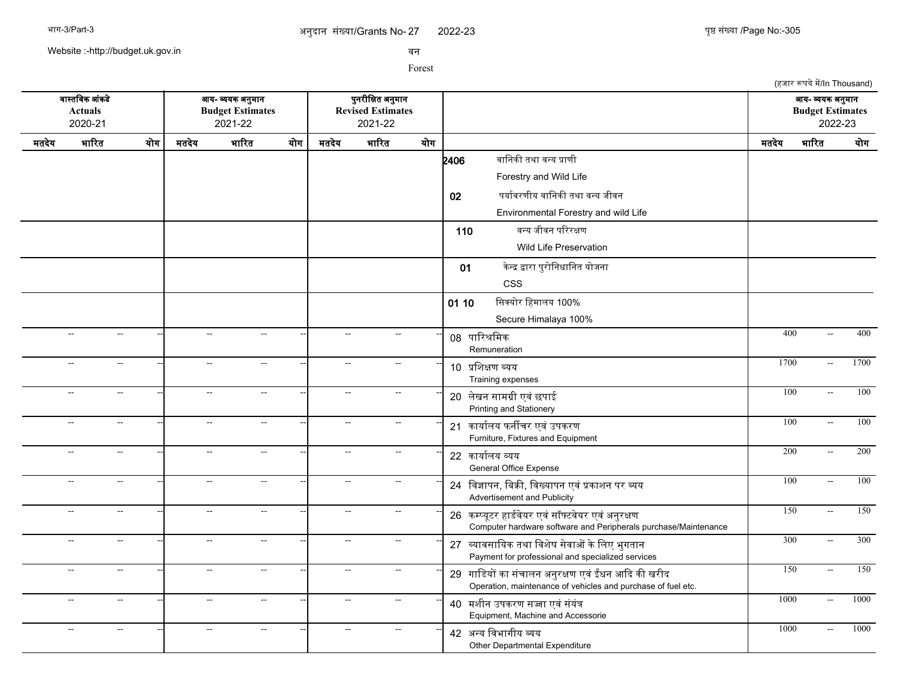Website :-http://budget.uk.gov.in

सन

Forest

(हजार रूपये में/In Thousand) सगसतचसक आसकडद आख- वखक अननमगन पननरजचकत अननमगन आख- वखक अननमगन **Actuals Budget Estimates Revised Estimates Budget Estimates** 2020-21 2021-22 2021-22 2022-23 मतदखद भगररत खरग मतदखद भगररत खरग मतदखद भगररत खरग मतदखद भगररत खरग  $2406$  बानिकी तथा वन्य प्राणी Forestry and Wild Life 02 पर्यावरणीय वानिकी तथा वन्य जीवन Environmental Forestry and wild Life 110 बन्य जीवन परिरक्षण Wild Life Preservation 01 केन्द्र द्वारा पुरोनिधानित योजना CSS 01 10 सिक्योर हिमालय 100% Secure Himalaya 100% -- -- -- -- -- -- <sup>08</sup> पगररशचमक Remuneration -- - - - - - - - - - 00 <del>mDvDar</del> - - - - 400 - 400 - 400 -- -- -- -- -- -- <sup>10</sup> पचशकण वखख Training expenses --| -- -- --| -- -- --| 10. ਜ਼ਨਿਆਜ਼ ਜਾਜ਼ -- -- -- -- -- -- <sup>20</sup> लदखन सगमगज एसस छपगई -- -- -- 100 -- 100 Printing and Stationery -- -- -- -- -- -- <sup>21</sup> कगखगरलख फनरचर एसस उपकरण -- -- -- 100 -- 100 Furniture, Fixtures and Equipment -- -- -- -- -- -- <sup>22</sup> कगखगरलख वखख General Office Expense --| -- - --| -- - --| -- - 200 -- 200 -- 200 -- -- -- -- -- -- <sup>24</sup> चसजगपन, चबकक, चसखखगपन एसस पकगशन पर वख -- -- -- 100 -- 100 Advertisement and Publicity -- -- -- -- -- -- <sup>26</sup> कममखपटर हगडरसदखर एससससफटसदखर एससअननरकण -- -- -- 150 -- 150 Computer hardware software and Peripherals purchase/Maintenance -- -- -- -- -- -- <sup>27</sup> वखगससगचखक तथग चसशदष सदसगओ कदचलए भनगतगन -- -- -- 300 -- 300 Payment for professional and specialized services -- -- -- -- -- -- <sup>29</sup> गगचडखर कग ससचगलन अननरकण एसस ईधन आकद कक खरजद -- -- -- 150 -- 150 Operation, maintenance of vehicles and purchase of fuel etc. -- -- -- -- -- -- <sup>40</sup> मशजन उपकरण सजग एससससखसत -- -- -- 1000 -- 1000 Equipment, Machine and Accessorie -- -- -- -- -- -- <sup>42</sup> अनख चसभगगजख वख Other Departmental Expenditure -- - - - - - - - - - 1000 - 1000 - 1000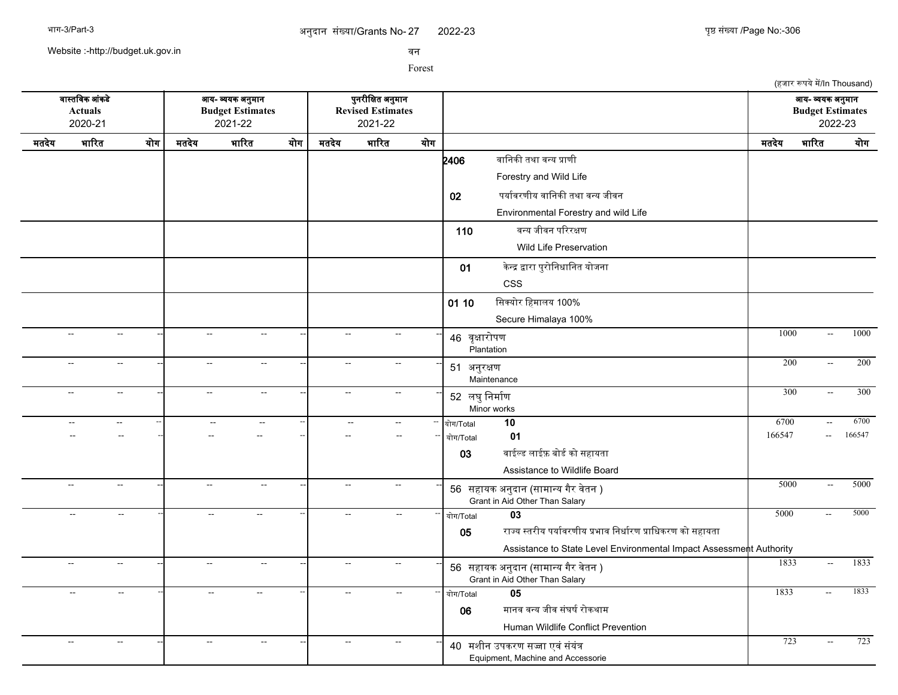(हजार रूपये में/In Thousand)

Website :-http://budget.uk.gov.in

सन

Forest

सगसतचसक आसकडद आख- वखक अननमगन पननरजचकत अननमगन आख- वखक अननमगन **Actuals Budget Estimates Revised Estimates Budget Estimates** 2020-21 2021-22 2021-22 2022-23 मतदखद भगररत खरग मतदखद भगररत खरग मतदखद भगररत खरग मतदखद भगररत खरग  $2406$  बानिकी तथा वन्य प्राणी Forestry and Wild Life 02 पर्यावरणीय वानिकी तथा वन्य जीवन Environmental Forestry and wild Life 110 बन्य जीवन परिरक्षण Wild Life Preservation 01 केन्द्र द्वारा पुरोनिधानित योजना CSS 01 10 सिक्योर हिमालय 100% Secure Himalaya 100% -- -- -- -- -- -- <sup>46</sup> सपकगररपण **Plantation** -- -- -- 1000 -- 1000 -- -- -- -- -- -- <sup>51</sup> अननरकण **Maintenance** -- -- -- 200 -- 200 -- -- -- -- -- -- <sup>52</sup> लघनचनमगरण Minor works -- -- -- 300 -- 300 -- -- -- -- -- -- -- -- -- खरग/Total **10** 6700 -- 6700 -- -- -- -- -- -- -- -- -- खरग/Total **01** 166547 -- 166547  $03$  बाईल्ड लाईफ़ बोर्ड को सहायता Assistance to Wildlife Board -- -- -- -- -- -- <sup>56</sup> सहगखक अननदगन (सगमगनख गगर सदतन ) -- -- -- 5000 -- 5000 Grant in Aid Other Than Salary -- -- -- -- -- -- -- -- -- खरग/Total **03** 5000 -- 5000 05 राज्य स्तरीय पर्यावरणीय प्रभाव निर्धारण प्राधिकरण को सहायता Assistance to State Level Environmental Impact Assessment Authority -- -- -- -- -- -- <sup>56</sup> सहगखक अननदगन (सगमगनख गगर सदतन ) -- -- -- 1833 -- 1833 Grant in Aid Other Than Salary -- -- -- -- -- -- -- -- -- खरग/Total **05** 1833 -- 1833 06 मानव वन्य जीव संघर्ष रोकथाम Human Wildlife Conflict Prevention -- -- -- -- -- -- <sup>40</sup> मशजन उपकरण सजग एससससखसत -- -- -- 723 -- 723Equipment, Machine and Accessorie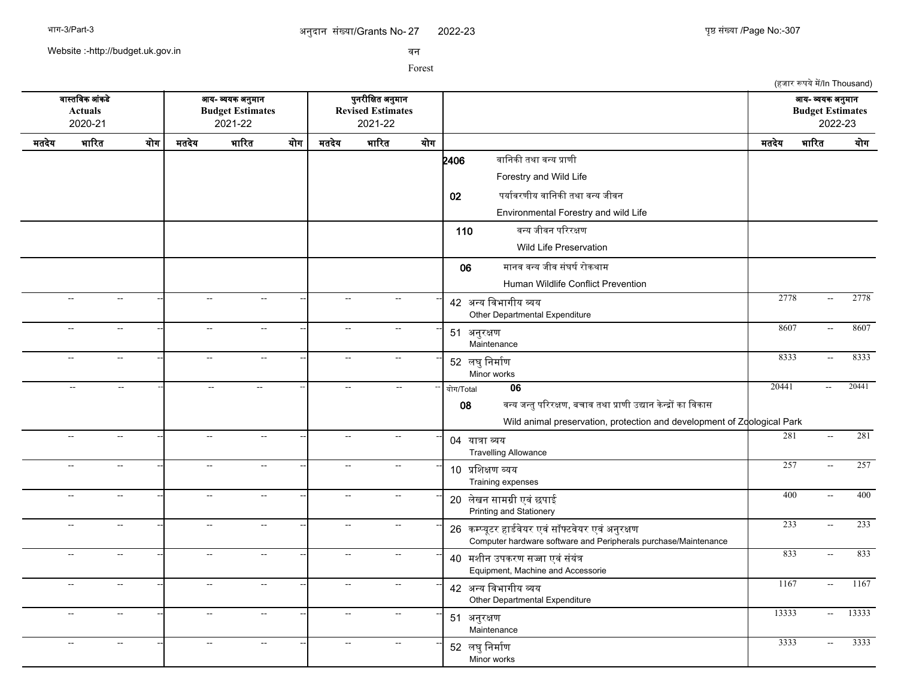Website :-http://budget.uk.gov.in

सन

|       |                                                                                                       |     |                             |                          |     |                |                                                          |     | (हजार रूपये में/In Thousand)                                                                                                                                                |                                                        |       |
|-------|-------------------------------------------------------------------------------------------------------|-----|-----------------------------|--------------------------|-----|----------------|----------------------------------------------------------|-----|-----------------------------------------------------------------------------------------------------------------------------------------------------------------------------|--------------------------------------------------------|-------|
|       | वास्तविक आंकडे<br>आय- व्ययक अनुमान<br><b>Actuals</b><br><b>Budget Estimates</b><br>2020-21<br>2021-22 |     |                             |                          |     |                | पुनरीक्षित अनुमान<br><b>Revised Estimates</b><br>2021-22 |     |                                                                                                                                                                             | आय- व्ययक अनुमान<br><b>Budget Estimates</b><br>2022-23 |       |
| मतदेय | भारित                                                                                                 | योग | मतदेय                       | भारित                    | योग | मतदेय          | भारित                                                    | योग | भारित<br>मतदेय                                                                                                                                                              |                                                        | योग   |
|       |                                                                                                       |     |                             |                          |     |                |                                                          |     | वानिकी तथा वन्य प्राणी<br>2406<br>Forestry and Wild Life                                                                                                                    |                                                        |       |
|       |                                                                                                       |     |                             |                          |     |                |                                                          |     | पर्यावरणीय वानिकी तथा वन्य जीवन<br>02                                                                                                                                       |                                                        |       |
|       |                                                                                                       |     |                             |                          |     |                |                                                          |     | Environmental Forestry and wild Life                                                                                                                                        |                                                        |       |
|       |                                                                                                       |     |                             |                          |     |                |                                                          |     | वन्य जीवन परिरक्षण<br>110                                                                                                                                                   |                                                        |       |
|       |                                                                                                       |     |                             |                          |     |                |                                                          |     | <b>Wild Life Preservation</b>                                                                                                                                               |                                                        |       |
|       |                                                                                                       |     |                             |                          |     |                |                                                          |     | मानव वन्य जीव संघर्ष रोकथाम<br>06<br>Human Wildlife Conflict Prevention                                                                                                     |                                                        |       |
|       | $\overline{a}$<br>$\sim$                                                                              |     | $\sim$                      | $\sim$                   |     | $\sim$         | $\sim$                                                   |     | 2778<br>42 अन्य विभागीय व्यय<br>Other Departmental Expenditure                                                                                                              | $\mathbb{H}^{\mathbb{Z}}$                              | 2778  |
|       | --<br>$\sim$                                                                                          |     | $\mathcal{L}_{\mathcal{F}}$ | $\sim$                   |     | $\sim$         | $\sim$                                                   |     | 8607<br>51 अनुरक्षण<br>Maintenance                                                                                                                                          | $\overline{a}$                                         | 8607  |
|       | $\sim$<br>$\mathbf{L}$                                                                                |     | $\sim$                      | $\sim$                   |     | $\sim$ $\sim$  | $\sim$                                                   |     | 8333<br>52 लघु निर्माण<br>Minor works                                                                                                                                       | $\overline{\phantom{a}}$                               | 8333  |
|       | $\sim$ $\sim$<br>$\sim$ $\sim$                                                                        |     | $\mathbf{L}$                | $\sim$                   |     | $\sim$ $\sim$  | $\sim$ $\sim$                                            |     | 20441<br>06<br>योग/Total<br>वन्य जन्तु परिरक्षण, बचाव तथा प्राणी उद्यान केन्द्रों का विकास<br>08<br>Wild animal preservation, protection and development of Zoological Park | $\sim$                                                 | 20441 |
|       | $\overline{a}$<br>$\mathbf{L}$                                                                        |     | $\sim$                      | $\sim$                   |     | $\sim$         | $\sim$                                                   |     | 281<br>04 यात्रा व्यय<br><b>Travelling Allowance</b>                                                                                                                        | $\mathbb{H}^{\mathbb{Z}}$                              | 281   |
|       | $\overline{\phantom{a}}$<br>$\sim$ $\sim$                                                             |     | $\sim$                      | $\sim$                   |     | $\sim$         | $\sim$                                                   |     | 257<br>10 प्रशिक्षण व्यय<br>Training expenses                                                                                                                               | $\mathbb{L}^2$                                         | 257   |
|       | $\overline{\phantom{a}}$<br>$\sim$                                                                    |     | $\sim$                      | $\mathbb{L}^2$           |     | $\mathbb{L}^2$ | $\sim$                                                   |     | 400<br>20 लेखन सामग्री एवं छपाई<br>Printing and Stationery                                                                                                                  | $\mathbb{H}^{\mathbb{Z}}$                              | 400   |
|       | $\overline{\phantom{a}}$<br>$\sim$                                                                    |     | $\overline{a}$              | $\overline{a}$           |     | $\sim$         | $\sim$                                                   |     | 233<br>26 कम्प्यूटर हार्डवेयर एवं सॉफ्टवेयर एवं अनुरक्षण<br>Computer hardware software and Peripherals purchase/Maintenance                                                 | $\overline{\phantom{a}}$                               | 233   |
|       | $\overline{\phantom{a}}$<br>$\sim$                                                                    |     | $\overline{a}$              | $\overline{\phantom{a}}$ |     | $\sim$         | $\sim$                                                   |     | 833<br>40 मशीन उपकरण सज्जा एवं संयंत्र<br>Equipment, Machine and Accessorie                                                                                                 | $\overline{\phantom{a}}$                               | 833   |
|       | $\overline{\phantom{a}}$<br>$\sim$ $\sim$                                                             |     | $\sim$                      | $\sim$ $\sim$            |     | $\sim$ $\sim$  | $\sim$                                                   |     | 1167<br>42 अन्य विभागीय व्यय<br>Other Departmental Expenditure                                                                                                              | $\sim$                                                 | 1167  |
|       | $\overline{\phantom{a}}$<br>$\sim$                                                                    |     | $\sim$                      | $\sim$                   |     | $\sim$         | $\sim$                                                   |     | 13333<br>51 अनुरक्षण<br>Maintenance                                                                                                                                         | $\sim$                                                 | 13333 |
|       | $\overline{\phantom{a}}$<br>$\sim$                                                                    |     | $\sim$                      | $\mathbf{L}$             |     | $\sim$         | $\sim$                                                   |     | 3333<br>52 लघु निर्माण<br>Minor works                                                                                                                                       | $\overline{a}$                                         | 3333  |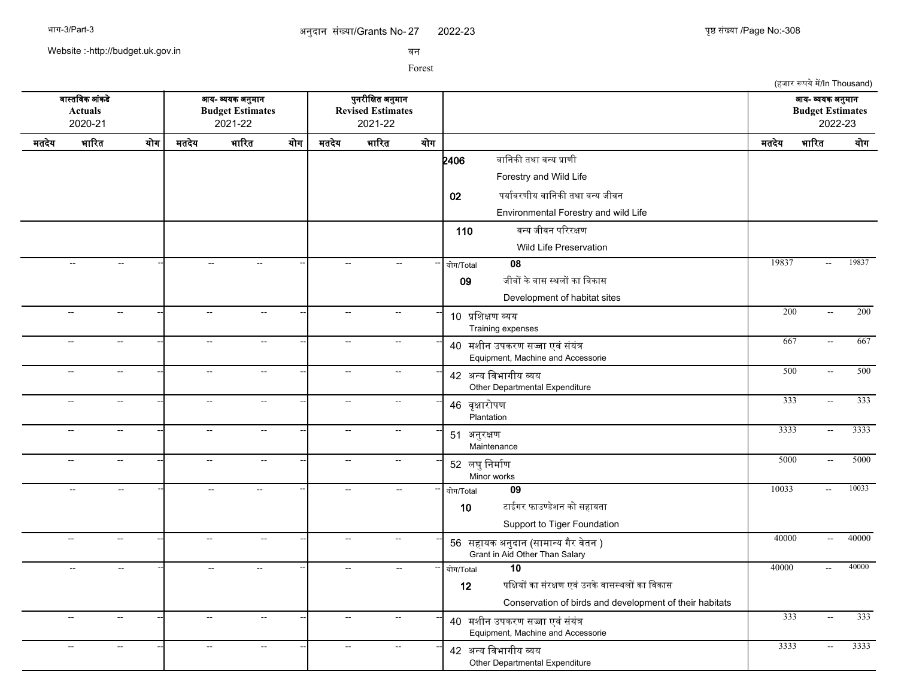Website :-http://budget.uk.gov.in

सन

Forest

सगसतचसक आसकडद आख- वखक अननमगन पननरजचकत अननमगन आख- वखक अननमगन **Actuals Budget Estimates Revised Estimates Budget Estimates** 2020-21 2021-22 2021-22 2022-23 मतदखद भगररत खरग मतदखद भगररत खरग मतदखद भगररत खरग मतदखद भगररत खरग  $2406$  बानिकी तथा वन्य प्राणी Forestry and Wild Life 02 पर्यावरणीय वानिकी तथा वन्य जीवन Environmental Forestry and wild Life 110 बन्य जीवन परिरक्षण Wild Life Preservation -- -- -- -- -- -- -- -- -- खरग/Total **08** 19837 -- 19837 09 जीवों के वास स्थलों का विकास Development of habitat sites -- -- -- -- -- -- <sup>10</sup> पचशकण वखख Training expenses -- - - - - - - - - - 10 <del>news appr</del> -- -- -- -- -- -- <sup>40</sup> मशजन उपकरण सजग एससससखसत -- -- -- 667 -- 667 Equipment, Machine and Accessorie -- -- -- -- -- -- <sup>42</sup> अनख चसभगगजख वख -- -- -- 500 -- 500 Other Departmental Expenditure -- -- -- -- -- -- <sup>46</sup> सपकगररपण Plantation -- -- -- 333 -- 333 -- -- -- -- -- -- <sup>51</sup> अननरकण **Maintenance** -- -- -- 3333 -- 3333 -- -- -- -- -- -- <sup>52</sup> लघनचनमगरण Minor works --| -- -- --| -- - --| -- -- --| 5000 -- 5000 -- -- -- -- -- -- -- -- -- खरग/Total **09** 10033 -- 10033  $10$  टाईगर फाउण्डेशन को सहायता Support to Tiger Foundation -- -- -- -- -- -- <sup>56</sup> सहगखक अननदगन (सगमगनख गगर सदतन ) -- -- -- 40000 -- 40000 Grant in Aid Other Than Salary -- -- -- -- -- -- -- -- -- खरग/Total **10** 40000 -- 40000 12 पक्षियों का संरक्षण एवं उनके वासस्थलों का विकास Conservation of birds and development of their habitats -- -- -- -- -- -- <sup>40</sup> मशजन उपकरण सजग एससससखसत -- -- -- 333 -- 333 Equipment, Machine and Accessorie -- -- -- -- -- -- <sup>42</sup> अनख चसभगगजख वख Other Departmental Expenditure --| -- - - --| -- - - --| 42 <del>251 Bernfragen</del> - - - - - - - - - - - - - - - - - - 3333 -- - 3333

(हजार रूपये में/In Thousand)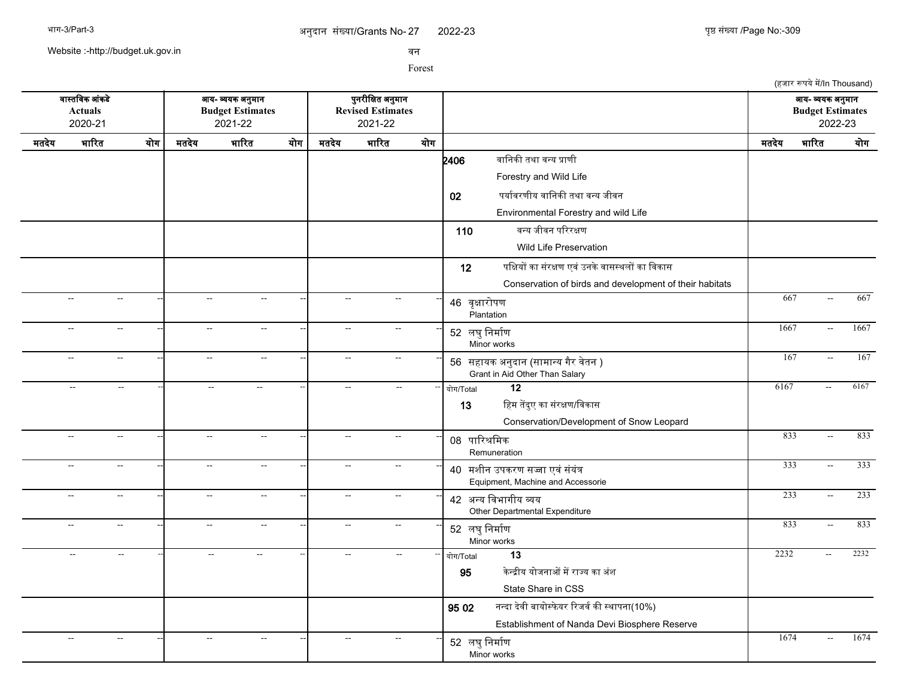Website :-http://budget.uk.gov.in

सन

Forest

(हजार रूपये में/In Thousand) सगसतचसक आसकडद आख- वखक अननमगन पननरजचकत अननमगन आख- वखक अननमगन **Actuals Budget Estimates Revised Estimates Budget Estimates** 2020-21 2021-22 2021-22 2022-23 मतदखद भगररत खरग मतदखद भगररत खरग मतदखद भगररत खरग मतदखद भगररत खरग  $2406$  बानिकी तथा वन्य प्राणी Forestry and Wild Life 02 पर्यावरणीय वानिकी तथा वन्य जीवन Environmental Forestry and wild Life 110 बन्य जीवन परिरक्षण Wild Life Preservation 12 पक्षियों का संरक्षण एवं उनके वासस्थलों का विकास Conservation of birds and development of their habitats -- -- -- -- -- -- <sup>46</sup> सपकगररपण Plantation -- -- -- 667 -- 667 -- -- -- -- -- -- <sup>52</sup> लघनचनमगरण Minor works -- - - - - - - - - 52 <del>- 167 - 1687</del> - 1667 - 1667 -- -- -- -- -- -- <sup>56</sup> सहगखक अननदगन (सगमगनख गगर सदतन ) -- -- -- 167 -- 167 Grant in Aid Other Than Salary -- -- -- -- -- -- -- -- -- खरग/Total **12** 6167 -- 6167 13 हिम तेंदुए का संरक्षण/विकास Conservation/Development of Snow Leopard -- -- -- -- -- -- <sup>08</sup> पगररशचमक **Remuneration** -- -- -- 833 -- 833 -- -- -- -- -- -- <sup>40</sup> मशजन उपकरण सजग एससससखसत -- -- -- 333 -- 333 Equipment, Machine and Accessorie -- -- -- -- -- -- <sup>42</sup> अनख चसभगगजख वख -- -- -- 233 -- 233 Other Departmental Expenditure -- -- -- -- -- -- <sup>52</sup> लघनचनमगरण Minor works -- -- -- 833 -- 833 -- -- -- -- -- -- -- -- -- खरग/Total **13** 2232 -- 2232 95 केन्द्रीय योजनाओं में राज्य का अंश State Share in CSS  $9502$  नन्दा देवी बायोस्फेयर रिजर्व की स्थापना(10%) Establishment of Nanda Devi Biosphere Reserve -- - - - - - - - - - - - - - - - - - 52 लघनचन्णि Minor works -- -- -- 1674 -- 1674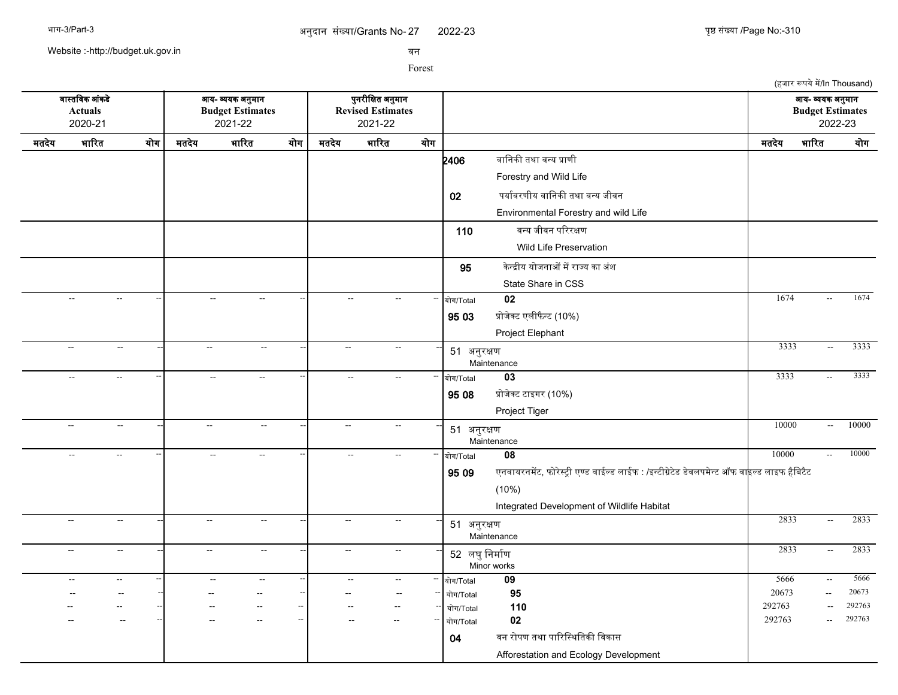2022-23 युष्ठ संख्या /Page No:-310

(हजार रूपये में/In Thousand)

Website :-http://budget.uk.gov.in

सन

Forest

सगसतचसक आसकडद आख- वखक अननमगन पननरजचकत अननमगन आख- वखक अननमगन **Actuals Budget Estimates Revised Estimates Budget Estimates** 2020-21 2021-22 2021-22 2022-23 मतदखद भगररत खरग मतदखद भगररत खरग मतदखद भगररत खरग मतदखद भगररत खरग  $2406$  बानिकी तथा वन्य प्राणी Forestry and Wild Life 02 पर्यावरणीय वानिकी तथा वन्य जीवन Environmental Forestry and wild Life 110 बन्य जीवन परिरक्षण Wild Life Preservation **95 केन्द्रीय योजनाओं में राज्य का** अंश State Share in CSS -- -- -- -- -- -- -- -- -- खरग/Total **02** 1674 -- 1674 95 03 प्रोजेक्ट एलीफैन्ट (10%) Project Elephant -- -- -- -- -- -- <sup>51</sup> अननरकण **Maintenance** --| -- -- --| -- - -- --| 61 personni -- - -- --- ------------ | 3333 -- 3333 -- -- -- -- -- -- -- -- -- खरग/Total **03** 3333 -- 3333 95 08 प्रोजेक्ट टाइगर (10%) Project Tiger -- -- -- -- -- -- <sup>51</sup> अननरकण Maintenance -- -- -- 10000 -- 10000 -- -- -- -- -- -- -- -- -- खरग/Total **08** 10000 -- 10000 95 09 एनवायरनमेंट, फोरेस्ट्री एण्ड वाईल्ड लाईफ : /इन्टीग्रेटेड डेवलपमेन्ट ऑफ वा<mark>इल्ड लाइफ हैबिटैट</mark> (10%) Integrated Development of Wildlife Habitat -- -- -- -- -- -- <sup>51</sup> अननरकण **Maintenance** -- -- -- 2833 -- 2833 -- -- -- -- -- -- <sup>52</sup> लघनचनमगरण Minor works -- -- -- 2833 -- 2833 -- -- -- -- -- -- -- -- -- खरग/Total **09** 5666 -- 5666 -- -- -- -- -- -- -- -- -- खरग/Total **95** 20673 -- 20673 -- -- -- -- -- -- -- -- -- खरग/Total **110** 292763 -- 292763 -- -- -- -- -- -- -- -- -- खरग/Total **02** 292763 -- 292763 04 वन रोपण तथा पारिस्थितिकी विकास Afforestation and Ecology Development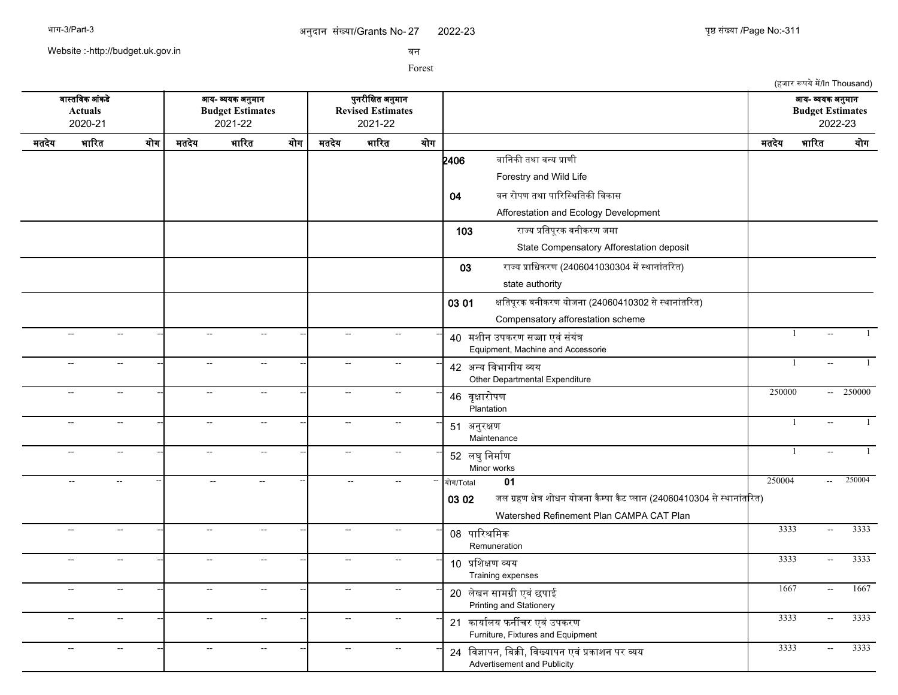2022-23 युष्ठ संख्या /Page No:-311

(हजार रूपये में/In Thousand)

Website :-http://budget.uk.gov.in

सन

Forest

सगसतचसक आसकडद आख- वखक अननमगन पननरजचकत अननमगन आख- वखक अननमगन **Actuals Budget Estimates Revised Estimates Budget Estimates** 2020-21 2021-22 2021-22 2022-23 मतदखद भगररत खरग मतदखद भगररत खरग मतदखद भगररत खरग मतदखद भगररत खरग  $2406$  बानिकी तथा वन्य प्राणी Forestry and Wild Life 04 वन रोपण तथा पारिस्थितिकी विकास Afforestation and Ecology Development 103 रगजख पचतपपरक सनजकरण जमग State Compensatory Afforestation deposit 03 राज्य प्राधिकरण (2406041030304 में स्थानांतरित) state authority 03 01 क्षतिपूरक वनीकरण योजना (24060410302 से स्थानांतरित) Compensatory afforestation scheme -- -- -- -- -- -- <sup>40</sup> मशजन उपकरण सजग एससससखसत -- -- -- 1 -- 1 Equipment, Machine and Accessorie -- -- -- -- -- -- <sup>42</sup> अनख चसभगगजख वख Other Departmental Expenditure -- -- -- 1 -- 1 -- -- -- -- -- -- <sup>46</sup> सपकगररपण Plantation -- - - - - - - - - - - 46 <del>asinim</del> - - - - 250000 - 250000 -- -- -- -- -- -- <sup>51</sup> अननरकण Maintenance -- -- -- 1 -- 1 -- -- -- -- -- -- <sup>52</sup> लघनचनमगरण Minor works -| -- -| -- -| -- -| <sub>F? ਕਬਾ</sub> ਉਸਜਿਸ -- -- --- | 1 -- 1 -- -- -- -- -- -- -- -- -- खरग/Total **01** 250004 -- 250004 03 02 जल ग्रहण क्षेत्र शोधन योजना कैम्पा कैट प्लान (24060410304 से स्थानांतरित) Watershed Refinement Plan CAMPA CAT Plan -- -- -- -- -- -- <sup>08</sup> पगररशचमक Remuneration -- -- -- 3333 -- 3333 -- -- -- -- -- -- <sup>10</sup> पचशकण वखख Training expenses -- -- -- 3333 -- 3333 -- -- -- -- -- -- <sup>20</sup> लदखन सगमगज एसस छपगई -- -- -- 1667 -- 1667 Printing and Stationery -- -- -- -- -<mark>-</mark> -- -- -- -- - - - -- -- -- -- -- 21 कार्यालय फर्नीचर एवं उपकरण Furniture, Fixtures and Equipment -- -- -- -- -- -- <sup>24</sup> चसजगपन, चबकक, चसखखगपन एसस पकगशन पर वख -- -- -- 3333 -- 3333Advertisement and Publicity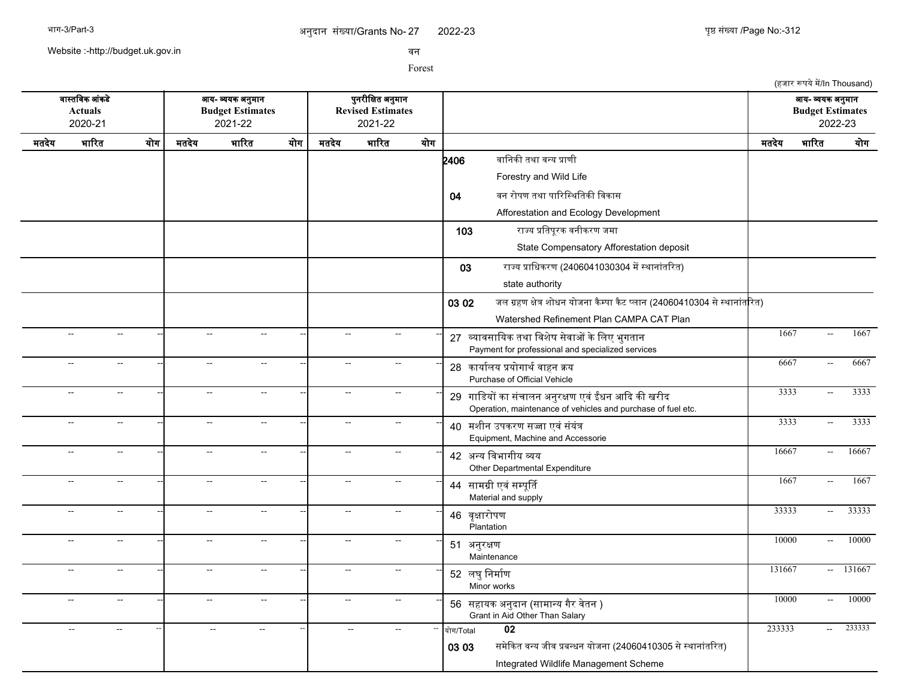2022-23 युष्ठ संख्या /Page No:-312

(हजार रूपये में/In Thousand)

Website :-http://budget.uk.gov.in

सन

Forest

सगसतचसक आसकडद आख- वखक अननमगन पननरजचकत अननमगन आख- वखक अननमगन **Actuals Budget Estimates Revised Estimates Budget Estimates** 2020-21 2021-22 2021-22 2022-23 मतदखद भगररत खरग मतदखद भगररत खरग मतदखद भगररत खरग मतदखद भगररत खरग **2406** वानिकी तथा वन्य प्राणी Forestry and Wild Life 04 वन रोपण तथा पारिस्थितिकी विकास Afforestation and Ecology Development 103 रगजख पचतपपरक सनजकरण जमग State Compensatory Afforestation deposit 03 राज्य प्राधिकरण (2406041030304 में स्थानांतरित) state authority 03 02 जल ग्रहण क्षेत्र शोधन योजना कैम्पा कैट प्लान (24060410304 से स्थानांतरित) Watershed Refinement Plan CAMPA CAT Plan -- -- -- -- -- -- <sup>27</sup> वखगससगचखक तथग चसशदष सदसगओ कदचलए भनगतगन -- -- -- 1667 -- 1667 Payment for professional and specialized services -- -- -- -- -- -- <sup>28</sup> कगखगरलख पखरगगथरसगहन कख -- -- -- 6667 -- 6667 Purchase of Official Vehicle -- -- -- -- -- -- <sup>29</sup> गगचडखर कग ससचगलन अननरकण एसस ईधन आकद कक खरजद -- -- -- 3333 -- 3333 Operation, maintenance of vehicles and purchase of fuel etc. -- -- -- -- -- -- <sup>40</sup> मशजन उपकरण सजग एससससखसत -- -- -- 3333 -- 3333 Equipment, Machine and Accessorie -- -- -- -- -- -- <sup>42</sup> अनख चसभगगजख वख Other Departmental Expenditure -- - - - - - - - - - 16667 - 16667 - 16667 -- -- -- -- -- -- <sup>44</sup> सगमगज एसससमपपरत Material and supply -- - - - - - - - - - 1667 - 1667 - 1667 -- -- -- -- -- -- <sup>46</sup> सपकगररपण Plantation --| -- - - --| -- - - - --| 46 <del>avending</del> - - - - - - - - - - - 33333 -- 33333 -- -- -- -- -- -- <sup>51</sup> अननरकण **Maintenance** -- -- -- 10000 -- 10000 -- -- -- -- -- -- <sup>52</sup> लघनचनमगरण Minor works -- -- -- 131667 -- 131667 -- -- -- -- -- -- <sup>56</sup> सहगखक अननदगन (सगमगनख गगर सदतन ) -- -- -- 10000 -- 10000 Grant in Aid Other Than Salary -- -- -- -- -- -- -- -- -- खरग/Total **02** 233333 -- 233333 03 03 समेकित वन्य जीव प्रबन्धन योजना (24060410305 से स्थानांतरित) Integrated Wildlife Management Scheme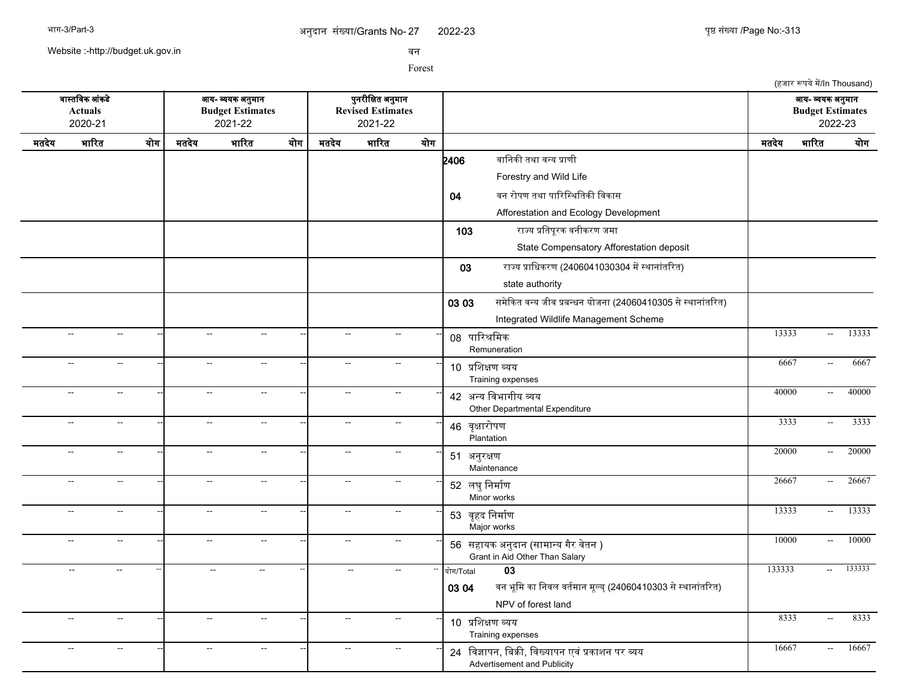2022-23 युष्ठ संख्या /Page No:-313

(हजार रूपये में/In Thousand)

Website :-http://budget.uk.gov.in

सन

Forest

सगसतचसक आसकडद आख- वखक अननमगन पननरजचकत अननमगन आख- वखक अननमगन **Actuals Budget Estimates Revised Estimates Budget Estimates** 2020-21 2021-22 2021-22 2022-23 मतदखद भगररत खरग मतदखद भगररत खरग मतदखद भगररत खरग मतदखद भगररत खरग  $2406$  बानिकी तथा वन्य प्राणी Forestry and Wild Life 04 वन रोपण तथा पारिस्थितिकी विकास Afforestation and Ecology Development 103 रगजख पचतपपरक सनजकरण जमग State Compensatory Afforestation deposit 03 राज्य प्राधिकरण (2406041030304 में स्थानांतरित) state authority 03 03 समेकित वन्य जीव प्रबन्धन योजना (24060410305 से स्थानांतरित) Integrated Wildlife Management Scheme -- -- -- -- -- -- <sup>08</sup> पगररशचमक Remuneration --| -- -- --| -- - --| -- -- ---| 00 <del>mDvrDa.</del> -- -- -- -- -- -- <sup>10</sup> पचशकण वखख Training expenses -- -- -- 6667 -- 6667 -- -- -- -- -- -- <sup>42</sup> अनख चसभगगजख वख -- -- -- 40000 -- 40000 Other Departmental Expenditure -- -- -- -- -- -- <sup>46</sup> सपकगररपण Plantation -- -- -- 3333 -- 3333 -- -- -- -- -- -- <sup>51</sup> अननरकण Maintenance -- -- -- 20000 -- 20000 -- -- -- -- -- -- <sup>52</sup> लघनचनमगरण Minor works -- -- -- 26667 -- 26667 -- -- -- -- -- -- <sup>53</sup> सपहद चनमगरण Major works -- -- -- 13333 -- 13333 -- -- -- -- -- -- <sup>56</sup> सहगखक अननदगन (सगमगनख गगर सदतन ) -- -- -- 10000 -- 10000 Grant in Aid Other Than Salary -- -- -- -- -- -- -- -- -- खरग/Total **03** 133333 -- 133333 03 04 बन भूमि का निवल वर्तमान मूल्य् (24060410303 से स्थानांतरित) NPV of forest land -- -- -- -- -- -- <sup>10</sup> पचशकण वखख Training expenses -- -- -- 8333 -- 8333 -- -- -- -- -- -- <sup>24</sup> चसजगपन, चबकक, चसखखगपन एसस पकगशन पर वख -- -- -- 16667 -- 16667Advertisement and Publicity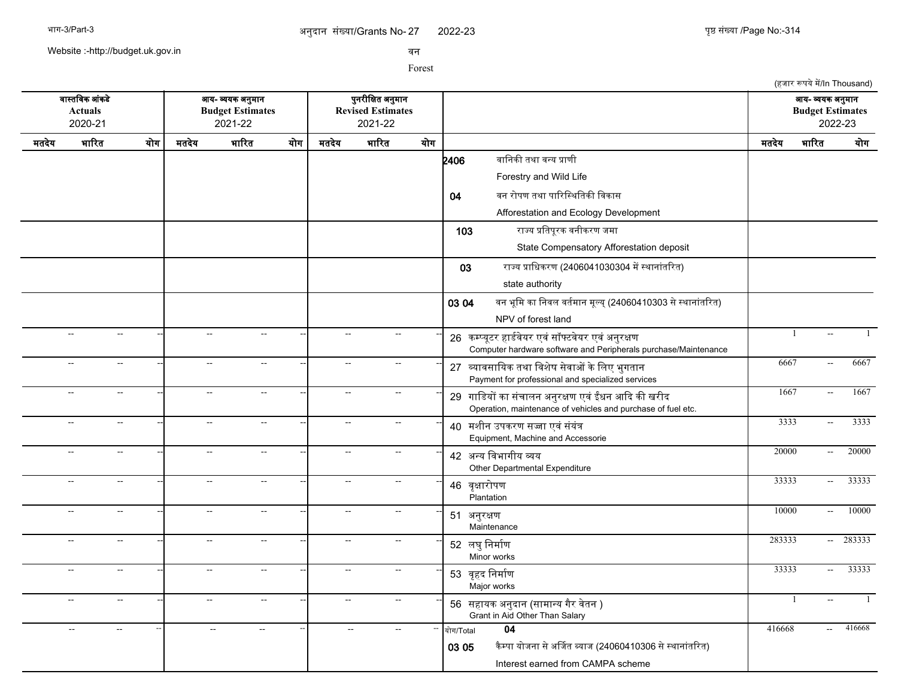2022-23 पुष्ठ संख्या /Page No:-314

(हजार रूपये में/In Thousand)

Website :-http://budget.uk.gov.in

सन

Forest

सगसतचसक आसकडद आख- वखक अननमगन पननरजचकत अननमगन आख- वखक अननमगन **Actuals Budget Estimates Revised Estimates Budget Estimates** 2020-21 2021-22 2021-22 2022-23 मतदखद भगररत खरग मतदखद भगररत खरग मतदखद भगररत खरग मतदखद भगररत खरग **2406** वानिकी तथा वन्य प्राणी Forestry and Wild Life 04 वन रोपण तथा पारिस्थितिकी विकास Afforestation and Ecology Development 103 रगजख पचतपपरक सनजकरण जमग State Compensatory Afforestation deposit 03 राज्य प्राधिकरण (2406041030304 में स्थानांतरित) state authority 03 04 बन भूमि का निवल वर्तमान मूल्य् (24060410303 से स्थानांतरित) NPV of forest land -- -- -- -- -- -- <sup>26</sup> कममखपटर हगडरसदखर एससससफटसदखर एससअननरकण -- -- -- 1 -- 1 Computer hardware software and Peripherals purchase/Maintenance -- -- -- -- -- -- <sup>27</sup> वखगससगचखक तथग चसशदष सदसगओ कदचलए भनगतगन -- -- -- 6667 -- 6667 Payment for professional and specialized services -- -- -- -- -- -- <sup>29</sup> गगचडखर कग ससचगलन अननरकण एसस ईधन आकद कक खरजद -- -- -- 1667 -- 1667 Operation, maintenance of vehicles and purchase of fuel etc. -- -- -- -- -- -- <sup>40</sup> मशजन उपकरण सजग एससससखसत -- -- -- 3333 -- 3333 Equipment, Machine and Accessorie -- -- -- -- -- -- <sup>42</sup> अनख चसभगगजख वख Other Departmental Expenditure -- - - - - - - - - - - 42 <del>2000 - 20000 - 20000 - 20000</del> -- -- -- -- -- -- <sup>46</sup> सपकगररपण **Plantation** -- -- -- 33333 -- 33333 -- -- -- -- -- -- <sup>51</sup> अननरकण Maintenance -- -- -- 10000 -- 10000 -- - - - - - - - - - - - - - - - - 52 लघनचन्त्रण Minor works -- -- -- 283333 -- 283333 -- -- -- -- -- -- <sup>53</sup> सपहद चनमगरण Major works -- -- -- 33333 -- 33333 -- -- -- -- -- -- <sup>56</sup> सहगखक अननदगन (सगमगनख गगर सदतन ) -- -- -- 1 -- 1 Grant in Aid Other Than Salary -- -- -- -- -- -- -- -- -- खरग/Total **04** 416668 -- 416668 03 05 कैम्पा योजना से अर्जित ब्याज (24060410306 से स्थानांतरित) Interest earned from CAMPA scheme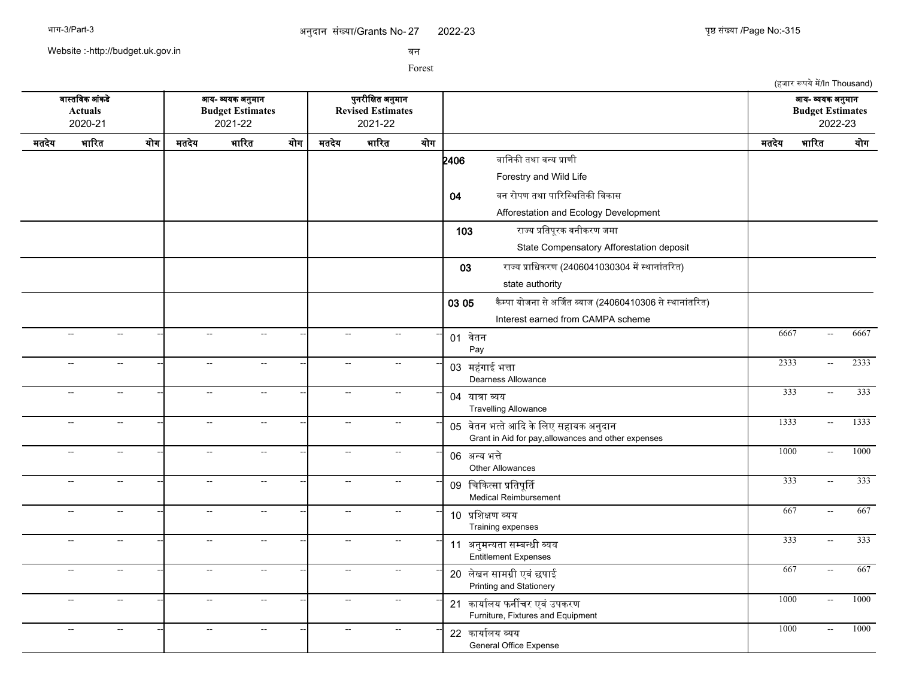Website :-http://budget.uk.gov.in

सन

Forest

(हजार रूपये में/In Thousand) सगसतचसक आसकडद आख- वखक अननमगन पननरजचकत अननमगन आख- वखक अननमगन **Actuals Budget Estimates Revised Estimates Budget Estimates** 2020-21 2021-22 2021-22 2022-23 मतदखद भगररत खरग मतदखद भगररत खरग मतदखद भगररत खरग मतदखद भगररत खरग  $2406$  बानिकी तथा वन्य प्राणी Forestry and Wild Life 04 वन रोपण तथा पारिस्थितिकी विकास Afforestation and Ecology Development 103 रगजख पचतपपरक सनजकरण जमग State Compensatory Afforestation deposit 03 राज्य प्राधिकरण (2406041030304 में स्थानांतरित) state authority 03 05 कैम्पा योजना से अर्जित ब्याज (24060410306 से स्थानांतरित) Interest earned from CAMPA scheme -- - - - - - - - - - - - - - - - - - <mark>- 01 वेतन</mark> Pay -- - - - - - - - - - - 01 <del>à - .</del> . . . . . . . . . . . . . . . 6667 - . 6667 - . . 6667 -- -- -- -- -- -- <sup>03</sup> महगगई <sup>स</sup> भतग Dearness Allowance -- -- -- 2333 -- 2333 -- -- -- -- -- -- <sup>04</sup> खगतग वख Travelling Allowance --| -- -- --| -- -- --| 04 साला लाग -- -- -- -- -- -- <sup>05</sup> सदतन भततदआकद कदचलए सहगखक अननदगन -- -- -- 1333 -- 1333 Grant in Aid for pay,allowances and other expenses -- -- -- -- -- -- <sup>06</sup> अनख भतद Other Allowances -- - - - - - - - - - - 06 <del>21.77</del> 3<del>1.3</del> - - - - 1000 - 1000 -- -- -- -- -- -- <sup>09</sup> चचककतसग पचतपपरत Medical Reimbursement -- -- -- 333 -- 333 -- -- -- -- -- -- <sup>10</sup> पचशकण वखख Training expenses -- -- -- 667 -- 667 -- -- -- -- -- -- <sup>11</sup> अननमनखतग समबनधज वखख -- -- -- 333 -- 333 Entitlement Expenses -- -- -- -- -- -- <sup>20</sup> लदखन सगमगज एसस छपगई -- -- -- 667 -- 667 Printing and Stationery -- -- -- -- -- -- <sup>21</sup> कगखगरलख फनरचर एसस उपकरण -- -- -- 1000 -- 1000 Furniture, Fixtures and Equipment -- -- -- -- -- -- <sup>22</sup> कगखगरलख वखख General Office Expense -- -- -- 1000 -- 1000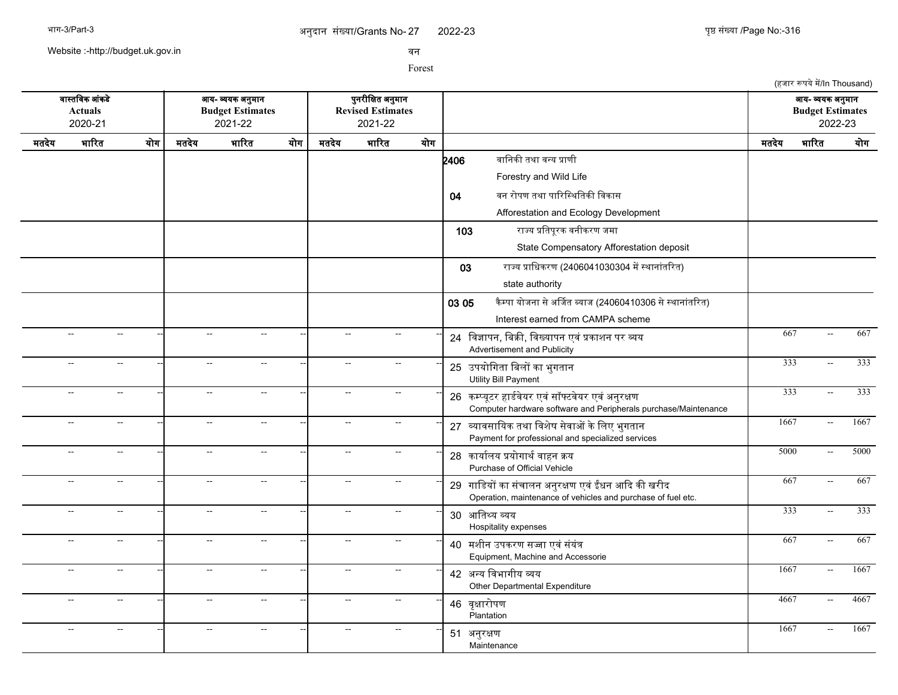2022-23 युष्ठ संख्या /Page No:-316

(हजार रूपये में/In Thousand)

Website :-http://budget.uk.gov.in

सन

Forest

सगसतचसक आसकडद आख- वखक अननमगन पननरजचकत अननमगन आख- वखक अननमगन **Actuals Budget Estimates Revised Estimates Budget Estimates** 2020-21 2021-22 2021-22 2022-23 मतदखद भगररत खरग मतदखद भगररत खरग मतदखद भगररत खरग मतदखद भगररत खरग **2406** वानिकी तथा वन्य प्राणी Forestry and Wild Life 04 वन रोपण तथा पारिस्थितिकी विकास Afforestation and Ecology Development 103 रगजख पचतपपरक सनजकरण जमग State Compensatory Afforestation deposit 03 राज्य प्राधिकरण (2406041030304 में स्थानांतरित) state authority 03 05 किम्पा योजना से अर्जित ब्याज (24060410306 से स्थानांतरित) Interest earned from CAMPA scheme -- -- -- -- -- -- <sup>24</sup> चसजगपन, चबकक, चसखखगपन एसस पकगशन पर वख -- -- -- 667 -- 667 Advertisement and Publicity -- -- -- -- -- -- <sup>25</sup> उपखरचगतग चबलर कग भनगतगन -- -- -- 333 -- 333 Utility Bill Payment -- -- -- -- -- -- <sup>26</sup> कममखपटर हगडरसदखर एससससफटसदखर एससअननरकण -- -- -- 333 -- 333 Computer hardware software and Peripherals purchase/Maintenance -- -- -- -- -- -- <sup>27</sup> वखगससगचखक तथग चसशदष सदसगओ कदचलए भनगतगन -- -- -- 1667 -- 1667 Payment for professional and specialized services -- -- -- -- -- -- <sup>28</sup> कगखगरलख पखरगगथरसगहन कख -- -- -- 5000 -- 5000 Purchase of Official Vehicle -- -- -- -- -- -- <sup>29</sup> गगचडखर कग ससचगलन अननरकण एसस ईधन आकद कक खरजद -- -- -- 667 -- 667 Operation, maintenance of vehicles and purchase of fuel etc. -- -- -- -- -- -- <sup>30</sup> आचतसख वखख Hospitality expenses -- -- -- 333 -- 333 -- -- -- -- -- -- <sup>40</sup> मशजन उपकरण सजग एससससखसत -- -- -- 667 -- 667 Equipment, Machine and Accessorie -- -- -- -- -- -- <sup>42</sup> अनख चसभगगजख वख -- -- -- 1667 -- 1667 Other Departmental Expenditure -- -- -- -- -- -- <sup>46</sup> सपकगररपण Plantation -- - - - - - - - - - - 4667 - 4667 - 4667 - 4667 -- -- -- -- -- -- <sup>51</sup> अननरकण **Maintenance** -- -- -- 1667 -- 1667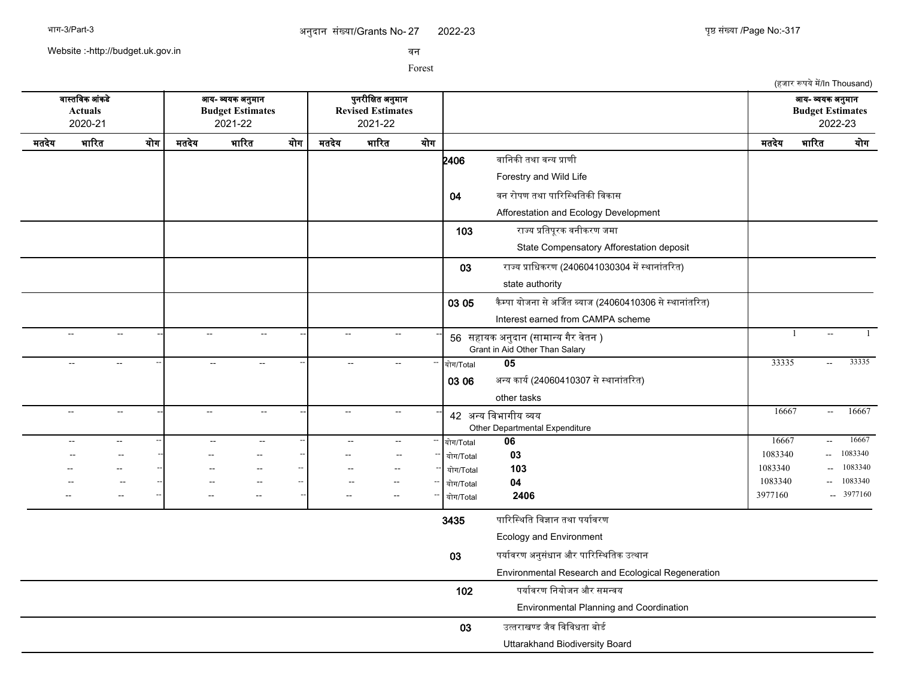2022-23 युष्ठ संख्या /Page No:-317

(हजार रूपये में/In Thousand)

Website :-http://budget.uk.gov.in

सन

Forest

सगसतचसक आसकडद आख- वखक अननमगन पननरजचकत अननमगन आख- वखक अननमगन **Actuals Budget Estimates Revised Estimates Budget Estimates** 2020-21 2021-22 2021-22 2022-23 मतदखद भगररत खरग मतदखद भगररत खरग मतदखद भगररत खरग मतदखद भगररत खरग  $2406$  बानिकी तथा वन्य प्राणी Forestry and Wild Life 04 वन रोपण तथा पारिस्थितिकी विकास Afforestation and Ecology Development 103 रगजख पचतपपरक सनजकरण जमग State Compensatory Afforestation deposit 03 राज्य प्राधिकरण (2406041030304 में स्थानांतरित) state authority 03 05 कैम्पा योजना से अर्जित ब्याज (24060410306 से स्थानांतरित) Interest earned from CAMPA scheme -- -- -- -- -- -- <sup>56</sup> सहगखक अननदगन (सगमगनख गगर सदतन ) -- -- -- 1 -- 1 Grant in Aid Other Than Salary -- -- -- -- -- -- -- -- -- खरग/Total **05** 33335 -- 33335 03 06 अन्य कार्य (24060410307 से स्थानांतरित) other tasks -- -- -- -- -- -- <sup>42</sup> अनख चसभगगजख वख Other Departmental Expenditure -- - - - - - - - - - 16667 - 16667 - 16667 -- -- -- -- -- -- -- -- -- खरग/Total **06** 16667 -- 16667 -- -- -- -- -- -- -- -- -- खरग/Total **03** 1083340 -- 1083340 -- -- -- -- -- -- -- -- -- खरग/Total **103** 1083340 -- 1083340 -- -- -- -- -- -- -- -- -- खरग/Total **04** 1083340 -- 1083340 -- -- -- -- -- -- -- -- -- खरग/Total **2406** 3977160 -- 3977160 3435 पारिस्थिति विज्ञान तथा पर्यावरण Ecology and Environment 03 पर्यावरण अनुसंधान और पारिस्थितिक उत्थान Environmental Research and Ecological Regeneration 102 पर्यावरण नियोजन और समन्वय Environmental Planning and Coordination  $03$  उत्तराखण्ड जैव विविधता बोर्ड Uttarakhand Biodiversity Board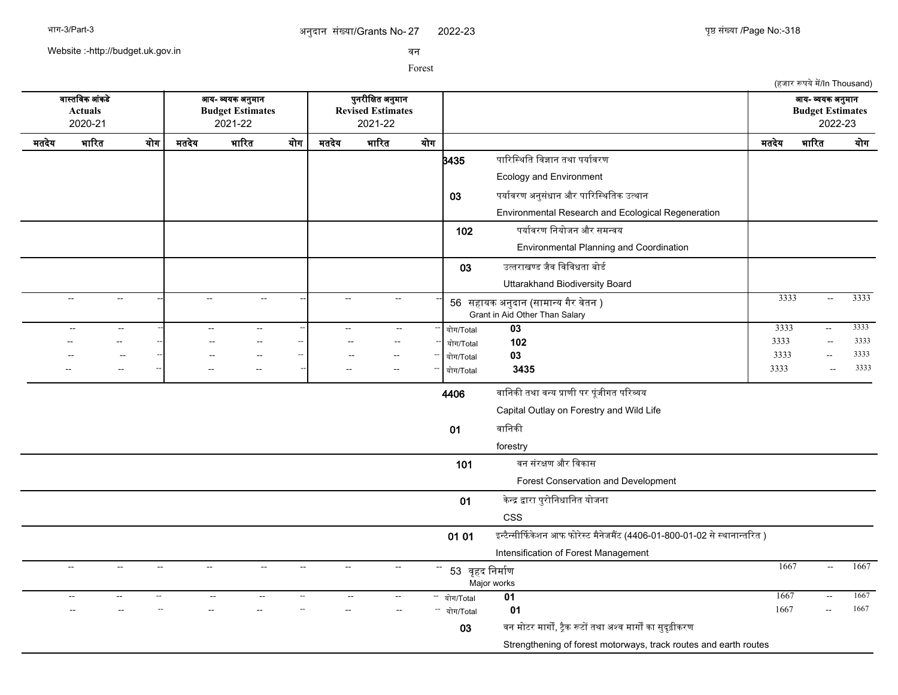Website :-http://budget.uk.gov.in

सन

Forest

(हजार रूपये में/In Thousand) सगसतचसक आसकडद आख- वखक अननमगन पननरजचकत अननमगन आख- वखक अननमगन **Actuals Budget Estimates Revised Estimates Budget Estimates** 2020-21 2021-22 2021-22 2022-23 मतदखद भगररत खरग मतदखद भगररत खरग मतदखद भगररत खरग मतदखद भगररत खरग **}<br>3435 पारिस्थिति विज्ञान तथा पर्यावरण** Ecology and Environment 03 पर्यावरण अनुसंधान और पारिस्थितिक उत्थान Environmental Research and Ecological Regeneration 102 पर्यावरण नियोजन और समन्वय Environmental Planning and Coordination  $03$  उत्तराखण्ड जैव विविधता बोर्ड Uttarakhand Biodiversity Board -- -- -- -- -- -- <sup>56</sup> सहगखक अननदगन (सगमगनख गगर सदतन ) -- -- -- 3333 -- 3333 Grant in Aid Other Than Salary -- -- -- -- -- -- -- -- -- खरग/Total **03** 3333 -- 3333 -- -- -- -- -- -- -- -- -- खरग/Total **102** 3333 -- 3333 -- -- -- -- -- -- -- -- -- खरग/Total **03** 3333 -- 3333 -- -- -- -- -- -- -- -- -- खरग/Total **3435** 3333 -- 3333 4406 सगचनकक तथग सनख पगणज पर पपसजजगत पररवख Capital Outlay on Forestry and Wild Life 01 वानिकी forestry 101 वन संरक्षण और विकास Forest Conservation and Development 01 केन्द्र द्वारा पुरोनिधानित योजना CSS 01 01 इन्टैन्सीर्फिकेशन आफ फोरेस्ट मैनेजमैंट (4406-01-800-01-02 से स्थानान्तरित ) Intensification of Forest Management -- -- -- -- -- -- <sup>53</sup> सपहद चनमगरण Major works -- - - - - - - - - - - 52 ਰਤਤ ਚਿਪਦਿਸ਼ਾ -- -- -- -- -- -- -- -- -- खरग/Total **01** 1667 -- 1667 -- -- -- -- -- -- -- -- -- खरग/Total **01** 1667 -- 1667 03 बन मोटर मार्गों, ट्रैक रूटों तथा अश्व मार्गों का सुदृढ़ीकरण Strengthening of forest motorways, track routes and earth routes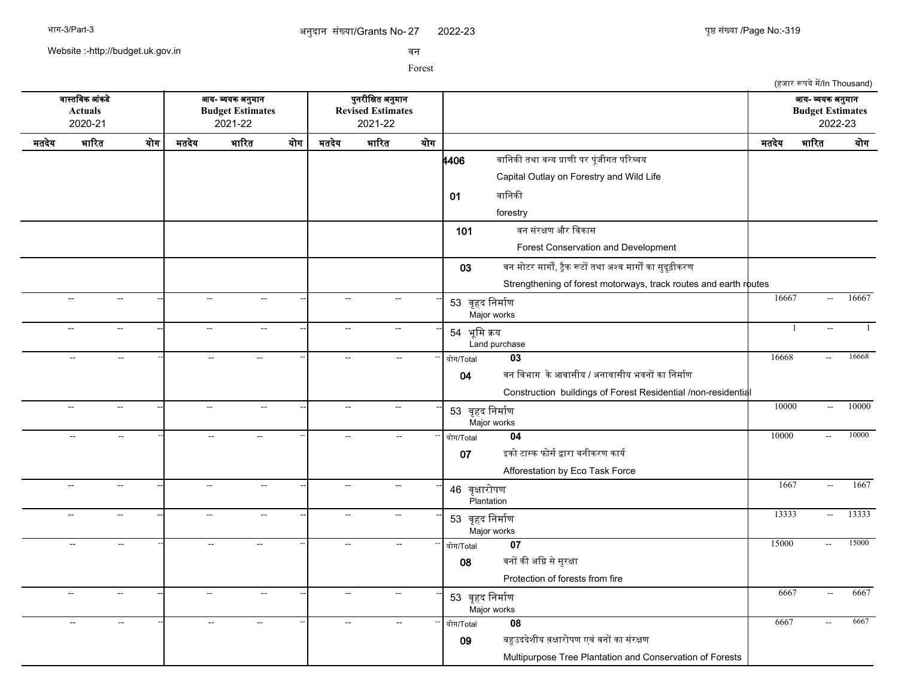Website :-http://budget.uk.gov.in

सन

Forest

(हजार रूपये में/In Thousand) सगसतचसक आसकडद आख- वखक अननमगन पननरजचकत अननमगन आख- वखक अननमगन **Actuals Budget Estimates Revised Estimates Budget Estimates** 2020-21 2021-22 2021-22 2022-23 मतदखद भगररत खरग मतदखद भगररत खरग मतदखद भगररत खरग मतदखद भगररत खरग **4406 वानिकी तथा वन्य प्राणी पर पूंजीगत परिव्यय** Capital Outlay on Forestry and Wild Life 01 बानिकी forestry 101 बन संरक्षण और विकास Forest Conservation and Development 03 बन मोटर मार्गों, ट्रैक रूटों तथा अश्व मार्गों का सुदृढ़ीकरण Strengthening of forest motorways, track routes and earth routes -- -- -- -- -- -- <sup>53</sup> सपहद चनमगरण Major works -- - - - - - - - - - - 52 ਰਤਤ ਚਿਸ਼ੀਜ਼ਾ - - - - 16667 - 16667 - 16667 -- -- -- -- -- -- <sup>54</sup> भपचम कख Land purchase -- -- -- 1 -- 1 -- -- -- -- -- -- -- -- -- खरग/Total **03** 16668 -- 16668 04 वन विभाग के आवासीय / अनावासीय भवनों का निर्माण Construction buildings of Forest Residential /non-residential -- -- -- -- -- -- <sup>53</sup> सपहद चनमगरण Major works --| -- -- --| -- - --| -- -- --| 52 ਰਤਤ ਤਿਸਾਸ਼ਾ -- -- -- -- -- -- -- -- -- खरग/Total **04** 10000 -- 10000 07 इको टास्क फोर्स द्वारा वनीकरण कार्य Afforestation by Eco Task Force -- -- -- -- -- -- <sup>46</sup> सपकगररपण Plantation -- - - - - - - - - - 1667 - 1667 - 1667 -- -- -- -- -- -- <sup>53</sup> सपहद चनमगरण Major works -- -- -- 13333 -- 13333 -- -- -- -- -- -- -- -- -- खरग/Total **07** 15000 -- 15000 08 बनों की अग्नि से सुरक्षा Protection of forests from fire -- -- -- -- -- -- <sup>53</sup> सपहद चनमगरण Major works -- - - - - - - - - - - 5667 - 6667 - 6667 -- -- -- -- -- -- -- -- -- खरग/Total **08** 6667 -- 6667 09 बहुउददेशीय व़क्षारोपण एवं वनों का संरक्षण Multipurpose Tree Plantation and Conservation of Forests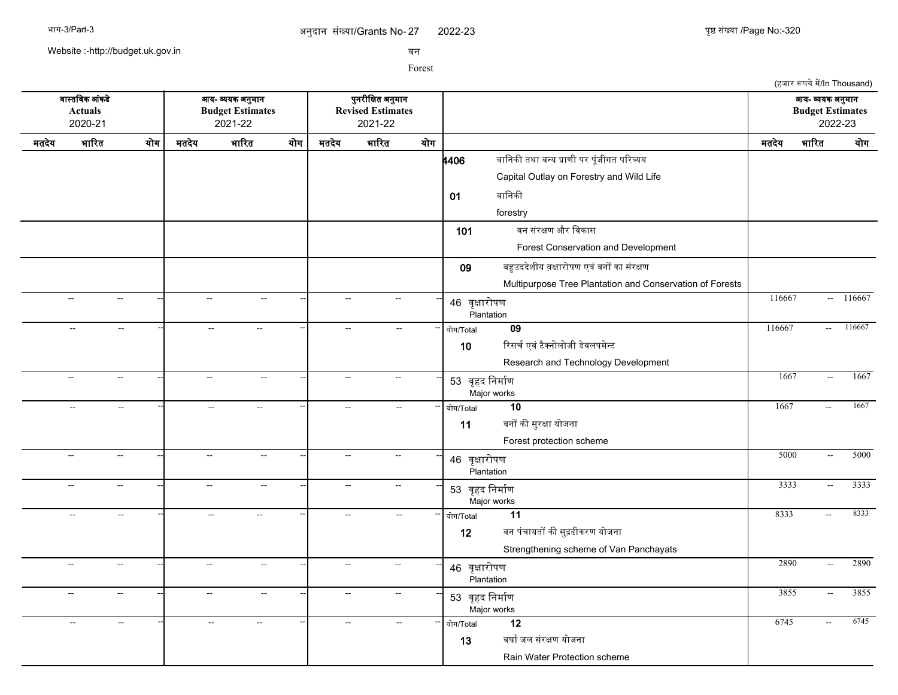2022-23 युष्ठ संख्या /Page No:-320

(हजार रूपये में/In Thousand)

Website :-http://budget.uk.gov.in

सन

Forest

सगसतचसक आसकडद आख- वखक अननमगन पननरजचकत अननमगन आख- वखक अननमगन **Actuals Budget Estimates Revised Estimates Budget Estimates** 2020-21 2021-22 2021-22 2022-23 मतदखद भगररत खरग मतदखद भगररत खरग मतदखद भगररत खरग मतदखद भगररत खरग **4406 वानिकी तथा वन्य प्राणी पर पूंजीगत परिव्यय** Capital Outlay on Forestry and Wild Life 01 बानिकी forestry 101 बन संरक्षण और विकास Forest Conservation and Development 09 बहुउददेशीय व़क्षारोपण एवं वनों का संरक्षण Multipurpose Tree Plantation and Conservation of Forests -- -- -- -- -- -- <sup>46</sup> सपकगररपण Plantation -- -- -- 116667 -- 116667 -- -- -- -- -- -- -- -- -- खरग/Total **09** 116667 -- 116667 10 रिसर्च एवं टैक्नोलोजी डेवलपमेन्ट Research and Technology Development -- -- -- -- -- -- <sup>53</sup> सपहद चनमगरण Major works -- -- -- 1667 -- 1667 -- -- -- -- -- -- -- -- -- खरग/Total **10** 1667 -- 1667 11 बनों की सुरक्षा योजना Forest protection scheme -- -- -- -- -- -- <sup>46</sup> सपकगररपण **Plantation** -- -- -- 5000 -- 5000 -- -- -- -- -- -- <sup>53</sup> सपहद चनमगरण Major works --| -- -- --| -- - --| -- -- --| 62 जन्म निर्माण -- ----------------------------- | 3333 -- 3333 -- -- -- -- -- -- -- -- -- खरग/Total **11** 8333 -- 8333 12 वन पंचायतों की सुद्रढीकरण योजना Strengthening scheme of Van Panchayats -- -- -- -- -- -- <sup>46</sup> सपकगररपण **Plantation** -- -- -- 2890 -- 2890 -- -- -- -- -- -- <sup>53</sup> सपहद चनमगरण Major works --| -- -- --| -- - --| -- -- --| 52 जन्म चिर्माणा -- ---------------------------- | 3855 -- 3855 -- -- -- -- -- -- -- -- -- खरग/Total **12** 6745 -- 6745 13 वर्षा जल संरक्षण योजना Rain Water Protection scheme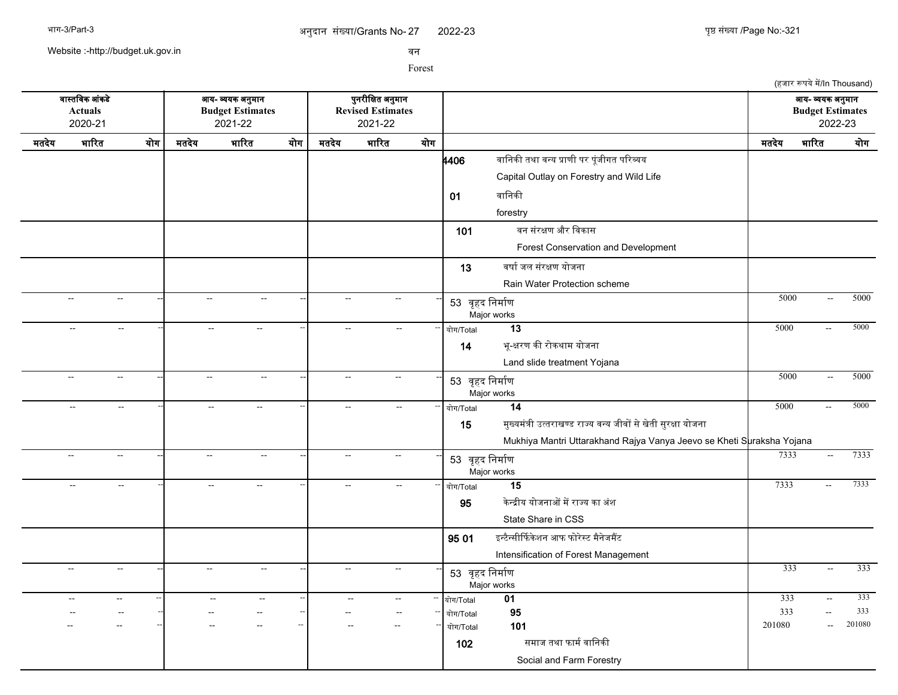2022-23 युष्ठ संख्या /Page No:-321

(हजार रूपये में/In Thousand)

Website :-http://budget.uk.gov.in

सन

Forest

सगसतचसक आसकडद आख- वखक अननमगन पननरजचकत अननमगन आख- वखक अननमगन **Actuals Budget Estimates Revised Estimates Budget Estimates** 2020-21 2021-22 2021-22 2022-23 मतदखद भगररत खरग मतदखद भगररत खरग मतदखद भगररत खरग मतदखद भगररत खरग **4406 वानिकी तथा वन्य प्राणी पर पूंजीगत परिव्यय** Capital Outlay on Forestry and Wild Life 01 बानिकी forestry 101 बन संरक्षण और विकास Forest Conservation and Development 13 वर्षा जल संरक्षण योजना Rain Water Protection scheme -- -- -- -- -- -- <sup>53</sup> सपहद चनमगरण Major works -- -- -- 5000 -- 5000 -- -- -- -- -- -- -- -- -- खरग/Total **13** 5000 -- 5000 14 भू-क्षरण की रोकथाम योजना Land slide treatment Yojana -- -- -- -- -- -- <sup>53</sup> सपहद चनमगरण Major works --| -- -- --| -- - --| -- -- --| 52 ਰਤਤ ਚਿਸ਼ਾਂਗਾ -- -- -- -- -- -- -- -- -- खरग/Total **14** 5000 -- 5000 15 मनखखमसतज उततरगखणड रगजख सनख जजसर सदखदतज सनरकग खरजनग Mukhiya Mantri Uttarakhand Rajya Vanya Jeevo se Kheti Suraksha Yojana -- -- -- -- -- -- <sup>53</sup> सपहद चनमगरण Major works -- -- -- 7333 -- 7333 -- -- -- -- -- -- -- -- -- खरग/Total **15** 7333 -- 7333 **95 केन्द्रीय योजनाओं में राज्य का अंश** State Share in CSS  $9501$  इन्टैन्सीर्फिकेशन आफ फोरेस्ट मैनेजमैंट Intensification of Forest Management -- -- -- -- -- -- <sup>53</sup> सपहद चनमगरण Major works -- -- -- 333 -- 333 -- -- -- -- -- -- -- -- -- खरग/Total **01** 333 -- 333 -- -- -- -- -- -- -- -- -- खरग/Total **95** 333 -- 333 -- -- -- -- -- -- -- -- -- खरग/Total **101** 201080 -- 201080 102 समाज तथा फार्म वानिकी Social and Farm Forestry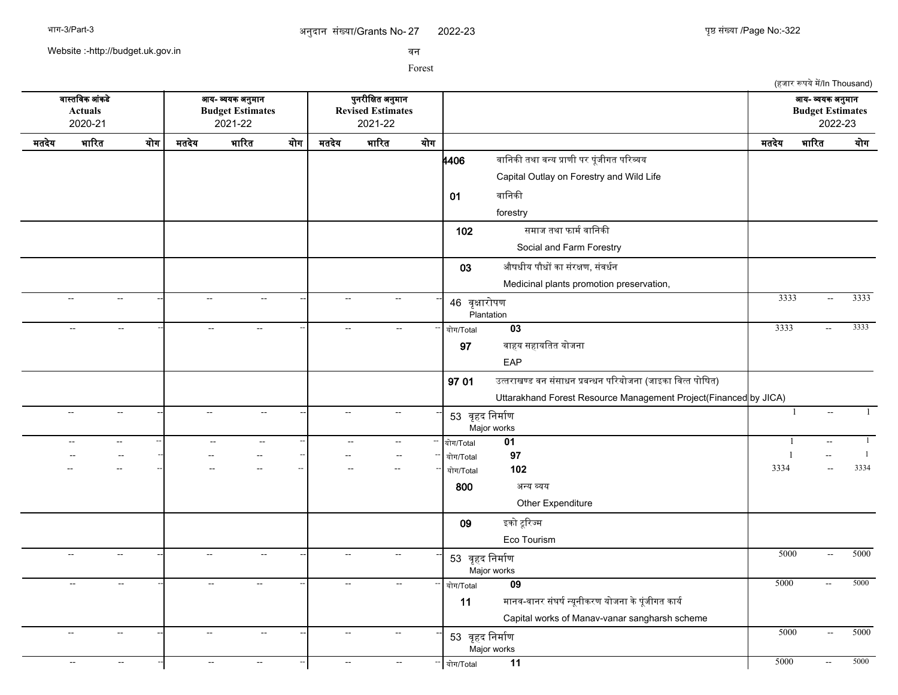2022-23 युष्ठ संख्या /Page No:-322

(हजार रूपये में/In Thousand)

Website :-http://budget.uk.gov.in

सन

Forest

सगसतचसक आसकडद आख- वखक अननमगन पननरजचकत अननमगन आख- वखक अननमगन **Actuals Budget Estimates Revised Estimates Budget Estimates** 2020-21 2021-22 2021-22 2022-23 मतदखद भगररत खरग मतदखद भगररत खरग मतदखद भगररत खरग मतदखद भगररत खरग **4406 वानिकी तथा वन्य प्राणी पर पूंजीगत परिव्यय** Capital Outlay on Forestry and Wild Life 01 वानिकी forestry 102 समाज तथा फार्म वानिकी Social and Farm Forestry  $03$  औषधीय पौधों का संरक्षण, संवर्धन Medicinal plants promotion preservation, -- -- -- -- -- -- <sup>46</sup> सपकगररपण Plantation -- -- -- 3333 -- 3333 -- -- -- -- -- -- -- -- -- खरग/Total **03** 3333 -- 3333 97 सगहख सहगखचतत खरजनग EAP  $97.01$  उत्तराखण्ड वन संसाधन प्रबन्धन परियोजना (जाइका वित्त पोषित) Uttarakhand Forest Resource Management Project(Financed by JICA) -- -- -- -- -- -- <sup>53</sup> सपहद चनमगरण Major works -- -- -- 1 -- 1 -- -- -- -- -- -- -- -- -- खरग/Total **01** 1 -- 1 -- -- -- -- -- -- -- -- -- खरग/Total **97** 1 -- 1 -- -- -- -- -- -- -- -- -- खरग/Total **102** 3334 -- 3334 800 अनख वखख Other Expenditure 09 इको टूरिज्म Eco Tourism -- -- -- -- -- -- <sup>53</sup> सपहद चनमगरण Major works --| -- - --| -- - -| -- - --| -- <del>--| 50.00 - 50.00</del> -- -- -- -- -- -- -- -- -- खरग/Total **09** 5000 -- 5000 11 मानव-वानर संघर्ष न्युनीकरण योजना के पंजीगत कार्य Capital works of Manav-vanar sangharsh scheme -- -- -- -- -- -- <sup>53</sup> सपहद चनमगरण Major works --| -- -- --| -- - --| -- -- --| 52 ਰਤਤ ਚਿਸ਼ਾਂਗਾ -- -- -- -- -- -- -- -- -- खरग/Total **11** 5000 -- 5000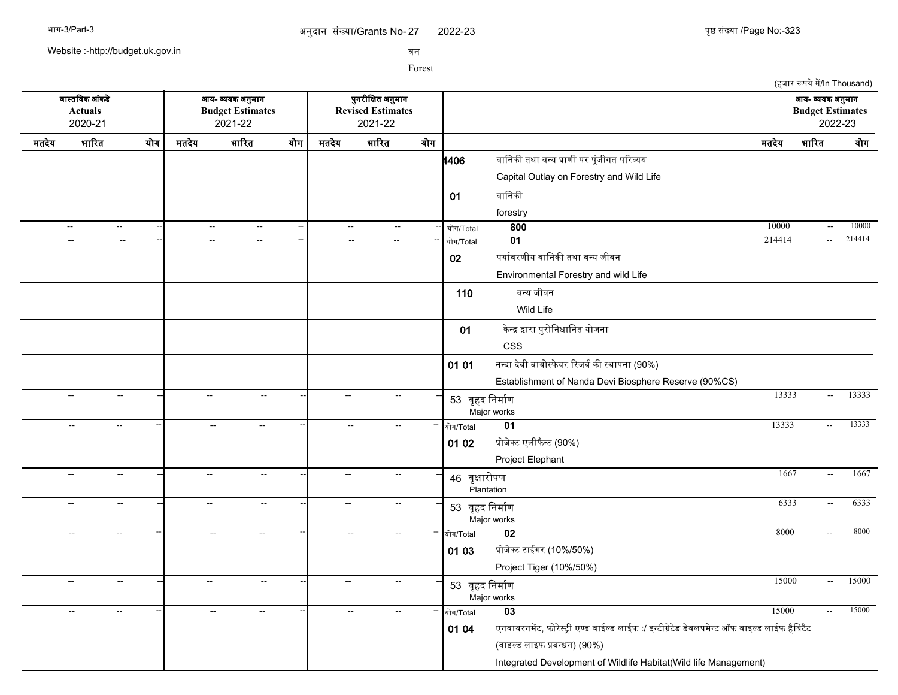(हजार रूपये में/In Thousand)

Website :-http://budget.uk.gov.in

सन

Forest

सगसतचसक आसकडद आख- वखक अननमगन पननरजचकत अननमगन आख- वखक अननमगन **Actuals Budget Estimates Revised Estimates Budget Estimates** 2020-21 2021-22 2021-22 2022-23 मतदखद भगररत खरग मतदखद भगररत खरग मतदखद भगररत खरग मतदखद भगररत खरग **4406 वानिकी तथा वन्य प्राणी पर पूंजीगत परिव्यय** Capital Outlay on Forestry and Wild Life 01 वानिकी forestry -- -- -- -- -- -- -- -- -- खरग/Total **800** 10000 -- 10000 -- -- -- -- -- -- -- -- -- खरग/Total **01** 214414 -- 214414 02 पर्यावरणीय वानिकी तथा वन्य जीवन Environmental Forestry and wild Life 110 वन्य जीवन Wild Life 01 केन्द्र द्वारा पुरोनिधानित योजना CSS 01 01 नन्दा देवी बायोस्फेयर रिजर्व की स्थापना (90%) Establishment of Nanda Devi Biosphere Reserve (90%CS) -- -- -- -- -- -- <sup>53</sup> सपहद चनमगरण Major works -- -- -- 13333 -- 13333 -- -- -- -- -- -- -- -- -- खरग/Total **01** 13333 -- 13333 01 02 प्रोजेक्ट एलीफैन्ट (90%) Project Elephant -- -- -- -- -- -- <sup>46</sup> सपकगररपण Plantation -- - - - - - - - - - 1667 - 1667 - 1667 -- -- -- -- -- -- <sup>53</sup> सपहद चनमगरण Major works -- -- -- 6333 -- 6333 -- -- -- -- -- -- -- -- -- खरग/Total **02** 8000 -- 8000 01 03 प्रोजेक्ट टाईगर (10%/50%) Project Tiger (10%/50%) -- -- -- -- -- -- <sup>53</sup> सपहद चनमगरण Major works --| -- -- --| -- - --| -- -- --| 52 ਰਤਤ ਚਿਸ਼ਾਂਗਾ -- -- -- -- -- -- -- -- -- खरग/Total **03** 15000 -- 15000 01 04 एनवायरनमेंट, फोरेस्ट्री एण्ड वाईल्ड लाईफ :/ इन्टीग्रेटेड डेवलपमेन्ट ऑफ वा<mark>ह</mark>ल्ड लाईफ हैबिटैट (सगइलड लगइफ पबनधन) (90%) Integrated Development of Wildlife Habitat (Wild life Management)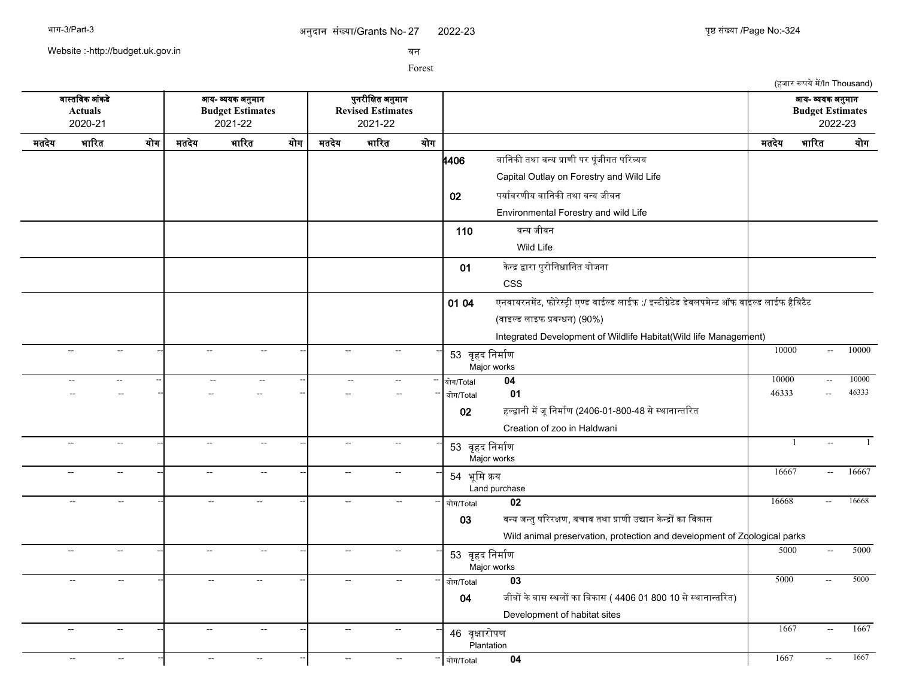(हजार रूपये में/In Thousand)

Website :-http://budget.uk.gov.in

सन

Forest

सगसतचसक आसकडद आख- वखक अननमगन पननरजचकत अननमगन आख- वखक अननमगन **Actuals Budget Estimates Revised Estimates Budget Estimates** 2020-21 2021-22 2021-22 2022-23 मतदखद भगररत खरग मतदखद भगररत खरग मतदखद भगररत खरग मतदखद भगररत खरग **|<br>4406** वानिकी तथा वन्य प्राणी पर पूंजीगत परिव्यय Capital Outlay on Forestry and Wild Life 02 पर्यावरणीय वानिकी तथा वन्य जीवन Environmental Forestry and wild Life 110 वन्य जीवन Wild Life 01 केन्द्र द्वारा पुरोनिधानित योजना CSS 01 04 एनवायरनमेंट, फोरेस्टी एण्ड वाईल्ड लाईफ :/ इन्टीग्रेटेड डेवलपमेन्ट ऑफ वा<mark>हल्ड लाईफ हैबिटैट</mark> (सगइलड लगइफ पबनधन) (90%) Integrated Development of Wildlife Habitat(Wild life Management) -- -- -- -- -- -- <sup>53</sup> सपहद चनमगरण Major works --| -- - --| -- - - -| 52 ਰਤਤ ਚਿਸ਼ੀਜ਼ਾ - - - - 10000 -- 10000 -- 10000 -- -- -- -- -- -- -- -- -- खरग/Total **04** 10000 -- 10000 -- -- -- -- -- -- -- -- -- खरग/Total **01** 46333 -- 46333 02 हल्द्वानी में जू निर्माण (2406-01-800-48 से स्थानान्तरित Creation of zoo in Haldwani -- -- -- -- -- -- <sup>53</sup> सपहद चनमगरण Major works -- -- -- 1 -- 1 -- -- -- -- -- -- <sup>54</sup> भपचम कख Land purchase -- - - - - - - - - - - - - 56667 - 16667 - 16667 -- -- -- -- -- -- -- -- -- खरग/Total **02** 16668 -- 16668 03 वन्य जन्तु परिरक्षण, बचाव तथा प्राणी उद्यान केन्द्रों का विकास Wild animal preservation, protection and development of Zoological parks -- -- -- -- -- -- <sup>53</sup> सपहद चनमगरण Major works --| -- -- --| -- - --| -- -- --| 52 ਰਤਤ ਚਿਸ਼ਾਂਗਾ -- -- -- -- -- -- -- -- -- खरग/Total **03** 5000 -- 5000 04 जीवों के वास स्थलों का विकास ( 4406 01 800 10 से स्थानान्तरित) Development of habitat sites -- -- -- -- -- -- <sup>46</sup> सपकगररपण **Plantation** -- - - - - - - - - - 1667 - 1667 - 1667 -- -- -- -- -- -- -- -- -- खरग/Total **04** 1667 -- 1667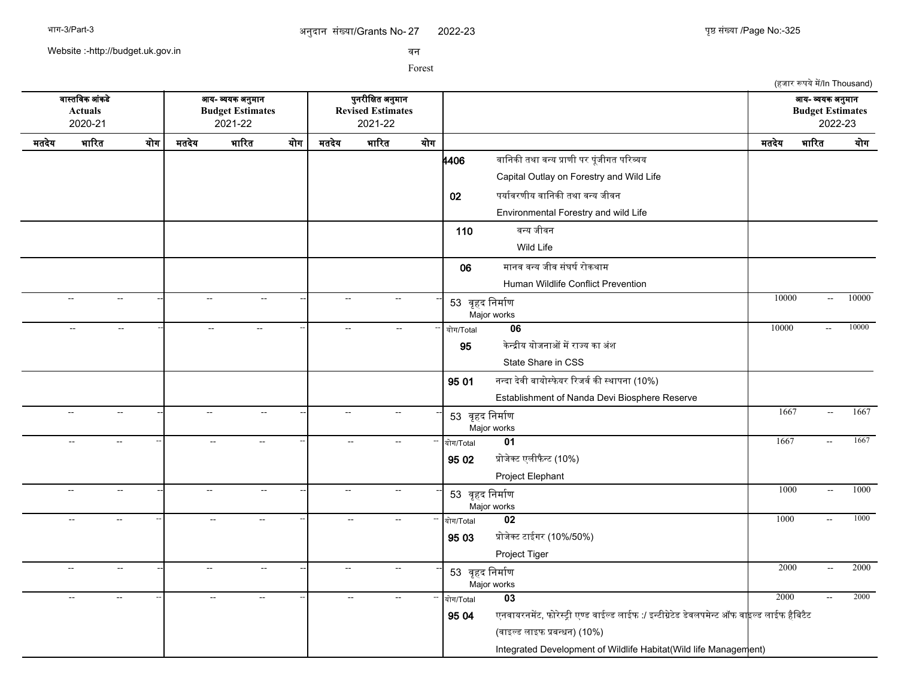2022-23 युष्ठ संख्या /Page No:-325

(हजार रूपये में/In Thousand)

Website :-http://budget.uk.gov.in

सन

Forest

सगसतचसक आसकडद आख- वखक अननमगन पननरजचकत अननमगन आख- वखक अननमगन **Actuals Budget Estimates Revised Estimates Budget Estimates** 2020-21 2021-22 2021-22 2022-23 मतदखद भगररत खरग मतदखद भगररत खरग मतदखद भगररत खरग मतदखद भगररत खरग **4406 वानिकी तथा वन्य प्राणी पर पूंजीगत परिव्यय** Capital Outlay on Forestry and Wild Life 02 पर्यावरणीय वानिकी तथा वन्य जीवन Environmental Forestry and wild Life 110 वन्य जीवन Wild Life 06 मानव वन्य जीव संघर्ष रोकथाम Human Wildlife Conflict Prevention -- -- -- -- -- -- <sup>53</sup> सपहद चनमगरण Major works --| -- - --| -- - - -| 52 ਰਤਤ ਚਿਸ਼ੀਜ਼ਾ - - - - 10000 -- 10000 -- 10000 -- -- -- -- -- -- -- -- -- खरग/Total **06** 10000 -- 10000 95 केन्द्रीय योजनाओं में राज्य का अंश State Share in CSS  $95.01$  नन्दा देवी बायोस्फेयर रिजर्व की स्थापना (10%) Establishment of Nanda Devi Biosphere Reserve -- -- -- -- -- -- <sup>53</sup> सपहद चनमगरण Major works -- -- -- 1667 -- 1667 -- -- -- -- -- -- -- -- -- खरग/Total **01** 1667 -- 1667  $9502$  प्रोजेक्ट एलीफैन्ट (10%) Project Elephant -- -- -- -- -- -- <sup>53</sup> सपहद चनमगरण Major works -- -- -- 1000 -- 1000 -- -- -- -- -- -- -- -- -- खरग/Total **02** 1000 -- 1000 95 03 प्रोजेक्ट टाईगर (10%/50%) Project Tiger -- -- -- -- -- -- <sup>53</sup> सपहद चनमगरण Major works --| -- -- --| -- - --| -- -- 52, जन्म चिर्माणा -- ------------------------------- | 2000 -- 2000 -- -- -- -- -- -- -- -- -- खरग/Total **03** 2000 -- 2000 95 04 एनवायरनमेंट, फोरेस्ट्री एण्ड वाईल्ड लाईफ :/ इन्टीग्रेटेड डेवलपमेन्ट ऑफ वा<mark>इल्ड लाईफ हैबिटैट</mark> (सगइलड लगइफ पबनधन) (10%) Integrated Development of Wildlife Habitat (Wild life Management)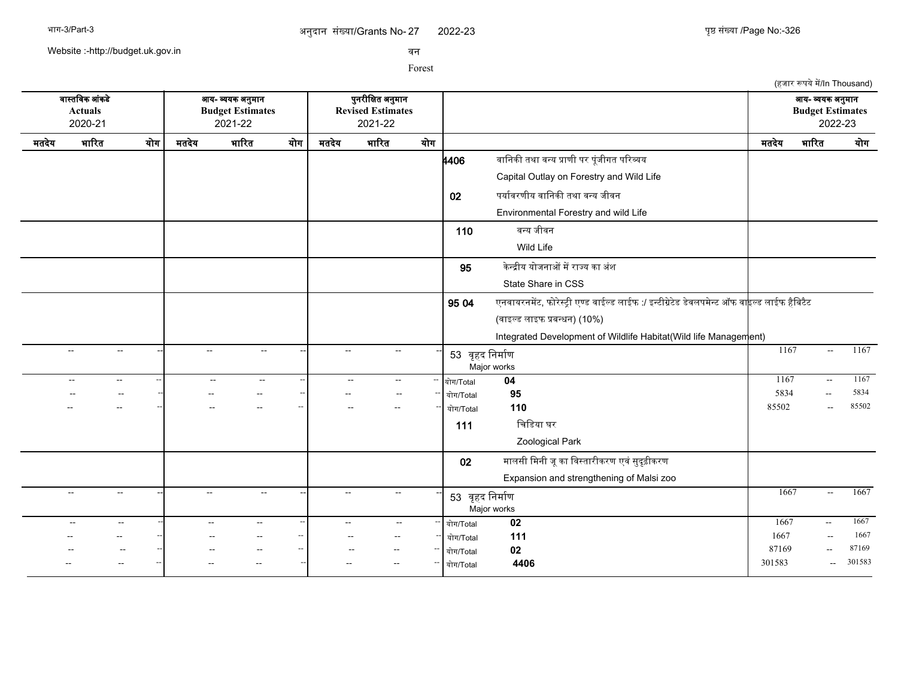Website :-http://budget.uk.gov.in

सन

Forest

(हजार रूपये में/In Thousand) सगसतचसक आसकडद आख- वखक अननमगन पननरजचकत अननमगन आख- वखक अननमगन **Actuals Budget Estimates Revised Estimates Budget Estimates** 2020-21 2021-22 2021-22 2022-23 मतदखद भगररत खरग मतदखद भगररत खरग मतदखद भगररत खरग मतदखद भगररत खरग **4406** वानिकी तथा वन्य प्राणी पर पूंजीगत परिव्यय Capital Outlay on Forestry and Wild Life 02 पर्यावरणीय वानिकी तथा वन्य जीवन Environmental Forestry and wild Life 110 वन्य जीवन Wild Life **95 केन्द्रीय योजनाओं में राज्य का** अंश State Share in CSS  $95.04$  एनवायरनमेंट, फोरेस्ट्री एण्ड वाईल्ड लाईफ :/ इन्टीग्रेटेड डेवलपमेन्ट ऑफ वा<mark>इ</mark>ल्ड लाईफ हैबिटैट (सगइलड लगइफ पबनधन) (10%) Integrated Development of Wildlife Habitat(Wild life Management) -- -- -- -- -- -- <sup>53</sup> सपहद चनमगरण Major works -- -- -- 1167 -- 1167 -- -- -- -- -- -- -- -- -- खरग/Total **04** 1167 -- 1167 -- -- -- -- -- -- -- -- -- खरग/Total **95** 5834 -- 5834 -- -- -- -- -- -- -- -- -- खरग/Total **110** 85502 -- 85502 111 चिडिया घर Zoological Park 02 मालसी मिनी जू का विस्तारीकरण एवं सुदृढ़ीकरण Expansion and strengthening of Malsi zoo -- -- -- -- -- -- <sup>53</sup> सपहद चनमगरण Major works -- -- -- 1667 -- 1667 -- -- -- -- -- -- -- -- -- खरग/Total **02** 1667 -- 1667 -- -- -- -- -- -- -- -- -- खरग/Total **111** 1667 -- 1667 -- -- -- -- -- -- -- -- -- खरग/Total **02** 87169 -- 87169 -- -- -- -- -- -- -- -- -- खरग/Total **4406** 301583 -- 301583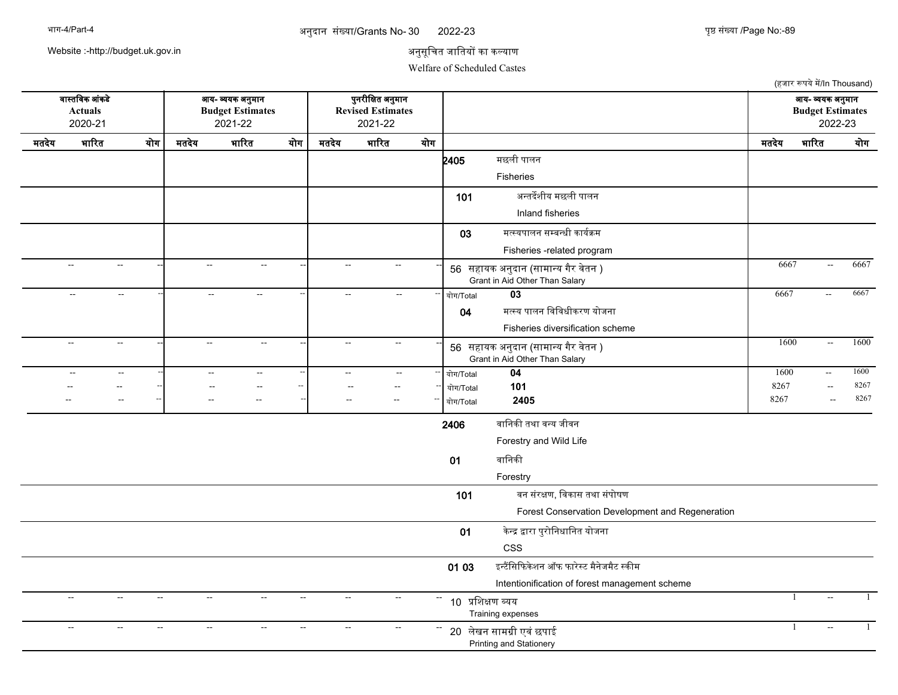### 30 अननदजन ससखयज/Grants No- पपष ससखयज /Page No:-

2022-23 युष्ठ संख्या /Page No:-89

(हजार रूपये में/In Thousand)

Website :-http://budget.uk.gov.in

## अनुसूचित जातियों का कल्याण

वजसतचवक आसकडद आय- वयक अननमजन पननरनचकत अननमजन आय- वयक अननमजन

### Welfare of Scheduled Castes

**Actuals Budget Estimates Revised Estimates Budget Estimates** 2020-21 2021-22 2021-22 2022-23 मतदेय भारित योग| मतदेय भारित योग| मतदेय भारित योग| — — — — — — — | मतदेय भारित योग **2405** मछली पालन Fisheries 101 अन्तर्देशीय मछली पालन Inland fisheries 03 मत्स्यपालन सम्बन्धी कार्यक्रम Fisheries -related program -- -- -- -- -- -- <sup>56</sup> सहजयक अननदजन (सजमजनय गगर वदतन ) -- -- -- 6667 -- 6667 Grant in Aid Other Than Salary -- -- -- -- -- -- -- -- -- ययग/Total **03** 6667 -- 6667 04 मत्स्य पालन विविधीकरण योजना Fisheries diversification scheme -- -- -- -- -- -- <sup>56</sup> सहजयक अननदजन (सजमजनय गगर वदतन ) -- -- -- 1600 -- 1600 Grant in Aid Other Than Salary -- -- -- -- -- -- -- -- -- ययग/Total **04** 1600 -- 1600 -- -- -- -- -- -- -- -- -- ययग/Total **101** 8267 -- 8267 -- -- -- -- -- -- -- -- -- ययग/Total **2405** 8267 -- 8267 2406 वानिकी तथा वन्य जीवन Forestry and Wild Life  $01$  वानिकी Forestry 101 वन संरक्षण, विकास तथा संपोषण Forest Conservation Development and Regeneration 01 केन्द्र द्वारा पुरोनिधानित योजना CSS 01 03 द्विसिफिकेशन ऑफ फारेस्ट मैनेजमैट स्कीम Intentionification of forest management scheme -- -- -- -- -- -- <sup>10</sup> पचशकण वयय Training expenses -- -- -- 1 -- 1 -- -- -- -- -- -- <sup>20</sup> लदखन सजमगन एवस छपजई -- -- -- 1 -- 1Printing and Stationery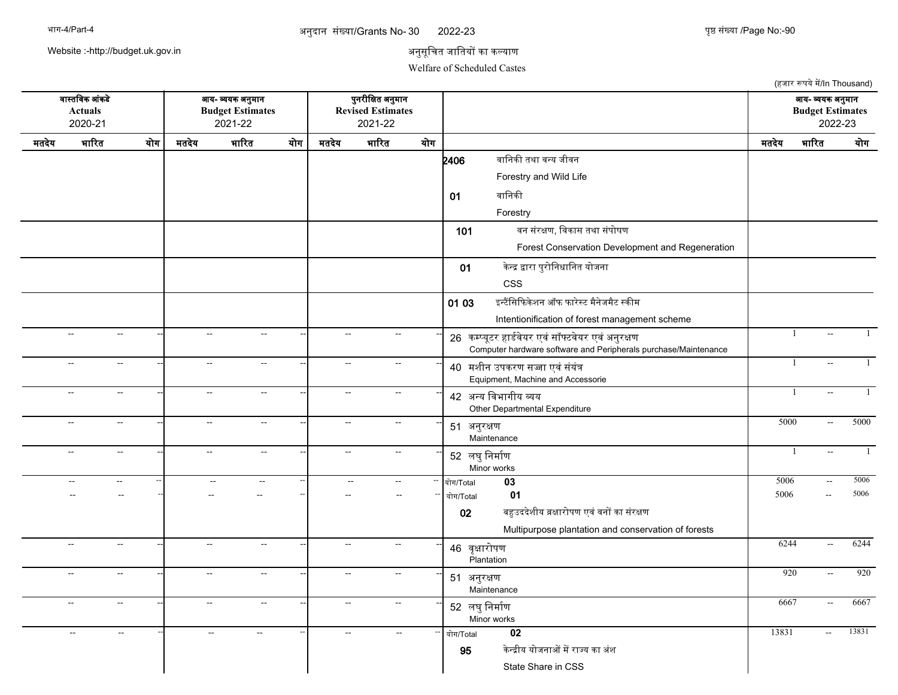### 30 अननदजन ससखयज/Grants No- पपष ससखयज /Page No:-

2022-23 पुष्ठ संख्या /Page No:-90

(हजार रूपये में/In Thousand)

Website :-http://budget.uk.gov.in

## अनुसूचित जातियों का कल्याण

Welfare of Scheduled Castes

वजसतचवक आसकडद आय- वयक अननमजन पननरनचकत अननमजन आय- वयक अननमजन **Actuals Budget Estimates Revised Estimates Budget Estimates** 2020-21 2021-22 2021-22 2022-23 मतदेय भारित योग| मतदेय भारित योग| मतदेय भारित योग| — — — — — — — | मतदेय भारित योग **2406** वानिकी तथा वन्य जीवन Forestry and Wild Life 01 वानिकी Forestry 101 वन संरक्षण, विकास तथा संपोषण Forest Conservation Development and Regeneration 01 केन्द्र द्वारा पुरोनिधानित योजना CSS 01 03 द्वन्टैंसिफिकेशन ऑफ फारेस्ट मैनेजमैट स्कीम Intentionification of forest management scheme -- -- -- -- -- -- <sup>26</sup> कमपयसटर हजडरवदयर एवससकफटवदयर एवसअननरकण -- -- -- 1 -- 1 Computer hardware software and Peripherals purchase/Maintenance -- -- -- -- -- -- <sup>40</sup> मशनन उपकरण सजज एवसससयसन -- -- -- 1 -- 1 Equipment, Machine and Accessorie -- -- -- -- -- -- <sup>42</sup> अनय चवभजगनय वय Other Departmental Expenditure --| -- --| -- -- --| 42 <del>2000 Avushu auu</del> -- -- -- -- -- -- <sup>51</sup> अननरकण Maintenance --| -- -- --| -- - --| -- -- --| 5000 -- 5000 -- -- -- -- -- -- <sup>52</sup> लघनचनमजरण Minor works -| -- -| -- -| -- -| <sub>F? ਕਬਾ</sub> ਦੇ ਸੀਜ਼ਾ -- -- -| 1 -- 1 -- -- -- -- -- -- -- -- -- ययग/Total **03** 5006 -- 5006 -- -- -- -- -- -- -- -- -- ययग/Total **01** 5006 -- 5006 02 बहुउददेशीय व्रक्षारोपण एवं वनों का संरक्षण Multipurpose plantation and conservation of forests -- -- -- -- -- -- <sup>46</sup> वपकजरयपण Plantation -- -- -- 6244 -- 6244 -- -- -- -- -- -- <sup>51</sup> अननरकण **Maintenance** -- -- -- 920 -- 920 -- -- -<sup>-</sup> -- - - - -| -- - - -| 52 लघुनिर्माण Minor works -- - - - - - - - - - - 5667 - 6667 - 6667 -- -- -- -- -- -- -- -- -- ययग/Total **02** 13831 -- 13831 95 केन्द्रीय योजनाओं में राज्य का अंश State Share in CSS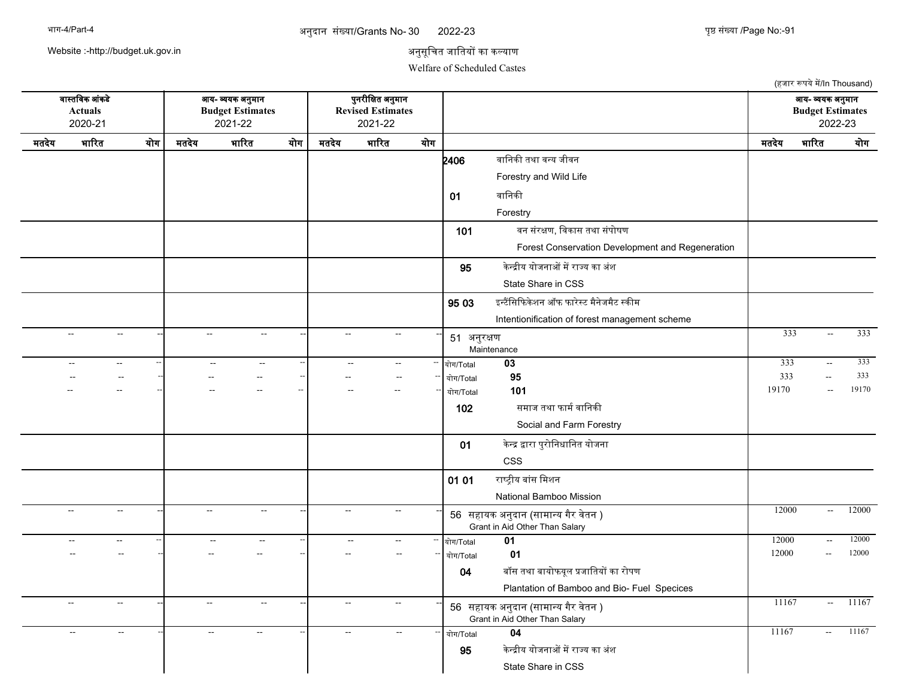### 30 अननदजन ससखयज/Grants No- पपष ससखयज /Page No:-

2022-23 युष्ठ संख्या /Page No:-91

(हजार रूपये में/In Thousand)

Website :-http://budget.uk.gov.in

## अनुसूचित जातियों का कल्याण

Welfare of Scheduled Castes

वजसतचवक आसकडद आय- वयक अननमजन पननरनचकत अननमजन आय- वयक अननमजन **Actuals Budget Estimates Revised Estimates Budget Estimates** 2020-21 2021-22 2021-22 2022-23 मतदेय भारित योग| मतदेय भारित योग| मतदेय भारित योग| — — — — — — — | मतदेय भारित योग **2406** वानिकी तथा वन्य जीवन Forestry and Wild Life 01 वानिकी Forestry 101 वन संरक्षण, विकास तथा संपोषण Forest Conservation Development and Regeneration **95 केन्द्रीय योजनाओं में राज्य का** अंश State Share in CSS  $9503$  इन्टैंसिफिकेशन ऑफ फारेस्ट मैनेजमैट स्कीम Intentionification of forest management scheme -- -- -- -- -- -- <sup>51</sup> अननरकण Maintenance --| -- -- --| -- -- --| -- --- --| 54 <del>91.799mm</del> -- -- -- -- -- -- -- -- -- ययग/Total **03** 333 -- 333 -- -- -- -- -- -- -- -- -- ययग/Total **95** 333 -- 333 -- -- -- -- -- -- -- -- -- ययग/Total **101** 19170 -- 19170 102 समाज तथा फार्म वानिकी Social and Farm Forestry 01 केन्द्र द्वारा पुरोनिधानित योजना CSS 01 01 राष्ट्रीय बांस मिशन National Bamboo Mission -- -- -- -- -- -- <sup>56</sup> सहजयक अननदजन (सजमजनय गगर वदतन ) -- -- -- 12000 -- 12000 Grant in Aid Other Than Salary -- -- -- -- -- -- -- -- -- ययग/Total **01** 12000 -- 12000 -- -- -- -- -- -- -- -- -- ययग/Total **01** 12000 -- 12000 04 बॉस तथा बायोफयूल प्रजातियों का रोपण Plantation of Bamboo and Bio- Fuel Specices -- -- -- -- -- -- <sup>56</sup> सहजयक अननदजन (सजमजनय गगर वदतन ) -- -- -- 11167 -- 11167 Grant in Aid Other Than Salary -- -- -- -- -- -- -- -- -- ययग/Total **04** 11167 -- 11167 **95 कन्द्रीय योजनाओं में राज्य का अंश** State Share in CSS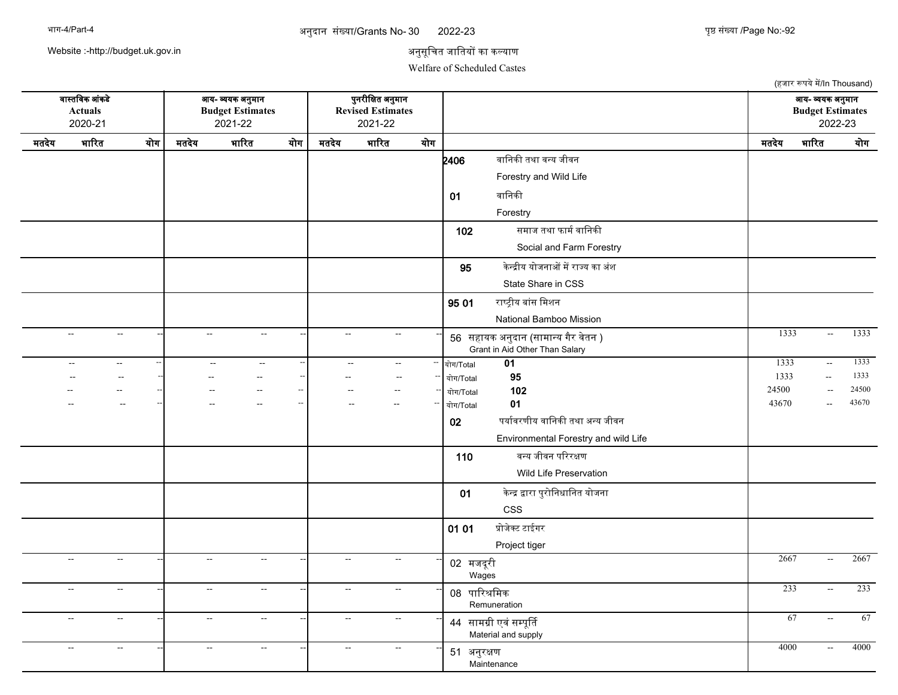### 30 अननदजन ससखयज/Grants No- पपष ससखयज /Page No:-

2022-23 पुष्ठ संख्या /Page No:-92

Website :-http://budget.uk.gov.in

## अनुसूचित जातियों का कल्याण

Welfare of Scheduled Castes

(हजार रूपये में/In Thousand) वजसतचवक आसकडद आय- वयक अननमजन पननरनचकत अननमजन आय- वयक अननमजन **Actuals Budget Estimates Revised Estimates Budget Estimates** 2020-21 2021-22 2021-22 2022-23 मतदेय भारित योग| मतदेय भारित योग| मतदेय भारित योग| — — — — — — — | मतदेय भारित योग **2406** वानिकी तथा वन्य जीवन Forestry and Wild Life  $01$  वानिकी Forestry 102 समाज तथा फार्म वानिकी Social and Farm Forestry **95 केन्द्रीय योजनाओं में राज्य का** अंश State Share in CSS 95 01 राष्ट्रीय बांस मिशन National Bamboo Mission -- -- -- -- -- -- <sup>56</sup> सहजयक अननदजन (सजमजनय गगर वदतन ) -- -- -- 1333 -- 1333 Grant in Aid Other Than Salary -- -- -- -- -- -- -- -- -- ययग/Total **01** 1333 -- 1333 -- -- -- -- -- -- -- -- -- ययग/Total **95** 1333 -- 1333 -- -- -- -- -- -- -- -- -- ययग/Total **102** 24500 -- 24500 -- -- -- -- -- -- -- -- -- ययग/Total **01** 43670 -- 43670 02 पर्यावरणीय वानिकी तथा अन्य जीवन Environmental Forestry and wild Life 110 वनय जनवन परररकण Wild Life Preservation 01 केन्द्र द्वारा पुरोनिधानित योजना CSS  $01 01$  प्रोजेक्ट टाईगर Project tiger -- -- -- -- -- -- <sup>02</sup> मजदरन <sup>स</sup> Wages -- - - - - - - - - - - 02 <del>11.2.8</del> - - - - 2667 - 2667 -- -- -- -- -- -- <sup>08</sup> पजररशचमक Remuneration -- -- -- 233 -- 233 -- -- -- -- -- -- <sup>44</sup> सजमगन एवससमपसरत -- -- -- 67 -- 67 Material and supply -- -- -- -- -- -- <sup>51</sup> अननरकण Maintenance -- -- -- 4000 -- 4000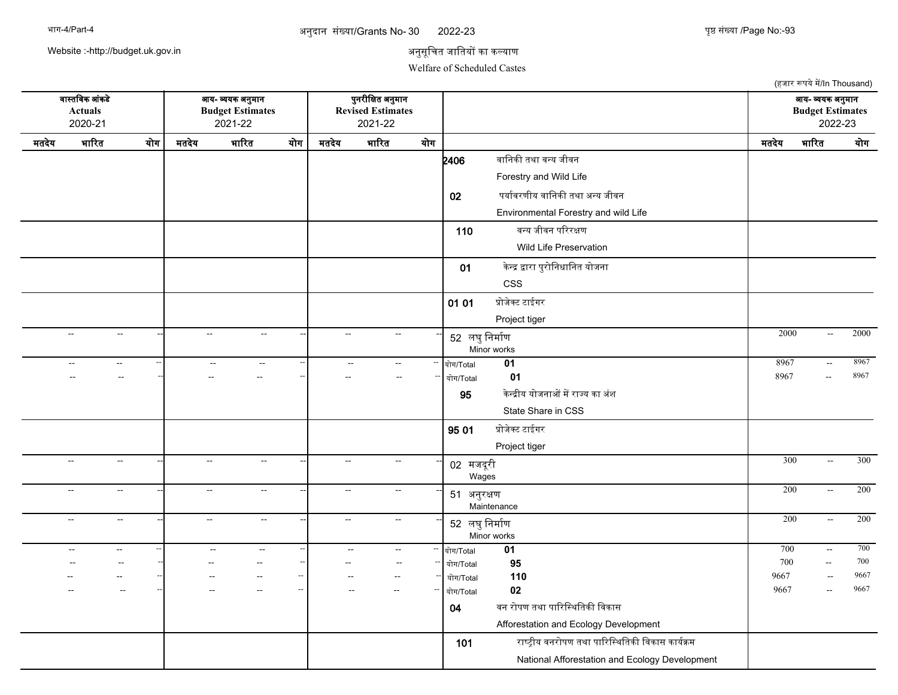### 30 अननदजन ससखयज/Grants No- पपष ससखयज /Page No:-

2022-23 पुष्ठ संख्या /Page No:-93

Website :-http://budget.uk.gov.in

## अनुसूचित जातियों का कल्याण

Welfare of Scheduled Castes

(हजार रूपये में/In Thousand) वजसतचवक आसकडद आय- वयक अननमजन पननरनचकत अननमजन आय- वयक अननमजन **Actuals Budget Estimates Revised Estimates Budget Estimates** 2020-21 2021-22 2021-22 2022-23 मतदेय भारित योग| मतदेय भारित योग| मतदेय भारित योग| — — — — — — — | मतदेय भारित योग **2406** वानिकी तथा वन्य जीवन Forestry and Wild Life 02 पर्यावरणीय वानिकी तथा अन्य जीवन Environmental Forestry and wild Life 110 वनय जनवन परररकण Wild Life Preservation 01 केन्द्र द्वारा पुरोनिधानित योजना CSS  $01 01$  प्रोजेक्ट टाईगर Project tiger -- -- -- -- -- -- <sup>52</sup> लघनचनमजरण Minor works --| -- - --| -- - -| 52 <del>as Outon</del> - - - - - 2000 - 2000 -- -- -- -- -- -- -- -- -- ययग/Total **01** 8967 -- 8967 -- -- -- -- -- -- -- -- -- ययग/Total **01** 8967 -- 8967 **95 केन्द्रीय योजनाओं में राज्य का** अंश State Share in CSS  $9501$  प्रोजेक्ट टाईगर Project tiger -- -- -- -- -- -- <sup>02</sup> मजदरन <sup>स</sup> Wages -- -- -- 300 -- 300 -- -- -- -- -- -- <sup>51</sup> अननरकण **Maintenance** --| -- - -- --| -- - -- --| 61 अन्यत्र अप्ता -- -- -- -- -- -- <sup>52</sup> लघनचनमजरण Minor works -- -- -- 200 -- 200 -- -- -- -- -- -- -- -- -- ययग/Total **01** 700 -- 700 -- -- -- -- -- -- -- -- -- ययग/Total **95** 700 -- 700 -- -- -- -- -- -- -- -- -- ययग/Total **110** 9667 -- 9667 -- -- -- -- -- -- -- -- -- ययग/Total **02** 9667 -- 9667 04 वन रोपण तथा पारिस्थितिकी विकास Afforestation and Ecology Development 101 राष्ट्रीय वनरोपण तथा पारिस्थितिकी विकास कार्यक्रम National Afforestation and Ecology Development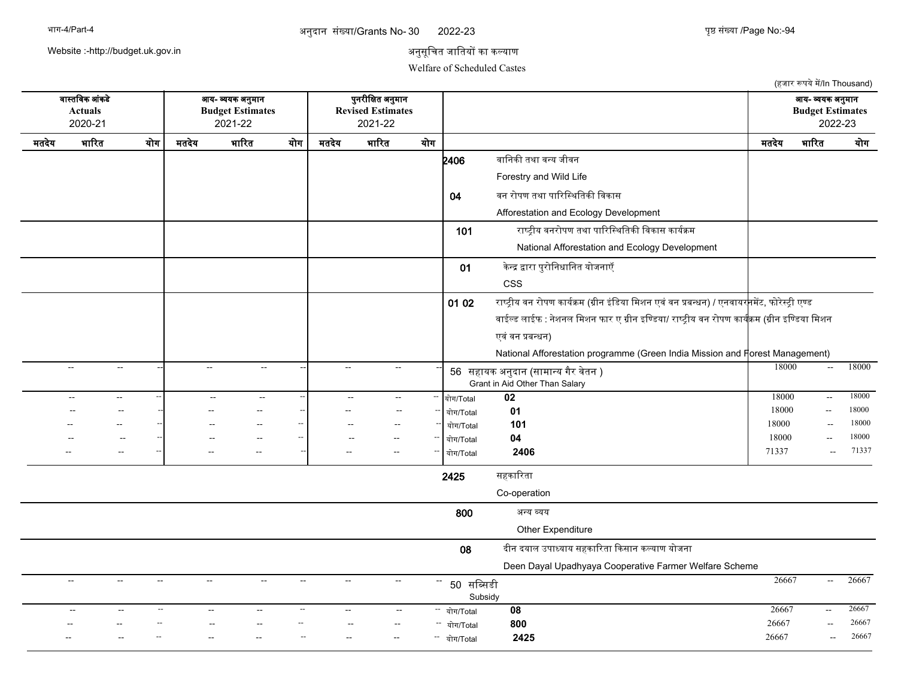### 30 अननदजन ससखयज/Grants No- पपष ससखयज /Page No:-

2022-23 पुष्ठ संख्या /Page No:-94

Website :-http://budget.uk.gov.in

## अनुसूचित जातियों का कल्याण

Welfare of Scheduled Castes

(हजार रूपये में/In Thousand) वजसतचवक आसकडद आय- वयक अननमजन पननरनचकत अननमजन आय- वयक अननमजन **Actuals Budget Estimates Revised Estimates Budget Estimates** 2020-21 2021-22 2021-22 2022-23 मतदेय भारित योग| मतदेय भारित योग| मतदेय भारित योग| — — — — — — — | मतदेय भारित योग  $2406$  वानिकी तथा वन्य जीवन Forestry and Wild Life 04 वन रोपण तथा पारिस्थितिकी विकास Afforestation and Ecology Development 101  $\frac{101}{100}$ राष्ट्रीय वनरोपण तथा पारिस्थितिकी विकास कार्यक्रम National Afforestation and Ecology Development 01 केन्द्र द्वारा पुरोनिधानित योजनाएँ CSS 01 02 राष्ट्रीय वन रोपण कार्यक्रम (ग्रीन इंडिया मिशन एवं वन प्रबन्धन) / एनवायर<mark>न</mark>मेंट, फोरेस्ट्री एण्ड वाईल्ड लाईफ : नेशनल मिशन फार ए ग्रीन इण्डिया/ राष्ट्रीय वन रोपण कार्यक्रम (ग्रीन इण्डिया मिशन एवं वन प्रबन्धन) National Afforestation programme (Green India Mission and Forest Management) -- -- -- -- -- -- <sup>56</sup> सहजयक अननदजन (सजमजनय गगर वदतन ) -- -- -- 18000 -- 18000 Grant in Aid Other Than Salary -- -- -- -- -- -- -- -- -- ययग/Total **02** 18000 -- 18000 -- -- -- -- -- -- -- -- -- ययग/Total **01** 18000 -- 18000 -- -- -- -- -- -- -- -- -- ययग/Total **101** 18000 -- 18000 -- -- -- -- -- -- -- -- -- ययग/Total **04** 18000 -- 18000 -- -- -- -- -- -- -- -- -- ययग/Total **2406** 71337 -- 71337 2425 सहकारिता Co-operation 800 अनय वयय Other Expenditure 08 दीन दयाल उपाध्याय सहकारिता किसान कल्याण योजना Deen Dayal Upadhyaya Cooperative Farmer Welfare Scheme -- -- -- -- -- -- <sup>50</sup> सचबसडन Subsidy -- - - - - - - - - - - - 50 <del>11 Cu 1</del> -- -- -- -- -- -- -- -- -- ययग/Total **08** 26667 -- 26667 -- -- -- -- -- -- -- -- -- ययग/Total **800** 26667 -- 26667 -- -- -- -- -- -- -- -- -- ययग/Total **2425** 26667 -- 26667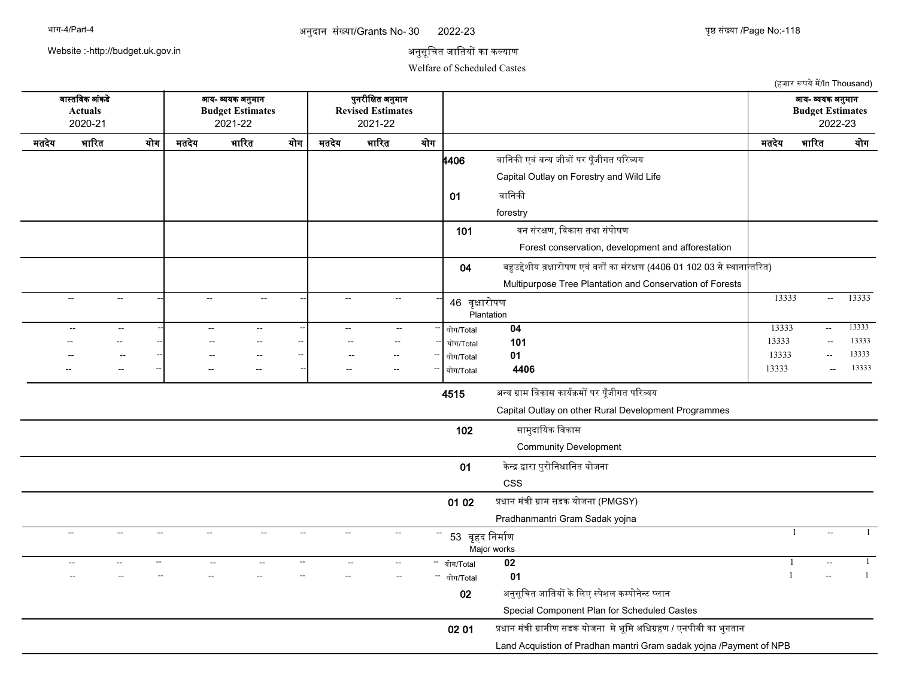### 30 अननदजन ससखयज/Grants No- पपष ससखयज /Page No:-

2022-23 युष्ठ संख्या /Page No:-118

Website :-http://budget.uk.gov.in

## अनुसूचित जातियों का कल्याण

Welfare of Scheduled Castes

(हजार रूपये में/In Thousand) वजसतचवक आसकडद आय- वयक अननमजन पननरनचकत अननमजन आय- वयक अननमजन **Actuals Budget Estimates Revised Estimates Budget Estimates** 2020-21 2021-22 2021-22 2022-23 मतदेय भारित योग| मतदेय भारित योग| मतदेय भारित योग| — — — — — — — | मतदेय भारित योग **4406** वानिकी एवं वन्य जीवों पर पूँजीगत परिव्यय Capital Outlay on Forestry and Wild Life  $01$  वानिकी forestry 101 वन संरक्षण, विकास तथा संपोषण Forest conservation, development and afforestation 04 बहुउद्देशीय व़क्षारोपण एवं वनों का संरक्षण (4406 01 102 03 से स्थानान्तरित) Multipurpose Tree Plantation and Conservation of Forests -- -- -- -- -- -- <sup>46</sup> वपकजरयपण Plantation -- -- -- 13333 -- 13333 -- -- -- -- -- -- -- -- -- ययग/Total **04** 13333 -- 13333 -- -- -- -- -- -- -- -- -- ययग/Total **101** 13333 -- 13333 -- -- -- -- -- -- -- -- -- ययग/Total **01** 13333 -- 13333 -- -- -- -- -- -- -- -- -- ययग/Total **4406** 13333 -- 13333 4515 अन्य ग्राम विकास कार्यक्रमों पर पुँजीगत परिव्यय Capital Outlay on other Rural Development Programmes 102 सामुदायिक विकास Community Development 01 केन्द्र द्वारा पुरोनिधानित योजना CSS 01 02 प्रधान मंत्री ग्राम सडक योजना (PMGSY) Pradhanmantri Gram Sadak yojna -- -- -- -- -- -- -- -- -- -- -- -- 53 वृहद निर्माण Major works -- -- -- 1 -- 1 -- -- -- -- -- -- -- -- -- ययग/Total **02** 1 -- 1 -- -- -- -- -- -- -- -- -- ययग/Total **01** 1 -- 1 02 अनुसूचित जातियों के लिए स्पेशल कम्पोनेन्ट प्लान Special Component Plan for Scheduled Castes 02 01 प्रधान मंत्री ग्रामीण सडक योजना मे भूमि अधिग्रहण / एनपीबी का भुगतान Land Acquistion of Pradhan mantri Gram sadak yojna /Payment of NPB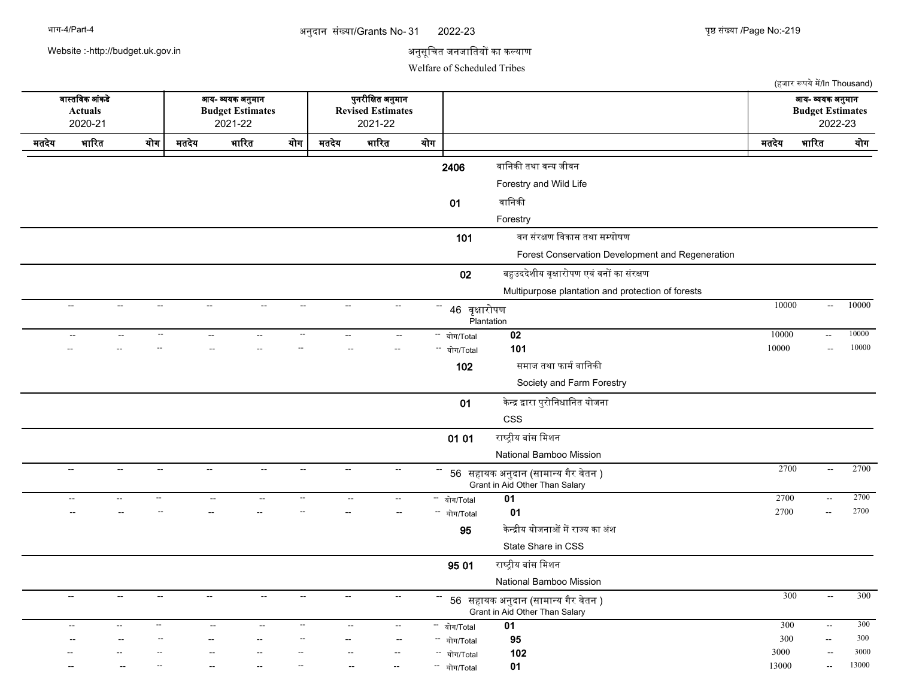| भाग-4/Part-4 |  |
|--------------|--|
|--------------|--|

अनुदान संख्या/Grants No- 31 2022-23 पृष्ठ संख्या /Page No:-

9022-23 पुष्ठ संख्या /Page No:-219

Website :-http://budget.uk.gov.in

# अनुसूचित जनजातियों का कल्याण

Welfare of Scheduled Tribes

|                                             |                                               |                                           |                                                                |                                    |                          |                                                          |                             |        |                                          |                                                                       |                                                        | (हजार रूपये में/In Thousand)                  |              |
|---------------------------------------------|-----------------------------------------------|-------------------------------------------|----------------------------------------------------------------|------------------------------------|--------------------------|----------------------------------------------------------|-----------------------------|--------|------------------------------------------|-----------------------------------------------------------------------|--------------------------------------------------------|-----------------------------------------------|--------------|
| वास्तविक आंकडे<br><b>Actuals</b><br>2020-21 |                                               |                                           | आय- व्ययक अनुमान<br><b>Budget Estimates</b><br>2021-22         |                                    |                          | पुनरीक्षित अनुमान<br><b>Revised Estimates</b><br>2021-22 |                             |        |                                          |                                                                       | आय- व्ययक अनुमान<br><b>Budget Estimates</b><br>2022-23 |                                               |              |
| मतदेय                                       | भारित                                         | योग                                       | मतदेय                                                          | भारित                              | योग                      | मतदेय                                                    | भारित                       | योग    |                                          |                                                                       | मतदेय                                                  | भारित                                         | योग          |
|                                             |                                               |                                           |                                                                |                                    |                          |                                                          |                             |        | 2406                                     | वानिकी तथा वन्य जीवन                                                  |                                                        |                                               |              |
|                                             |                                               |                                           |                                                                |                                    |                          |                                                          |                             |        |                                          | Forestry and Wild Life                                                |                                                        |                                               |              |
|                                             |                                               |                                           |                                                                |                                    |                          |                                                          |                             |        | 01                                       | वानिकी                                                                |                                                        |                                               |              |
|                                             |                                               |                                           |                                                                |                                    |                          |                                                          |                             |        |                                          | Forestry                                                              |                                                        |                                               |              |
|                                             |                                               |                                           |                                                                |                                    |                          |                                                          |                             |        | 101                                      | वन संरक्षण विकास तथा सम्पोषण                                          |                                                        |                                               |              |
|                                             |                                               |                                           |                                                                |                                    |                          |                                                          |                             |        |                                          | Forest Conservation Development and Regeneration                      |                                                        |                                               |              |
|                                             |                                               |                                           |                                                                |                                    |                          |                                                          |                             |        | 02                                       | बहुउददेशीय वृक्षारोपण एवं वनों का संरक्षण                             |                                                        |                                               |              |
|                                             |                                               |                                           |                                                                |                                    |                          |                                                          |                             |        |                                          | Multipurpose plantation and protection of forests                     |                                                        |                                               |              |
|                                             | $\sim$                                        | $\sim$                                    | $\sim$                                                         | $\sim$<br>$\sim$                   | $\sim$                   | $\sim$                                                   | $\mathcal{L}_{\mathcal{F}}$ |        | 46 वृक्षारोपण                            |                                                                       | 10000                                                  | $\sim$                                        | 10000        |
|                                             |                                               |                                           |                                                                |                                    |                          |                                                          |                             |        |                                          | Plantation                                                            |                                                        |                                               |              |
|                                             | $\sim$                                        | $\overline{\phantom{a}}$                  | $\overline{\phantom{a}}$                                       | $\overline{a}$<br>$\overline{a}$   | $\overline{\phantom{a}}$ | $\sim$                                                   | $\overline{\phantom{a}}$    |        | योग/Total<br>÷÷.                         | 02                                                                    | 10000                                                  | $\overline{\phantom{a}}$                      | 10000        |
|                                             |                                               |                                           |                                                                |                                    |                          |                                                          |                             |        | - योग/Total                              | 101                                                                   | 10000                                                  | $\overline{\phantom{a}}$                      | 10000        |
|                                             |                                               |                                           |                                                                |                                    |                          |                                                          |                             |        | 102                                      | समाज तथा फार्म वानिकी                                                 |                                                        |                                               |              |
|                                             |                                               |                                           |                                                                |                                    |                          |                                                          |                             |        |                                          | Society and Farm Forestry                                             |                                                        |                                               |              |
|                                             |                                               |                                           |                                                                |                                    |                          |                                                          |                             |        | 01                                       | केन्द्र द्वारा पुरोनिधानित योजना                                      |                                                        |                                               |              |
|                                             |                                               |                                           |                                                                |                                    |                          |                                                          |                             |        |                                          | <b>CSS</b>                                                            |                                                        |                                               |              |
|                                             |                                               |                                           |                                                                |                                    |                          |                                                          |                             |        | 01 01                                    | राष्ट्रीय बांस मिशन                                                   |                                                        |                                               |              |
|                                             |                                               |                                           |                                                                |                                    |                          |                                                          |                             |        |                                          | National Bamboo Mission                                               |                                                        |                                               |              |
|                                             | $\overline{\phantom{a}}$                      | $\sim$                                    | $\sim$ $\sim$<br>$\mathord{\hspace{1pt}\text{--}\hspace{1pt}}$ | $\sim$ $\sim$                      | $\overline{\phantom{m}}$ | $\sim$                                                   | $\sim$                      |        |                                          | 56 सहायक अनुदान (सामान्य गैर वेतन )                                   | 2700                                                   | $\sim$                                        | 2700         |
|                                             |                                               |                                           |                                                                |                                    |                          |                                                          |                             |        |                                          | Grant in Aid Other Than Salary                                        |                                                        |                                               |              |
|                                             | $\overline{a}$                                | $\overline{\phantom{a}}$<br>$\sim$ $\sim$ |                                                                | $\sim$ $\sim$<br>$\sim$ $\sim$     | $\overline{\phantom{a}}$ | $\sim$ $\sim$                                            | $\mathcal{L}_{\mathcal{F}}$ |        | - योग/Total                              | 01                                                                    | 2700                                                   | $\sim$                                        | 2700<br>2700 |
|                                             |                                               |                                           |                                                                |                                    |                          |                                                          |                             | $\sim$ | योग/Total                                | 01<br>केन्द्रीय योजनाओं में राज्य का अंश                              | 2700                                                   | $\sim$                                        |              |
|                                             |                                               |                                           |                                                                |                                    |                          |                                                          |                             |        | 95                                       |                                                                       |                                                        |                                               |              |
|                                             |                                               |                                           |                                                                |                                    |                          |                                                          |                             |        |                                          | State Share in CSS                                                    |                                                        |                                               |              |
|                                             |                                               |                                           |                                                                |                                    |                          |                                                          |                             |        | 95 01                                    | राष्ट्रीय बांस मिशन                                                   |                                                        |                                               |              |
|                                             |                                               |                                           |                                                                |                                    |                          |                                                          |                             |        |                                          | National Bamboo Mission                                               | 300                                                    | $\sim$                                        | 300          |
|                                             | $\mathord{\hspace{1pt}\text{--}\hspace{1pt}}$ | $\overline{\phantom{m}}$                  | $\overline{\phantom{a}}$<br>$\overline{\phantom{a}}$           | $\overline{\phantom{a}}$           |                          | $\sim$                                                   | $\overline{\phantom{a}}$    |        | −−                                       | 56 सहायक अनुदान (सामान्य गैर वेतन )<br>Grant in Aid Other Than Salary |                                                        |                                               |              |
|                                             | $\sim$                                        | $\overline{\phantom{a}}$<br>$-$           |                                                                | $\sim$<br>$\overline{\phantom{m}}$ | $\overline{\phantom{a}}$ | $\overline{\phantom{m}}$                                 | н.                          |        | —<br>$\frac{1}{1-\frac{1}{2}}$ योग/Total | 01                                                                    | 300                                                    | $\sim$                                        | 300          |
|                                             |                                               |                                           |                                                                |                                    |                          |                                                          | $\overline{\phantom{a}}$    |        | <sup>--</sup> योग/Total                  | 95                                                                    | 300                                                    | $\mathord{\hspace{1pt}\text{--}\hspace{1pt}}$ | 300          |
|                                             |                                               |                                           |                                                                |                                    |                          |                                                          |                             |        | - योग/Total                              | 102                                                                   | 3000                                                   | $\overline{a}$                                | 3000         |
|                                             |                                               |                                           |                                                                |                                    |                          |                                                          |                             |        | - योग/Total                              | 01                                                                    | 13000                                                  | $\rightarrow$                                 | 13000        |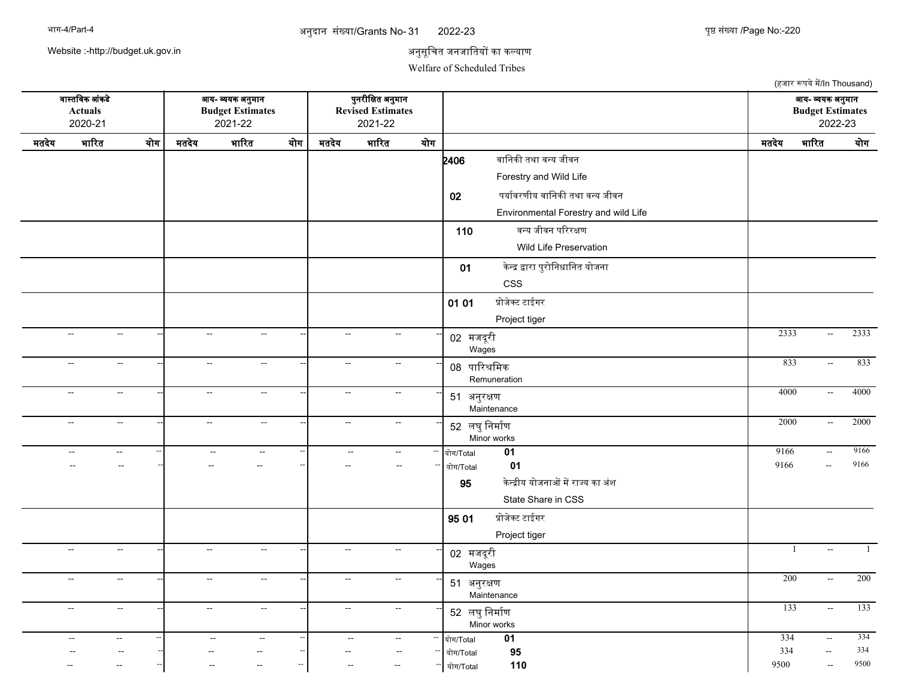अनुदान संख्या/Grants No- 31 2022-23 पृष्ठ संख्या /Page No:-

2022-23 220

Website :-http://budget.uk.gov.in

### अनुसूचित जनजातियों का कल्याण

Welfare of Scheduled Tribes

(हजार रूपये में/In Thousand) वजसतचवक आसकडद आय- वयक अननमजन पननरनचकत अननमजन आय- वयक अननमजन **Actuals Budget Estimates Revised Estimates Budget Estimates** 2020-21 2021-22 2021-22 2022-23 मतदेय भारित योग| मतदेय भारित योग| मतदेय भारित योग| — — — — — — — | मतदेय भारित योग **2406** वानिकी तथा वन्य जीवन Forestry and Wild Life 02 पर्यावरणीय वानिकी तथा वन्य जीवन Environmental Forestry and wild Life 110 वनय जनवन परररकण Wild Life Preservation 01 केन्द्र द्वारा पुरोनिधानित योजना CSS  $01 01$  प्रोजेक्ट टाईगर Project tiger -- -- -- -- -- -- <sup>02</sup> मजदरन <sup>स</sup> Wages -- -- -- 2333 -- 2333 -- -- -- -- -- -- <sup>08</sup> पजररशचमक Remuneration -- -- -- 833 -- 833 -- -- -- -- -- -- <sup>51</sup> अननरकण Maintenance --| -- -- --| -- - --| -- -- --| 54 अच्चन्न अपना प्राप्त कार्यात का प्राप्त करने पर प्राप्त करने पर 4000 -- 4000 -- -- -- -- -- -- <sup>52</sup> लघनचनमजरण Minor works -- -- -- 2000 -- 2000 -- -- -- -- -- -- -- -- -- ययग/Total **01** 9166 -- 9166 -- -- -- -- -- -- -- -- -- ययग/Total **01** 9166 -- 9166 **95 केन्द्रीय योजनाओं में राज्य का** अंश State Share in CSS  $9501$  प्रोजेक्ट टाईगर Project tiger -- -- -- -- -- -- <sup>02</sup> मजदरन <sup>स</sup> Wages -- -- -- 1 -- 1 -- -- -- -- -- -- <sup>51</sup> अननरकण Maintenance -- -- -- 200 -- 200 -- -- -- -- -- -- <sup>52</sup> लघनचनमजरण Minor works -- -- -- 133 -- 133 -- -- -- -- -- -- -- -- -- ययग/Total **01** 334 -- 334 -- -- -- -- -- -- -- -- -- ययग/Total **95** 334 -- 334 -- -- -- -- -- -- -- -- -- ययग/Total **110** 9500 -- 9500